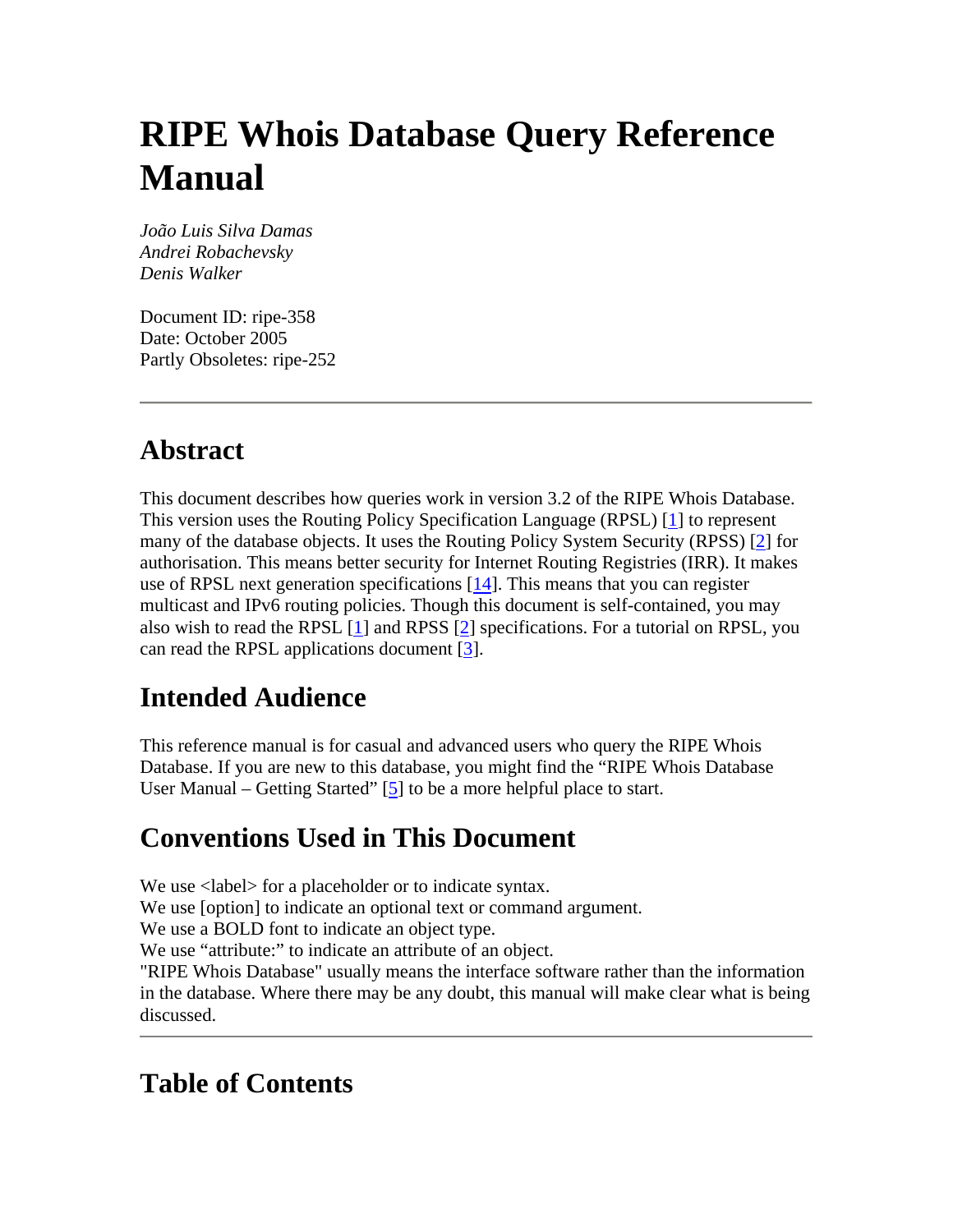# **RIPE Whois Database Query Reference Manual**

*João Luis Silva Damas Andrei Robachevsky Denis Walker*

Document ID: ripe-358 Date: October 2005 Partly Obsoletes: ripe-252

# **Abstract**

This document describes how queries work in version 3.2 of the RIPE Whois Database. This version uses the Routing Policy Specification Language (RPSL) [1] to represent many of the database objects. It uses the Routing Policy System Security (RPSS) [2] for authorisation. This means better security for Internet Routing Registries (IRR). It makes use of RPSL next generation specifications  $[14]$ . This means that you can register multicast and IPv6 routing policies. Though this document is self-contained, you may also wish to read the RPSL  $[1]$  and RPSS  $[2]$  specifications. For a tutorial on RPSL, you can read the RPSL applications document [3].

# **Intended Audience**

This reference manual is for casual and advanced users who query the RIPE Whois Database. If you are new to this database, you might find the "RIPE Whois Database User Manual – Getting Started" [5] to be a more helpful place to start.

# **Conventions Used in This Document**

We use  $\langle$ label> for a placeholder or to indicate syntax. We use [option] to indicate an optional text or command argument. We use a BOLD font to indicate an object type. We use "attribute:" to indicate an attribute of an object. "RIPE Whois Database" usually means the interface software rather than the information in the database. Where there may be any doubt, this manual will make clear what is being discussed.

# **Table of Contents**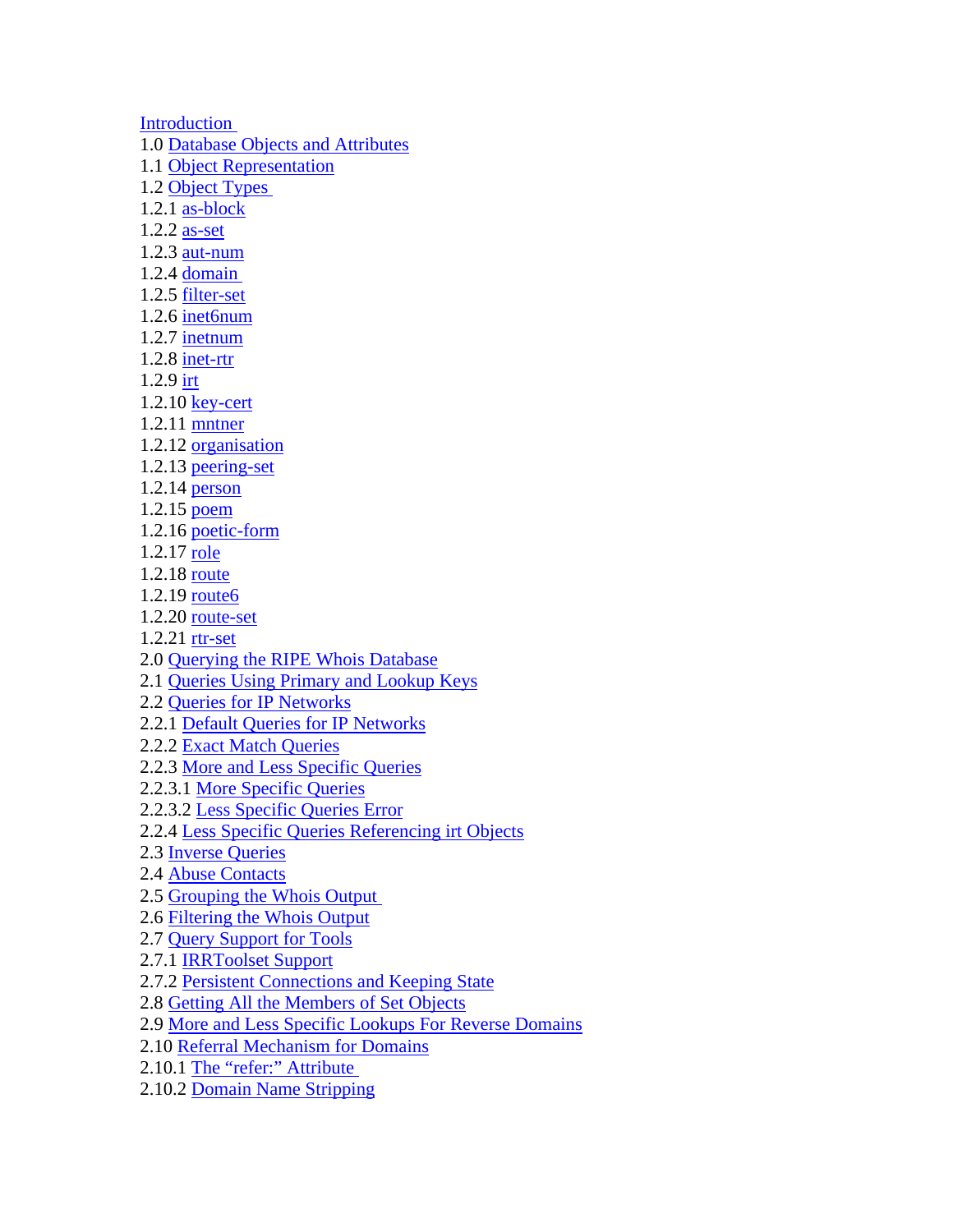**Introduction** 1.0 Database Objects and Attributes 1.1 Object Representation 1.2 Object Types 1.2.1 as-block 1.2.2 as-set 1.2.3 aut-num 1.2.4 domain 1.2.5 filter-set 1.2.6 inet6num 1.2.7 inetnum 1.2.8 inet-rtr 1.2.9 irt 1.2.10 key-cert 1.2.11 mntner 1.2.12 organisation 1.2.13 peering-set 1.2.14 person 1.2.15 poem 1.2.16 poetic-form 1.2.17 role 1.2.18 route 1.2.19 route6 1.2.20 route-set 1.2.21 rtr-set 2.0 Querying the RIPE Whois Database 2.1 Queries Using Primary and Lookup Keys 2.2 Queries for IP Networks 2.2.1 Default Queries for IP Networks 2.2.2 Exact Match Queries 2.2.3 More and Less Specific Queries 2.2.3.1 More Specific Queries 2.2.3.2 Less Specific Queries Error 2.2.4 Less Specific Queries Referencing irt Objects 2.3 Inverse Queries 2.4 Abuse Contacts 2.5 Grouping the Whois Output 2.6 Filtering the Whois Output 2.7 Query Support for Tools 2.7.1 IRRToolset Support 2.7.2 Persistent Connections and Keeping State 2.8 Getting All the Members of Set Objects 2.9 More and Less Specific Lookups For Reverse Domains 2.10 Referral Mechanism for Domains

- 2.10.1 The "refer:" Attribute
- 2.10.2 Domain Name Stripping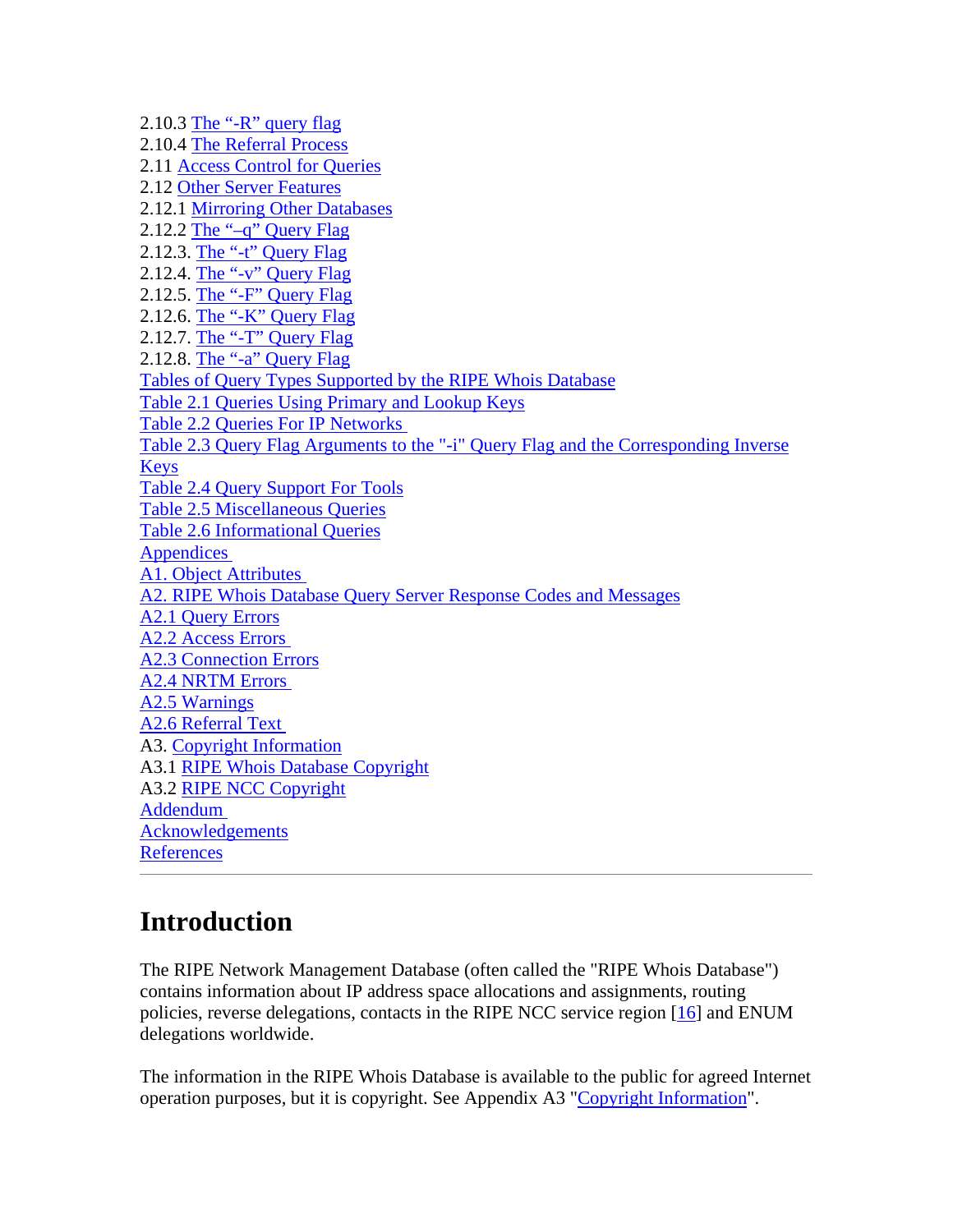2.10.3 The "- $R$ " query flag 2.10.4 The Referral Process 2.11 Access Control for Queries 2.12 Other Server Features 2.12.1 Mirroring Other Databases 2.12.2 The " $-q$ " Query Flag 2.12.3. The "-t" Query Flag 2.12.4. The "-v" Query Flag 2.12.5. The "-F" Query Flag 2.12.6. The "-K" Query Flag 2.12.7. The "-T" Query Flag 2.12.8. The "-a" Query Flag Tables of Query Types Supported by the RIPE Whois Database Table 2.1 Queries Using Primary and Lookup Keys Table 2.2 Queries For IP Networks Table 2.3 Query Flag Arguments to the "-i" Query Flag and the Corresponding Inverse Keys Table 2.4 Query Support For Tools Table 2.5 Miscellaneous Queries Table 2.6 Informational Queries **Appendices** A1. Object Attributes A2. RIPE Whois Database Query Server Response Codes and Messages A2.1 Query Errors A2.2 Access Errors A2.3 Connection Errors A2.4 NRTM Errors A2.5 Warnings A2.6 Referral Text A3. Copyright Information A3.1 RIPE Whois Database Copyright A3.2 RIPE NCC Copyright Addendum Acknowledgements **References** 

# **Introduction**

The RIPE Network Management Database (often called the "RIPE Whois Database") contains information about IP address space allocations and assignments, routing policies, reverse delegations, contacts in the RIPE NCC service region [16] and ENUM delegations worldwide.

The information in the RIPE Whois Database is available to the public for agreed Internet operation purposes, but it is copyright. See Appendix A3 "Copyright Information".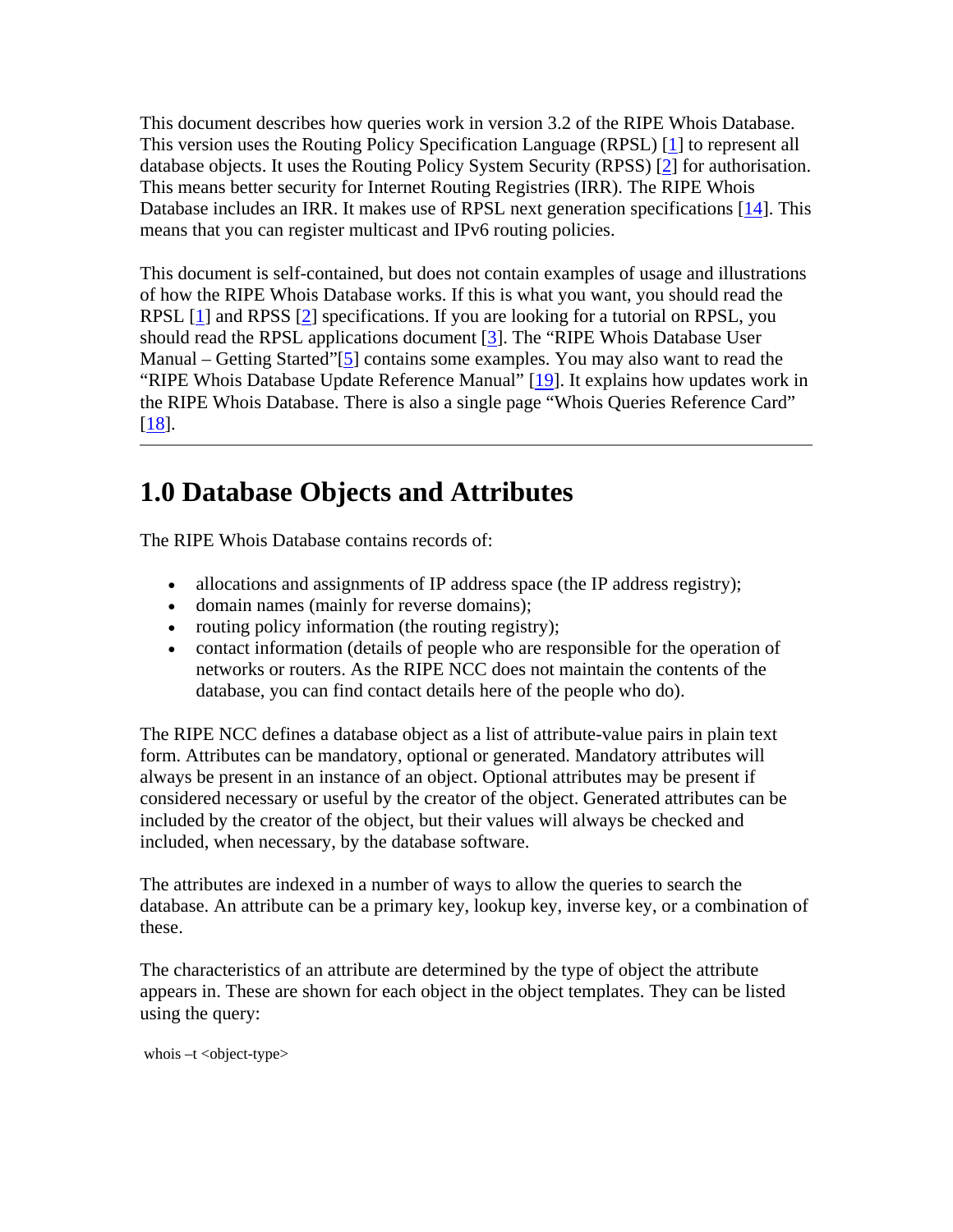This document describes how queries work in version 3.2 of the RIPE Whois Database. This version uses the Routing Policy Specification Language (RPSL) [1] to represent all database objects. It uses the Routing Policy System Security (RPSS) [2] for authorisation. This means better security for Internet Routing Registries (IRR). The RIPE Whois Database includes an IRR. It makes use of RPSL next generation specifications [14]. This means that you can register multicast and IPv6 routing policies.

This document is self-contained, but does not contain examples of usage and illustrations of how the RIPE Whois Database works. If this is what you want, you should read the RPSL [1] and RPSS [2] specifications. If you are looking for a tutorial on RPSL, you should read the RPSL applications document [3]. The "RIPE Whois Database User Manual – Getting Started"[5] contains some examples. You may also want to read the "RIPE Whois Database Update Reference Manual" [19]. It explains how updates work in the RIPE Whois Database. There is also a single page "Whois Queries Reference Card" [18].

# **1.0 Database Objects and Attributes**

The RIPE Whois Database contains records of:

- allocations and assignments of IP address space (the IP address registry);
- domain names (mainly for reverse domains);
- routing policy information (the routing registry);
- contact information (details of people who are responsible for the operation of networks or routers. As the RIPE NCC does not maintain the contents of the database, you can find contact details here of the people who do).

The RIPE NCC defines a database object as a list of attribute-value pairs in plain text form. Attributes can be mandatory, optional or generated. Mandatory attributes will always be present in an instance of an object. Optional attributes may be present if considered necessary or useful by the creator of the object. Generated attributes can be included by the creator of the object, but their values will always be checked and included, when necessary, by the database software.

The attributes are indexed in a number of ways to allow the queries to search the database. An attribute can be a primary key, lookup key, inverse key, or a combination of these.

The characteristics of an attribute are determined by the type of object the attribute appears in. These are shown for each object in the object templates. They can be listed using the query:

whois  $-t$  < object-type >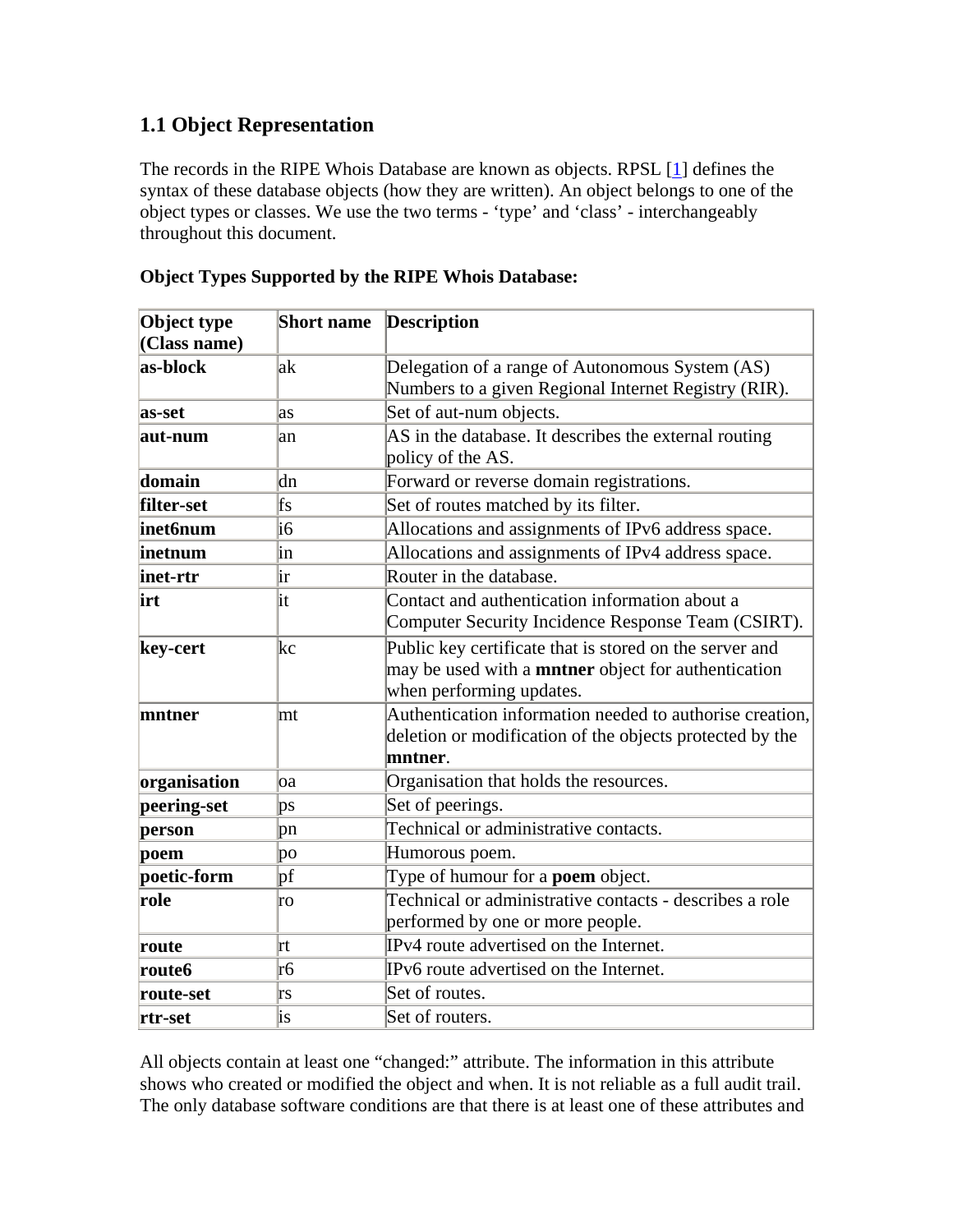## **1.1 Object Representation**

The records in the RIPE Whois Database are known as objects. RPSL [1] defines the syntax of these database objects (how they are written). An object belongs to one of the object types or classes. We use the two terms - 'type' and 'class' - interchangeably throughout this document.

| Object type<br>(Class name) | <b>Short name</b>      | <b>Description</b>                                                                                                                                |  |
|-----------------------------|------------------------|---------------------------------------------------------------------------------------------------------------------------------------------------|--|
| as-block                    | lak                    | Delegation of a range of Autonomous System (AS)<br>Numbers to a given Regional Internet Registry (RIR).                                           |  |
| as-set                      | as                     | Set of aut-num objects.                                                                                                                           |  |
| aut-num                     | an                     | AS in the database. It describes the external routing<br>policy of the AS.                                                                        |  |
| domain                      | dn                     | Forward or reverse domain registrations.                                                                                                          |  |
| filter-set                  | fs                     | Set of routes matched by its filter.                                                                                                              |  |
| inet6num                    | i6                     | Allocations and assignments of IPv6 address space.                                                                                                |  |
| inetnum                     | in                     | Allocations and assignments of IPv4 address space.                                                                                                |  |
| inet-rtr                    | ir                     | Router in the database.                                                                                                                           |  |
| irt                         | İt                     | Contact and authentication information about a<br>Computer Security Incidence Response Team (CSIRT).                                              |  |
| key-cert                    | kc                     | Public key certificate that is stored on the server and<br>may be used with a <b>mntner</b> object for authentication<br>when performing updates. |  |
| mntner                      | mt                     | Authentication information needed to authorise creation,<br>deletion or modification of the objects protected by the<br>mntner.                   |  |
| organisation                | oa                     | Organisation that holds the resources.                                                                                                            |  |
| peering-set                 | $\mathsf{p}\mathsf{s}$ | Set of peerings.                                                                                                                                  |  |
| person                      | pn                     | Technical or administrative contacts.                                                                                                             |  |
| poem                        | po                     | Humorous poem.                                                                                                                                    |  |
| poetic-form                 | pf                     | Type of humour for a <b>poem</b> object.                                                                                                          |  |
| role                        | ro                     | Technical or administrative contacts - describes a role<br>performed by one or more people.                                                       |  |
| route                       | rt                     | IPv4 route advertised on the Internet.                                                                                                            |  |
| route6                      | r6                     | IPv6 route advertised on the Internet.                                                                                                            |  |
| route-set                   | rs                     | Set of routes.                                                                                                                                    |  |
| rtr-set                     | is                     | Set of routers.                                                                                                                                   |  |

## **Object Types Supported by the RIPE Whois Database:**

All objects contain at least one "changed:" attribute. The information in this attribute shows who created or modified the object and when. It is not reliable as a full audit trail. The only database software conditions are that there is at least one of these attributes and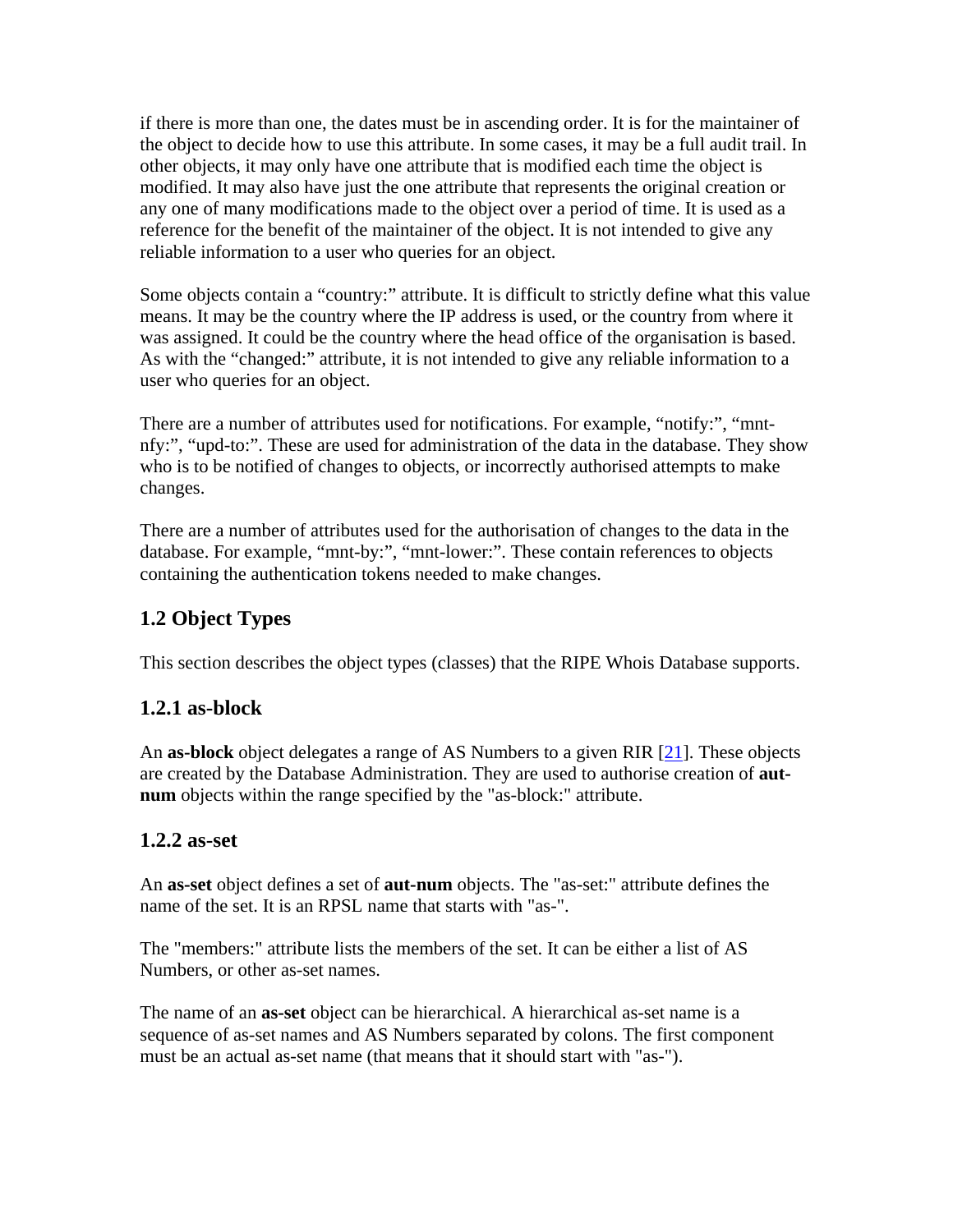if there is more than one, the dates must be in ascending order. It is for the maintainer of the object to decide how to use this attribute. In some cases, it may be a full audit trail. In other objects, it may only have one attribute that is modified each time the object is modified. It may also have just the one attribute that represents the original creation or any one of many modifications made to the object over a period of time. It is used as a reference for the benefit of the maintainer of the object. It is not intended to give any reliable information to a user who queries for an object.

Some objects contain a "country:" attribute. It is difficult to strictly define what this value means. It may be the country where the IP address is used, or the country from where it was assigned. It could be the country where the head office of the organisation is based. As with the "changed:" attribute, it is not intended to give any reliable information to a user who queries for an object.

There are a number of attributes used for notifications. For example, "notify:", "mntnfy:", "upd-to:". These are used for administration of the data in the database. They show who is to be notified of changes to objects, or incorrectly authorised attempts to make changes.

There are a number of attributes used for the authorisation of changes to the data in the database. For example, "mnt-by:", "mnt-lower:". These contain references to objects containing the authentication tokens needed to make changes.

# **1.2 Object Types**

This section describes the object types (classes) that the RIPE Whois Database supports.

## **1.2.1 as-block**

An **as-block** object delegates a range of AS Numbers to a given RIR [21]. These objects are created by the Database Administration. They are used to authorise creation of **autnum** objects within the range specified by the "as-block:" attribute.

## **1.2.2 as-set**

An **as-set** object defines a set of **aut-num** objects. The "as-set:" attribute defines the name of the set. It is an RPSL name that starts with "as-".

The "members:" attribute lists the members of the set. It can be either a list of AS Numbers, or other as-set names.

The name of an **as-set** object can be hierarchical. A hierarchical as-set name is a sequence of as-set names and AS Numbers separated by colons. The first component must be an actual as-set name (that means that it should start with "as-").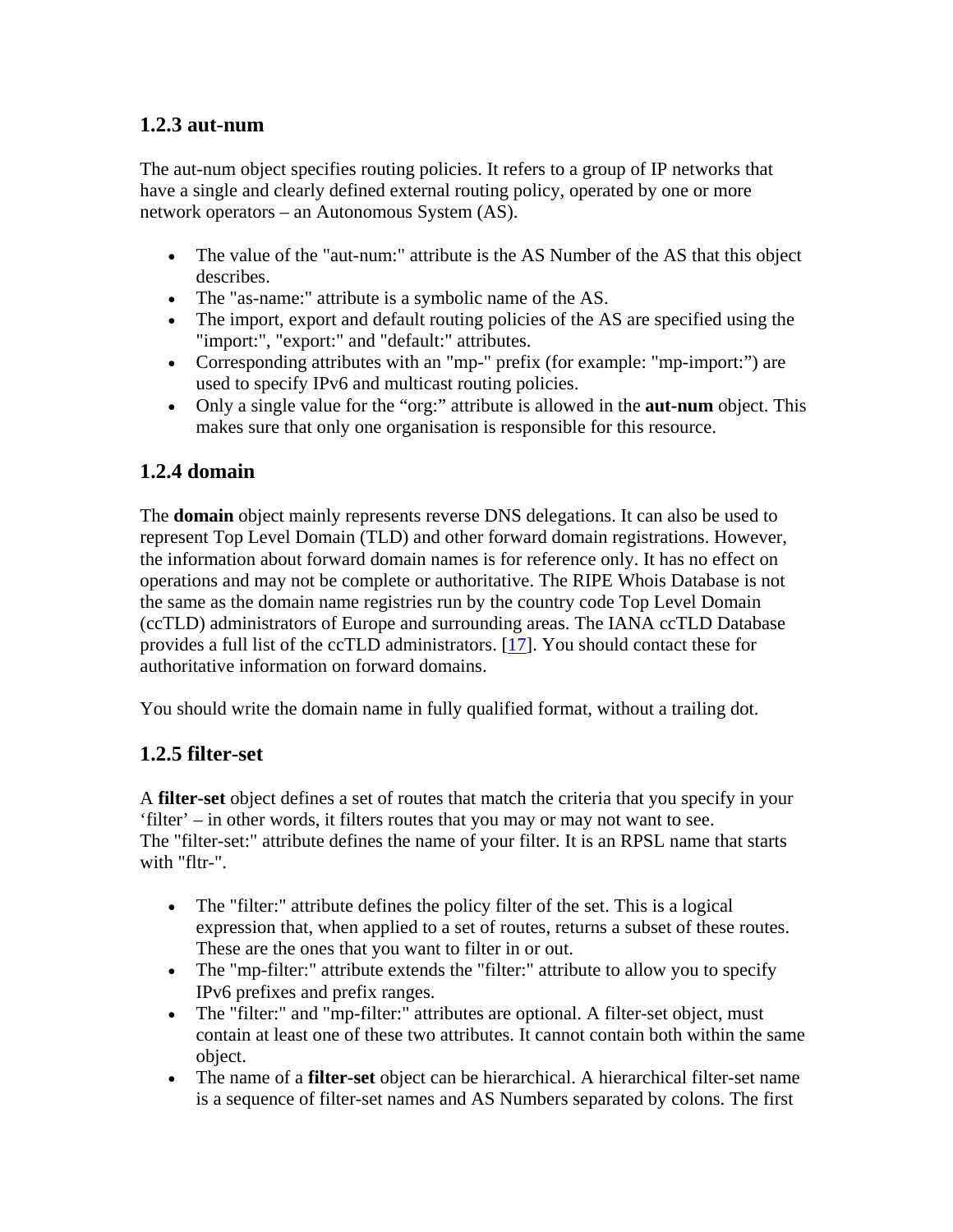## **1.2.3 aut-num**

The aut-num object specifies routing policies. It refers to a group of IP networks that have a single and clearly defined external routing policy, operated by one or more network operators – an Autonomous System (AS).

- The value of the "aut-num:" attribute is the AS Number of the AS that this object describes.
- The "as-name:" attribute is a symbolic name of the AS.
- The import, export and default routing policies of the AS are specified using the "import:", "export:" and "default:" attributes.
- Corresponding attributes with an "mp-" prefix (for example: "mp-import:") are used to specify IPv6 and multicast routing policies.
- Only a single value for the "org:" attribute is allowed in the **aut-num** object. This makes sure that only one organisation is responsible for this resource.

# **1.2.4 domain**

The **domain** object mainly represents reverse DNS delegations. It can also be used to represent Top Level Domain (TLD) and other forward domain registrations. However, the information about forward domain names is for reference only. It has no effect on operations and may not be complete or authoritative. The RIPE Whois Database is not the same as the domain name registries run by the country code Top Level Domain (ccTLD) administrators of Europe and surrounding areas. The IANA ccTLD Database provides a full list of the ccTLD administrators. [17]. You should contact these for authoritative information on forward domains.

You should write the domain name in fully qualified format, without a trailing dot.

## **1.2.5 filter-set**

A **filter-set** object defines a set of routes that match the criteria that you specify in your 'filter' – in other words, it filters routes that you may or may not want to see. The "filter-set:" attribute defines the name of your filter. It is an RPSL name that starts with "fltr-".

- The "filter:" attribute defines the policy filter of the set. This is a logical expression that, when applied to a set of routes, returns a subset of these routes. These are the ones that you want to filter in or out.
- The "mp-filter:" attribute extends the "filter:" attribute to allow you to specify IPv6 prefixes and prefix ranges.
- The "filter:" and "mp-filter:" attributes are optional. A filter-set object, must contain at least one of these two attributes. It cannot contain both within the same object.
- The name of a **filter-set** object can be hierarchical. A hierarchical filter-set name is a sequence of filter-set names and AS Numbers separated by colons. The first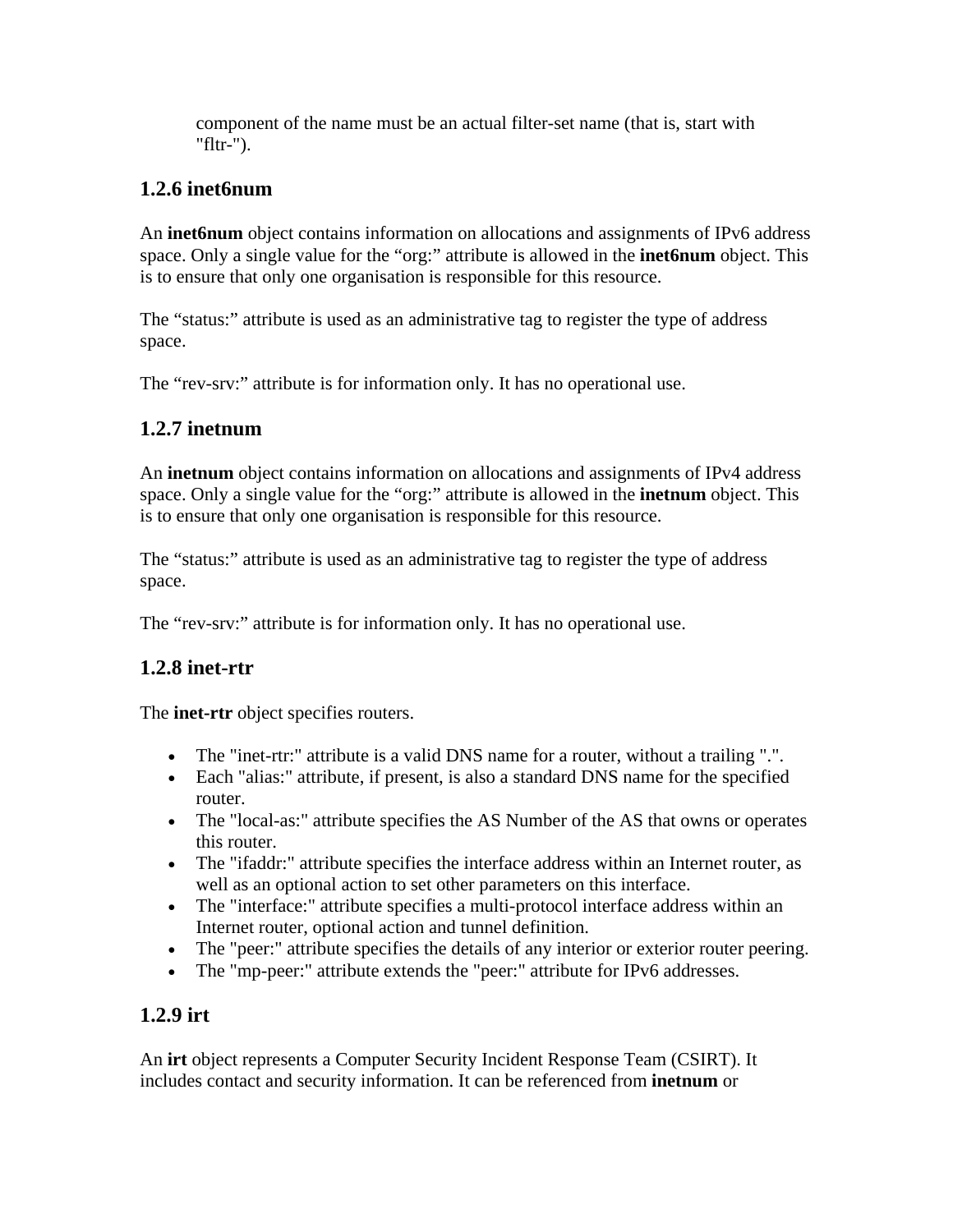component of the name must be an actual filter-set name (that is, start with "fltr-").

# **1.2.6 inet6num**

An **inet6num** object contains information on allocations and assignments of IPv6 address space. Only a single value for the "org:" attribute is allowed in the **inet6num** object. This is to ensure that only one organisation is responsible for this resource.

The "status:" attribute is used as an administrative tag to register the type of address space.

The "rev-srv:" attribute is for information only. It has no operational use.

## **1.2.7 inetnum**

An **inetnum** object contains information on allocations and assignments of IPv4 address space. Only a single value for the "org:" attribute is allowed in the **inetnum** object. This is to ensure that only one organisation is responsible for this resource.

The "status:" attribute is used as an administrative tag to register the type of address space.

The "rev-srv:" attribute is for information only. It has no operational use.

# **1.2.8 inet-rtr**

The **inet-rtr** object specifies routers.

- The "inet-rtr:" attribute is a valid DNS name for a router, without a trailing ".".
- Each "alias:" attribute, if present, is also a standard DNS name for the specified router.
- The "local-as:" attribute specifies the AS Number of the AS that owns or operates this router.
- The "ifaddr:" attribute specifies the interface address within an Internet router, as well as an optional action to set other parameters on this interface.
- The "interface:" attribute specifies a multi-protocol interface address within an Internet router, optional action and tunnel definition.
- The "peer:" attribute specifies the details of any interior or exterior router peering.
- The "mp-peer:" attribute extends the "peer:" attribute for IPv6 addresses.

# **1.2.9 irt**

An **irt** object represents a Computer Security Incident Response Team (CSIRT). It includes contact and security information. It can be referenced from **inetnum** or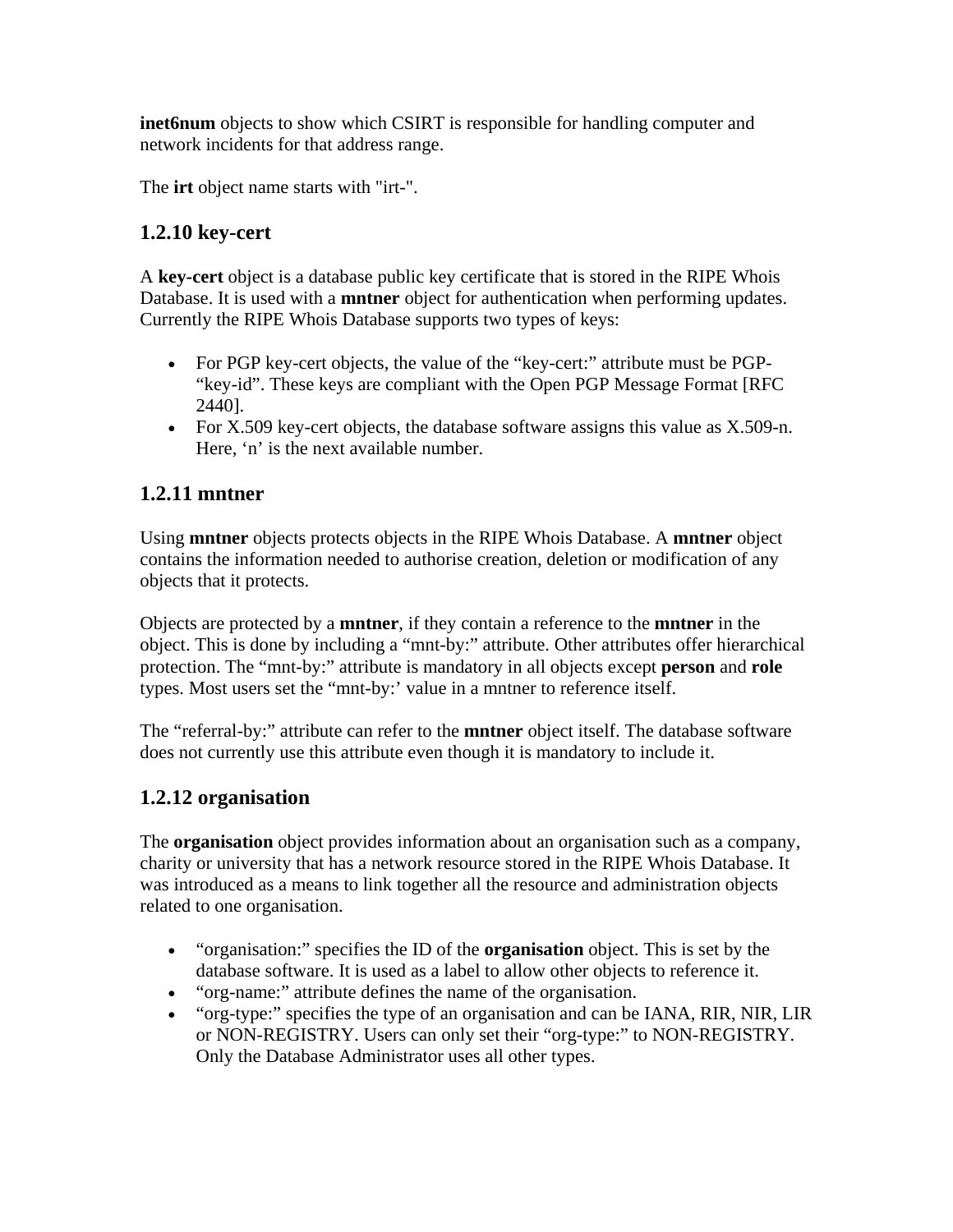**inet6num** objects to show which CSIRT is responsible for handling computer and network incidents for that address range.

The **irt** object name starts with "irt-".

## **1.2.10 key-cert**

A **key-cert** object is a database public key certificate that is stored in the RIPE Whois Database. It is used with a **mntner** object for authentication when performing updates. Currently the RIPE Whois Database supports two types of keys:

- For PGP key-cert objects, the value of the "key-cert:" attribute must be PGP-"key-id". These keys are compliant with the Open PGP Message Format [RFC 2440].
- For X.509 key-cert objects, the database software assigns this value as X.509-n. Here, 'n' is the next available number.

## **1.2.11 mntner**

Using **mntner** objects protects objects in the RIPE Whois Database. A **mntner** object contains the information needed to authorise creation, deletion or modification of any objects that it protects.

Objects are protected by a **mntner**, if they contain a reference to the **mntner** in the object. This is done by including a "mnt-by:" attribute. Other attributes offer hierarchical protection. The "mnt-by:" attribute is mandatory in all objects except **person** and **role** types. Most users set the "mnt-by:' value in a mntner to reference itself.

The "referral-by:" attribute can refer to the **mntner** object itself. The database software does not currently use this attribute even though it is mandatory to include it.

## **1.2.12 organisation**

The **organisation** object provides information about an organisation such as a company, charity or university that has a network resource stored in the RIPE Whois Database. It was introduced as a means to link together all the resource and administration objects related to one organisation.

- "organisation:" specifies the ID of the **organisation** object. This is set by the database software. It is used as a label to allow other objects to reference it.
- "org-name:" attribute defines the name of the organisation.
- "org-type:" specifies the type of an organisation and can be IANA, RIR, NIR, LIR or NON-REGISTRY. Users can only set their "org-type:" to NON-REGISTRY. Only the Database Administrator uses all other types.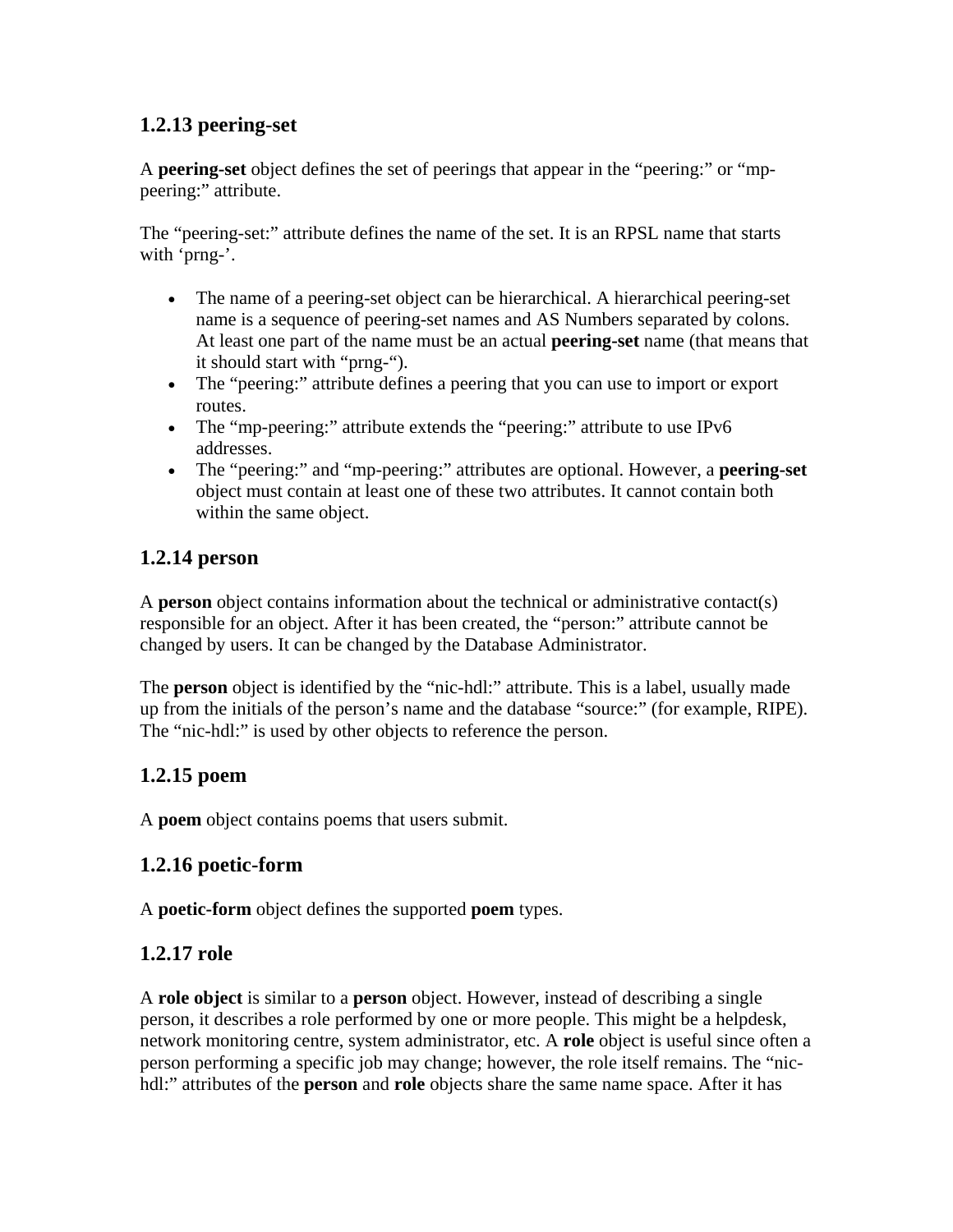# **1.2.13 peering-set**

A **peering-set** object defines the set of peerings that appear in the "peering:" or "mppeering:" attribute.

The "peering-set:" attribute defines the name of the set. It is an RPSL name that starts with 'prng-'.

- The name of a peering-set object can be hierarchical. A hierarchical peering-set name is a sequence of peering-set names and AS Numbers separated by colons. At least one part of the name must be an actual **peering-set** name (that means that it should start with "prng-").
- The "peering:" attribute defines a peering that you can use to import or export routes.
- The "mp-peering:" attribute extends the "peering:" attribute to use IPv6 addresses.
- The "peering:" and "mp-peering:" attributes are optional. However, a **peering-set** object must contain at least one of these two attributes. It cannot contain both within the same object.

## **1.2.14 person**

A **person** object contains information about the technical or administrative contact(s) responsible for an object. After it has been created, the "person:" attribute cannot be changed by users. It can be changed by the Database Administrator.

The **person** object is identified by the "nic-hdl:" attribute. This is a label, usually made up from the initials of the person's name and the database "source:" (for example, RIPE). The "nic-hdl:" is used by other objects to reference the person.

## **1.2.15 poem**

A **poem** object contains poems that users submit.

## **1.2.16 poetic-form**

A **poetic-form** object defines the supported **poem** types.

## **1.2.17 role**

A **role object** is similar to a **person** object. However, instead of describing a single person, it describes a role performed by one or more people. This might be a helpdesk, network monitoring centre, system administrator, etc. A **role** object is useful since often a person performing a specific job may change; however, the role itself remains. The "nichdl:" attributes of the **person** and **role** objects share the same name space. After it has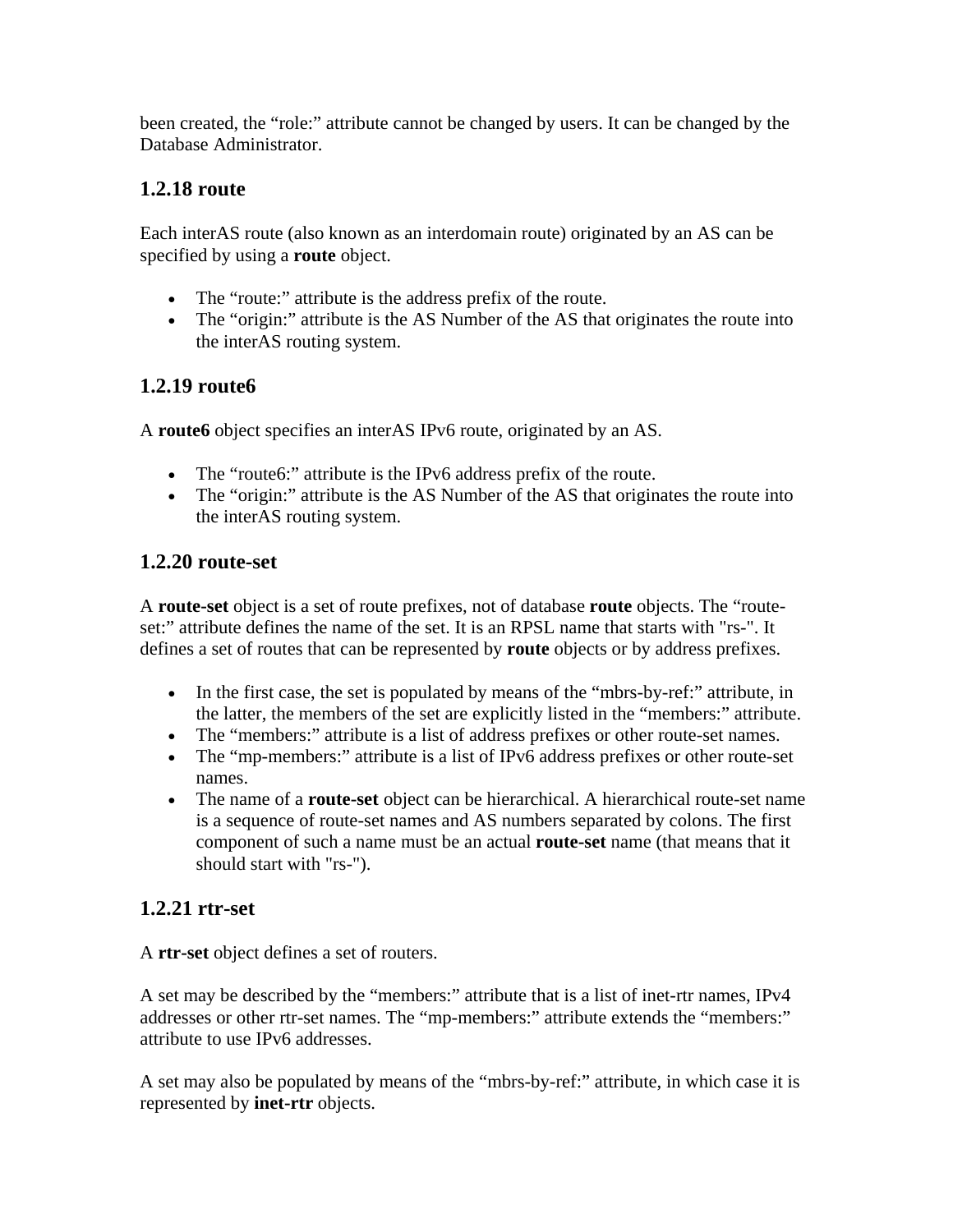been created, the "role:" attribute cannot be changed by users. It can be changed by the Database Administrator.

## **1.2.18 route**

Each interAS route (also known as an interdomain route) originated by an AS can be specified by using a **route** object.

- The "route:" attribute is the address prefix of the route.
- The "origin:" attribute is the AS Number of the AS that originates the route into the interAS routing system.

# **1.2.19 route6**

A **route6** object specifies an interAS IPv6 route, originated by an AS.

- The "route6:" attribute is the IPv6 address prefix of the route.
- The "origin:" attribute is the AS Number of the AS that originates the route into the interAS routing system.

## **1.2.20 route-set**

A **route-set** object is a set of route prefixes, not of database **route** objects. The "routeset:" attribute defines the name of the set. It is an RPSL name that starts with "rs-". It defines a set of routes that can be represented by **route** objects or by address prefixes.

- In the first case, the set is populated by means of the "mbrs-by-ref:" attribute, in the latter, the members of the set are explicitly listed in the "members:" attribute.
- The "members:" attribute is a list of address prefixes or other route-set names.
- The "mp-members:" attribute is a list of IPv6 address prefixes or other route-set names.
- The name of a **route-set** object can be hierarchical. A hierarchical route-set name is a sequence of route-set names and AS numbers separated by colons. The first component of such a name must be an actual **route-set** name (that means that it should start with "rs-").

# **1.2.21 rtr-set**

A **rtr-set** object defines a set of routers.

A set may be described by the "members:" attribute that is a list of inet-rtr names, IPv4 addresses or other rtr-set names. The "mp-members:" attribute extends the "members:" attribute to use IPv6 addresses.

A set may also be populated by means of the "mbrs-by-ref:" attribute, in which case it is represented by **inet-rtr** objects.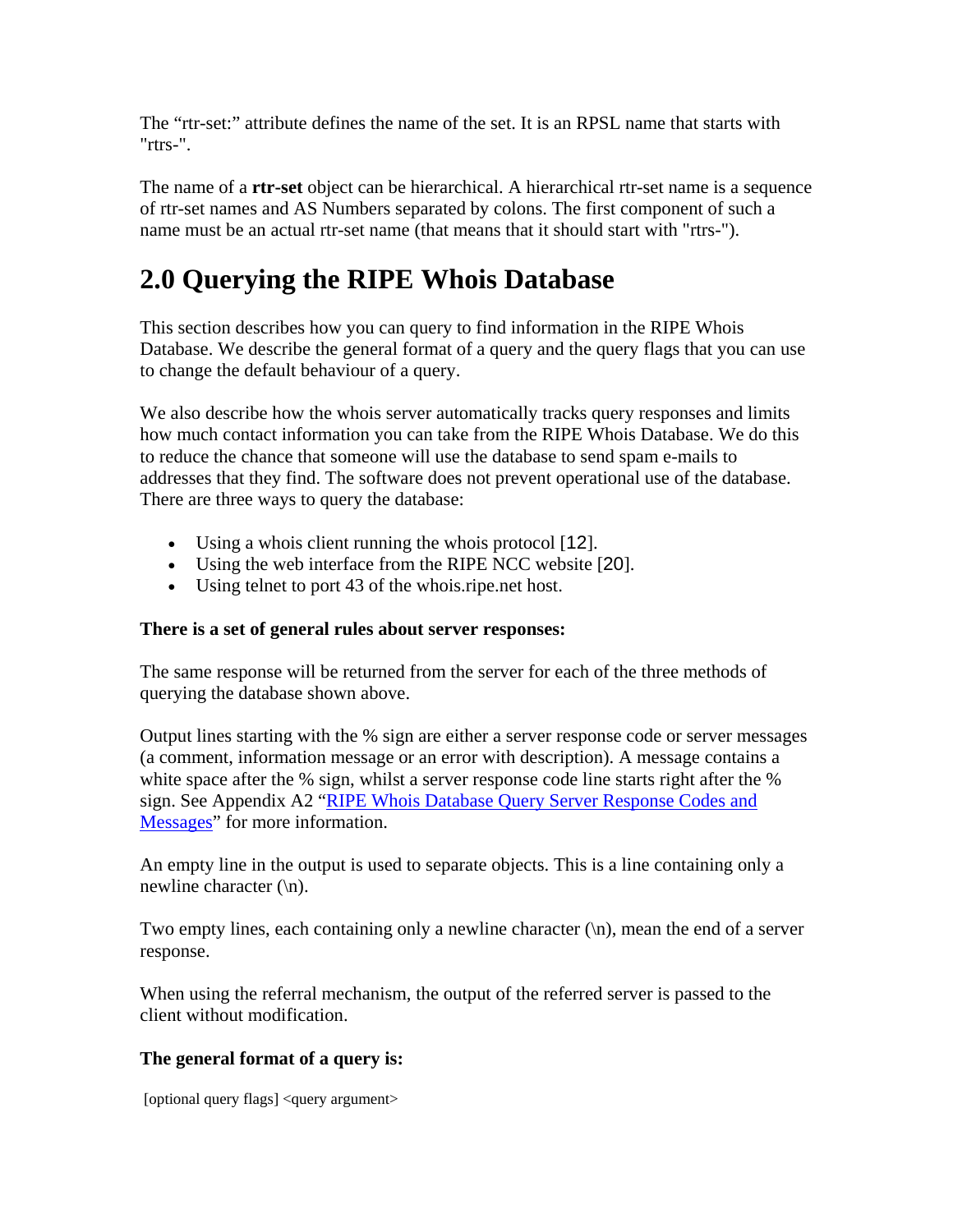The "rtr-set:" attribute defines the name of the set. It is an RPSL name that starts with "rtrs-".

The name of a **rtr-set** object can be hierarchical. A hierarchical rtr-set name is a sequence of rtr-set names and AS Numbers separated by colons. The first component of such a name must be an actual rtr-set name (that means that it should start with "rtrs-").

# **2.0 Querying the RIPE Whois Database**

This section describes how you can query to find information in the RIPE Whois Database. We describe the general format of a query and the query flags that you can use to change the default behaviour of a query.

We also describe how the whois server automatically tracks query responses and limits how much contact information you can take from the RIPE Whois Database. We do this to reduce the chance that someone will use the database to send spam e-mails to addresses that they find. The software does not prevent operational use of the database. There are three ways to query the database:

- Using a whois client running the whois protocol [12].
- Using the web interface from the RIPE NCC website [20].
- Using telnet to port 43 of the whois.ripe.net host.

## **There is a set of general rules about server responses:**

The same response will be returned from the server for each of the three methods of querying the database shown above.

Output lines starting with the % sign are either a server response code or server messages (a comment, information message or an error with description). A message contains a white space after the % sign, whilst a server response code line starts right after the % sign. See Appendix A2 "RIPE Whois Database Query Server Response Codes and Messages" for more information.

An empty line in the output is used to separate objects. This is a line containing only a newline character  $(\n\ln)$ .

Two empty lines, each containing only a newline character  $(\n\cdot n)$ , mean the end of a server response.

When using the referral mechanism, the output of the referred server is passed to the client without modification.

## **The general format of a query is:**

[optional query flags] <query argument>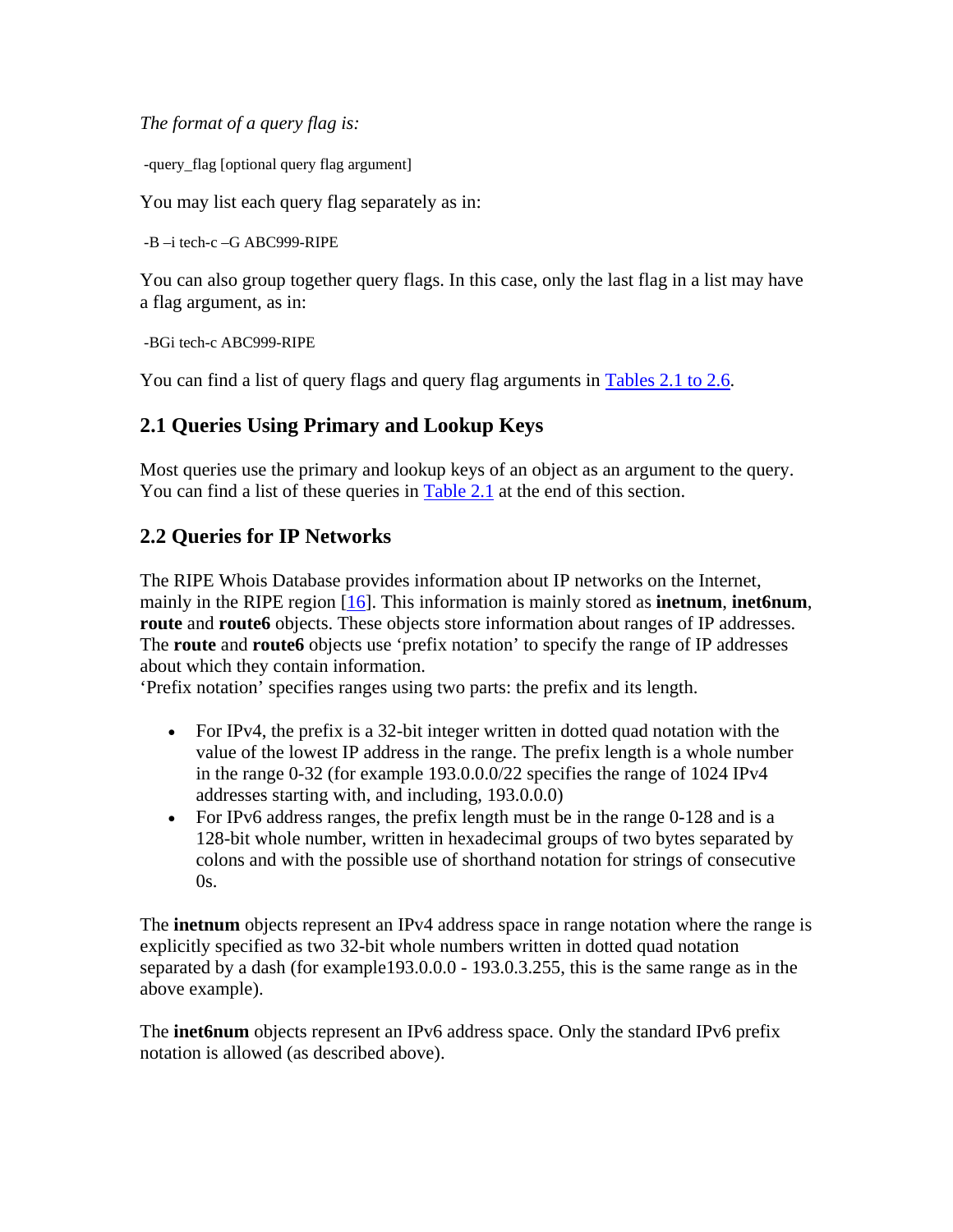*The format of a query flag is:* 

-query\_flag [optional query flag argument]

You may list each query flag separately as in:

-B –i tech-c –G ABC999-RIPE

You can also group together query flags. In this case, only the last flag in a list may have a flag argument, as in:

-BGi tech-c ABC999-RIPE

You can find a list of query flags and query flag arguments in Tables 2.1 to 2.6.

## **2.1 Queries Using Primary and Lookup Keys**

Most queries use the primary and lookup keys of an object as an argument to the query. You can find a list of these queries in Table 2.1 at the end of this section.

## **2.2 Queries for IP Networks**

The RIPE Whois Database provides information about IP networks on the Internet, mainly in the RIPE region [16]. This information is mainly stored as **inetnum**, **inet6num**, **route** and **route6** objects. These objects store information about ranges of IP addresses. The **route** and **route6** objects use 'prefix notation' to specify the range of IP addresses about which they contain information.

'Prefix notation' specifies ranges using two parts: the prefix and its length.

- For IPv4, the prefix is a 32-bit integer written in dotted quad notation with the value of the lowest IP address in the range. The prefix length is a whole number in the range 0-32 (for example 193.0.0.0/22 specifies the range of 1024 IPv4 addresses starting with, and including, 193.0.0.0)
- For IPv6 address ranges, the prefix length must be in the range 0-128 and is a 128-bit whole number, written in hexadecimal groups of two bytes separated by colons and with the possible use of shorthand notation for strings of consecutive 0s.

The **inetnum** objects represent an IPv4 address space in range notation where the range is explicitly specified as two 32-bit whole numbers written in dotted quad notation separated by a dash (for example193.0.0.0 - 193.0.3.255, this is the same range as in the above example).

The **inet6num** objects represent an IPv6 address space. Only the standard IPv6 prefix notation is allowed (as described above).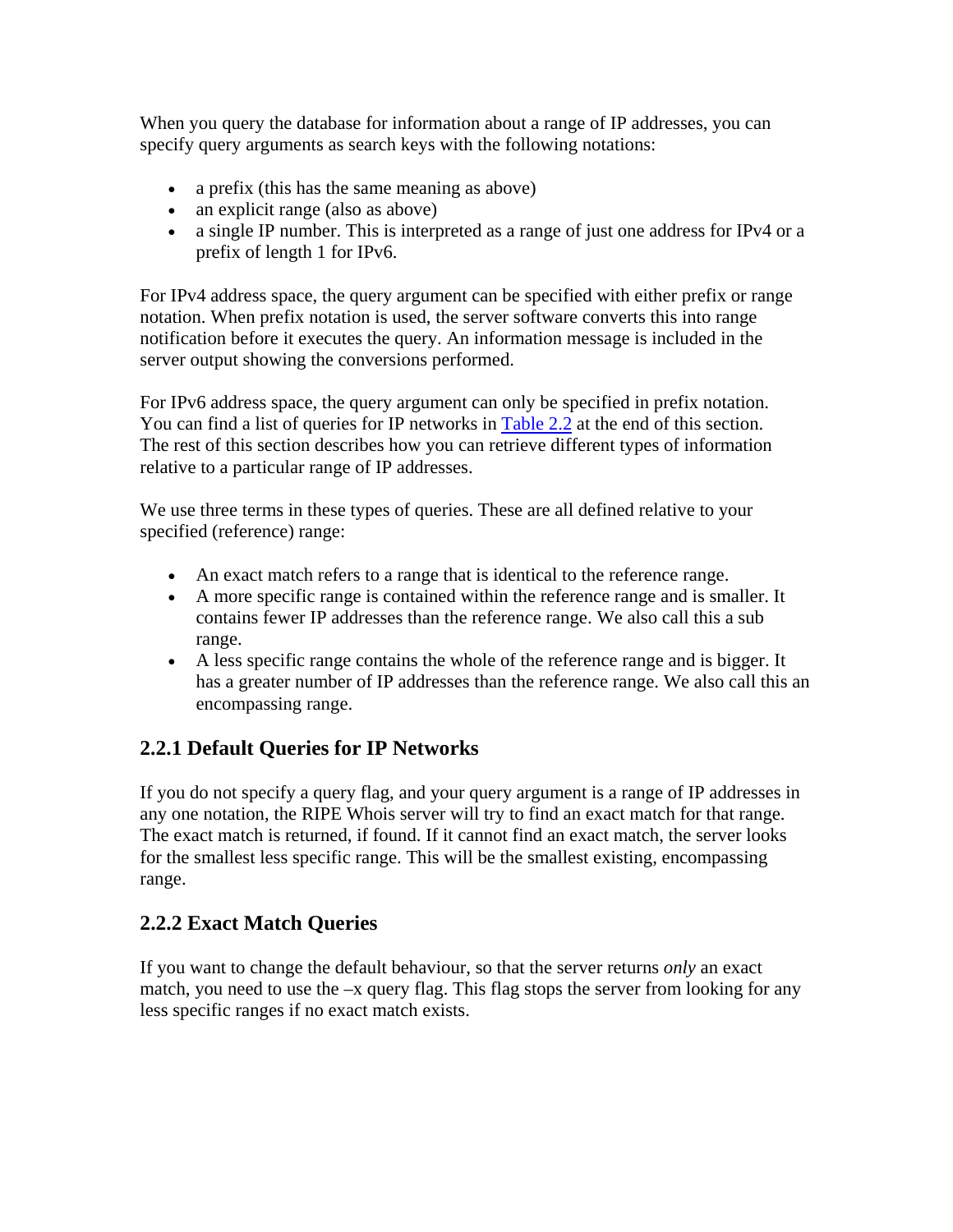When you query the database for information about a range of IP addresses, you can specify query arguments as search keys with the following notations:

- a prefix (this has the same meaning as above)
- an explicit range (also as above)
- a single IP number. This is interpreted as a range of just one address for IPv4 or a prefix of length 1 for IPv6.

For IPv4 address space, the query argument can be specified with either prefix or range notation. When prefix notation is used, the server software converts this into range notification before it executes the query. An information message is included in the server output showing the conversions performed.

For IPv6 address space, the query argument can only be specified in prefix notation. You can find a list of queries for IP networks in Table 2.2 at the end of this section. The rest of this section describes how you can retrieve different types of information relative to a particular range of IP addresses.

We use three terms in these types of queries. These are all defined relative to your specified (reference) range:

- An exact match refers to a range that is identical to the reference range.
- A more specific range is contained within the reference range and is smaller. It contains fewer IP addresses than the reference range. We also call this a sub range.
- A less specific range contains the whole of the reference range and is bigger. It has a greater number of IP addresses than the reference range. We also call this an encompassing range.

# **2.2.1 Default Queries for IP Networks**

If you do not specify a query flag, and your query argument is a range of IP addresses in any one notation, the RIPE Whois server will try to find an exact match for that range. The exact match is returned, if found. If it cannot find an exact match, the server looks for the smallest less specific range. This will be the smallest existing, encompassing range.

# **2.2.2 Exact Match Queries**

If you want to change the default behaviour, so that the server returns *only* an exact match, you need to use the –x query flag. This flag stops the server from looking for any less specific ranges if no exact match exists.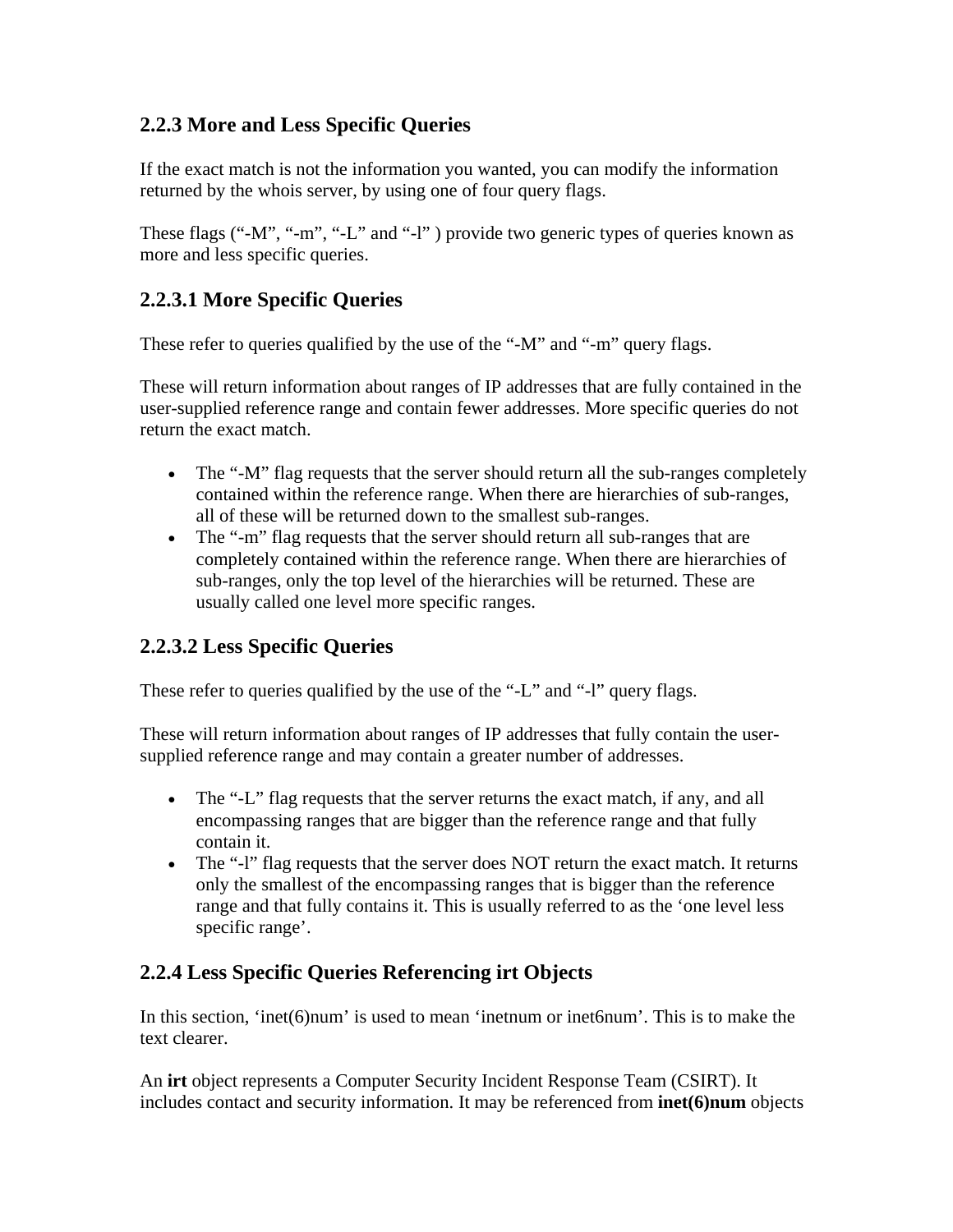# **2.2.3 More and Less Specific Queries**

If the exact match is not the information you wanted, you can modify the information returned by the whois server, by using one of four query flags.

These flags ("-M", "-m", "-L" and "-l") provide two generic types of queries known as more and less specific queries.

# **2.2.3.1 More Specific Queries**

These refer to queries qualified by the use of the "-M" and "-m" query flags.

These will return information about ranges of IP addresses that are fully contained in the user-supplied reference range and contain fewer addresses. More specific queries do not return the exact match.

- The "-M" flag requests that the server should return all the sub-ranges completely contained within the reference range. When there are hierarchies of sub-ranges, all of these will be returned down to the smallest sub-ranges.
- The "-m" flag requests that the server should return all sub-ranges that are completely contained within the reference range. When there are hierarchies of sub-ranges, only the top level of the hierarchies will be returned. These are usually called one level more specific ranges.

# **2.2.3.2 Less Specific Queries**

These refer to queries qualified by the use of the "-L" and "-l" query flags.

These will return information about ranges of IP addresses that fully contain the usersupplied reference range and may contain a greater number of addresses.

- The "-L" flag requests that the server returns the exact match, if any, and all encompassing ranges that are bigger than the reference range and that fully contain it.
- The "-l" flag requests that the server does NOT return the exact match. It returns only the smallest of the encompassing ranges that is bigger than the reference range and that fully contains it. This is usually referred to as the 'one level less specific range'.

# **2.2.4 Less Specific Queries Referencing irt Objects**

In this section, 'inet(6)num' is used to mean 'inetnum or inet6num'. This is to make the text clearer.

An **irt** object represents a Computer Security Incident Response Team (CSIRT). It includes contact and security information. It may be referenced from **inet(6)num** objects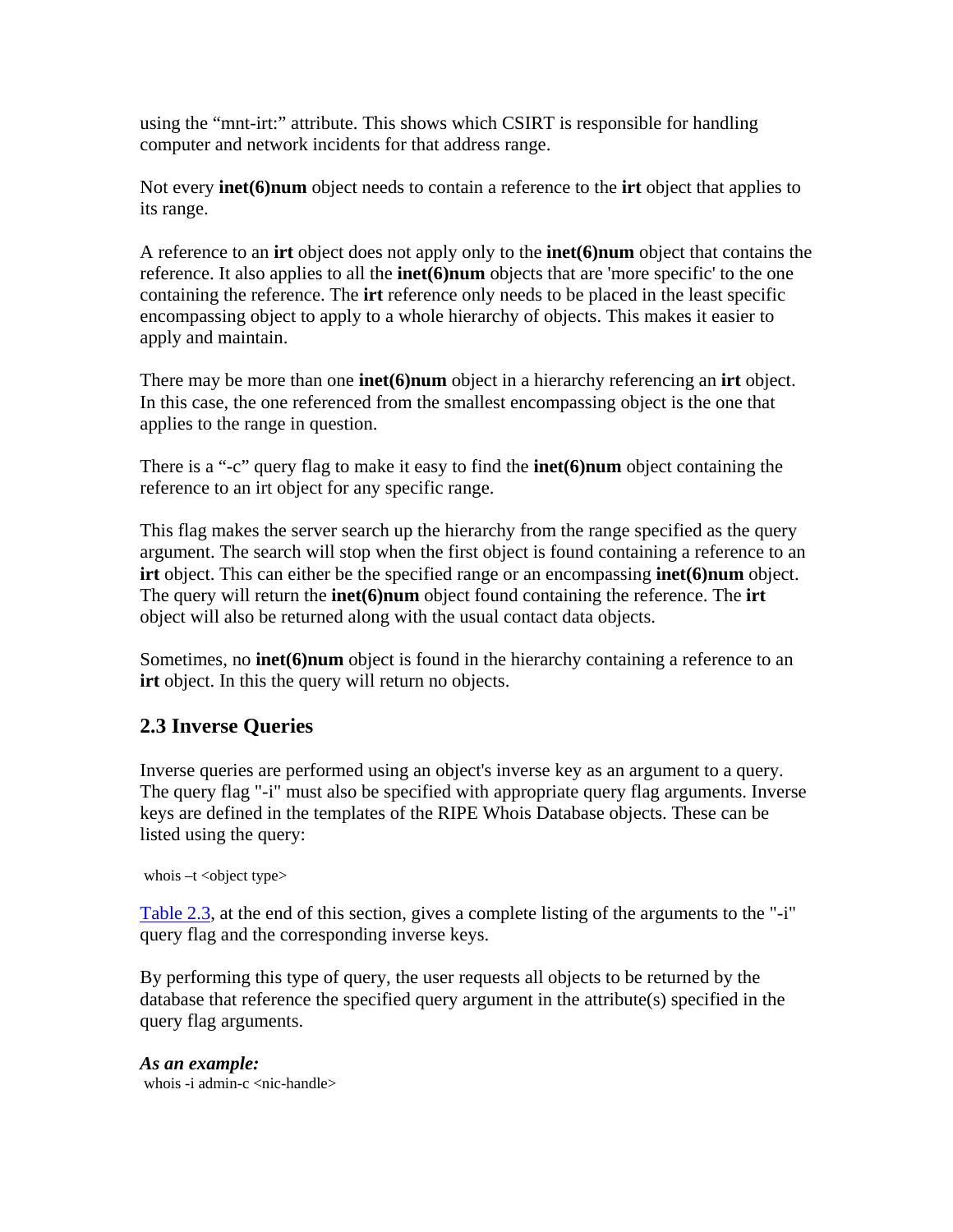using the "mnt-irt:" attribute. This shows which CSIRT is responsible for handling computer and network incidents for that address range.

Not every **inet(6)num** object needs to contain a reference to the **irt** object that applies to its range.

A reference to an **irt** object does not apply only to the **inet(6)num** object that contains the reference. It also applies to all the **inet(6)num** objects that are 'more specific' to the one containing the reference. The **irt** reference only needs to be placed in the least specific encompassing object to apply to a whole hierarchy of objects. This makes it easier to apply and maintain.

There may be more than one **inet(6)num** object in a hierarchy referencing an **irt** object. In this case, the one referenced from the smallest encompassing object is the one that applies to the range in question.

There is a "-c" query flag to make it easy to find the **inet(6)num** object containing the reference to an irt object for any specific range.

This flag makes the server search up the hierarchy from the range specified as the query argument. The search will stop when the first object is found containing a reference to an **irt** object. This can either be the specified range or an encompassing **inet(6)num** object. The query will return the **inet(6)num** object found containing the reference. The **irt** object will also be returned along with the usual contact data objects.

Sometimes, no **inet(6)num** object is found in the hierarchy containing a reference to an **irt** object. In this the query will return no objects.

# **2.3 Inverse Queries**

Inverse queries are performed using an object's inverse key as an argument to a query. The query flag "-i" must also be specified with appropriate query flag arguments. Inverse keys are defined in the templates of the RIPE Whois Database objects. These can be listed using the query:

whois  $-t$  < object type $>$ 

Table 2.3, at the end of this section, gives a complete listing of the arguments to the "-i" query flag and the corresponding inverse keys.

By performing this type of query, the user requests all objects to be returned by the database that reference the specified query argument in the attribute(s) specified in the query flag arguments.

*As an example:* whois  $-i$  admin-c  $\langle$ nic-handle $\rangle$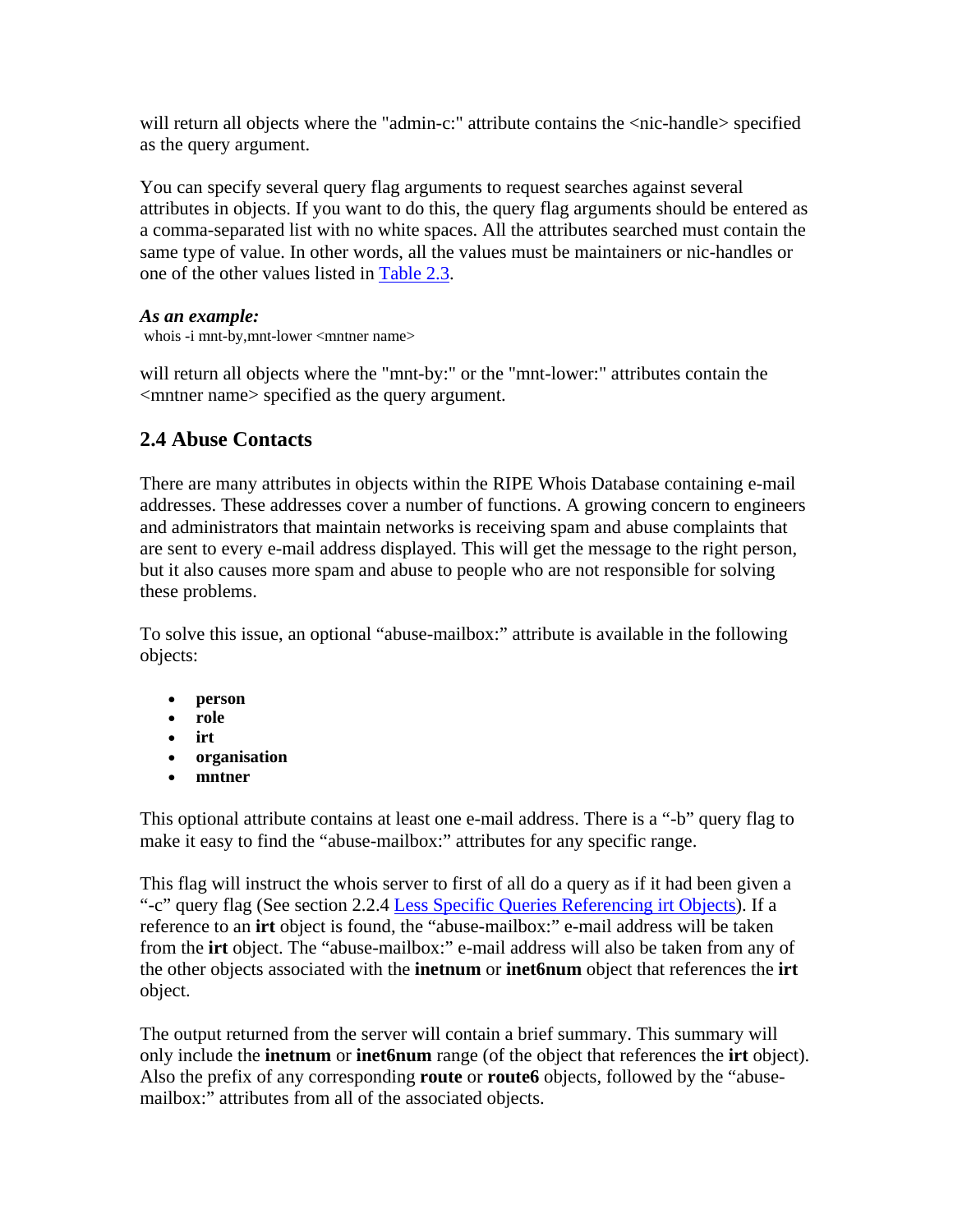will return all objects where the "admin-c:" attribute contains the  $\langle$ nic-handle> specified as the query argument.

You can specify several query flag arguments to request searches against several attributes in objects. If you want to do this, the query flag arguments should be entered as a comma-separated list with no white spaces. All the attributes searched must contain the same type of value. In other words, all the values must be maintainers or nic-handles or one of the other values listed in Table 2.3.

### *As an example:*

whois -i mnt-by, mnt-lower <mntner name>

will return all objects where the "mnt-by:" or the "mnt-lower:" attributes contain the <mntner name> specified as the query argument.

# **2.4 Abuse Contacts**

There are many attributes in objects within the RIPE Whois Database containing e-mail addresses. These addresses cover a number of functions. A growing concern to engineers and administrators that maintain networks is receiving spam and abuse complaints that are sent to every e-mail address displayed. This will get the message to the right person, but it also causes more spam and abuse to people who are not responsible for solving these problems.

To solve this issue, an optional "abuse-mailbox:" attribute is available in the following objects:

- **person**
- **role**
- **irt**
- **organisation**
- **mntner**

This optional attribute contains at least one e-mail address. There is a "-b" query flag to make it easy to find the "abuse-mailbox:" attributes for any specific range.

This flag will instruct the whois server to first of all do a query as if it had been given a "-c" query flag (See section 2.2.4 Less Specific Queries Referencing irt Objects). If a reference to an **irt** object is found, the "abuse-mailbox:" e-mail address will be taken from the **irt** object. The "abuse-mailbox:" e-mail address will also be taken from any of the other objects associated with the **inetnum** or **inet6num** object that references the **irt** object.

The output returned from the server will contain a brief summary. This summary will only include the **inetnum** or **inet6num** range (of the object that references the **irt** object). Also the prefix of any corresponding **route** or **route6** objects, followed by the "abusemailbox:" attributes from all of the associated objects.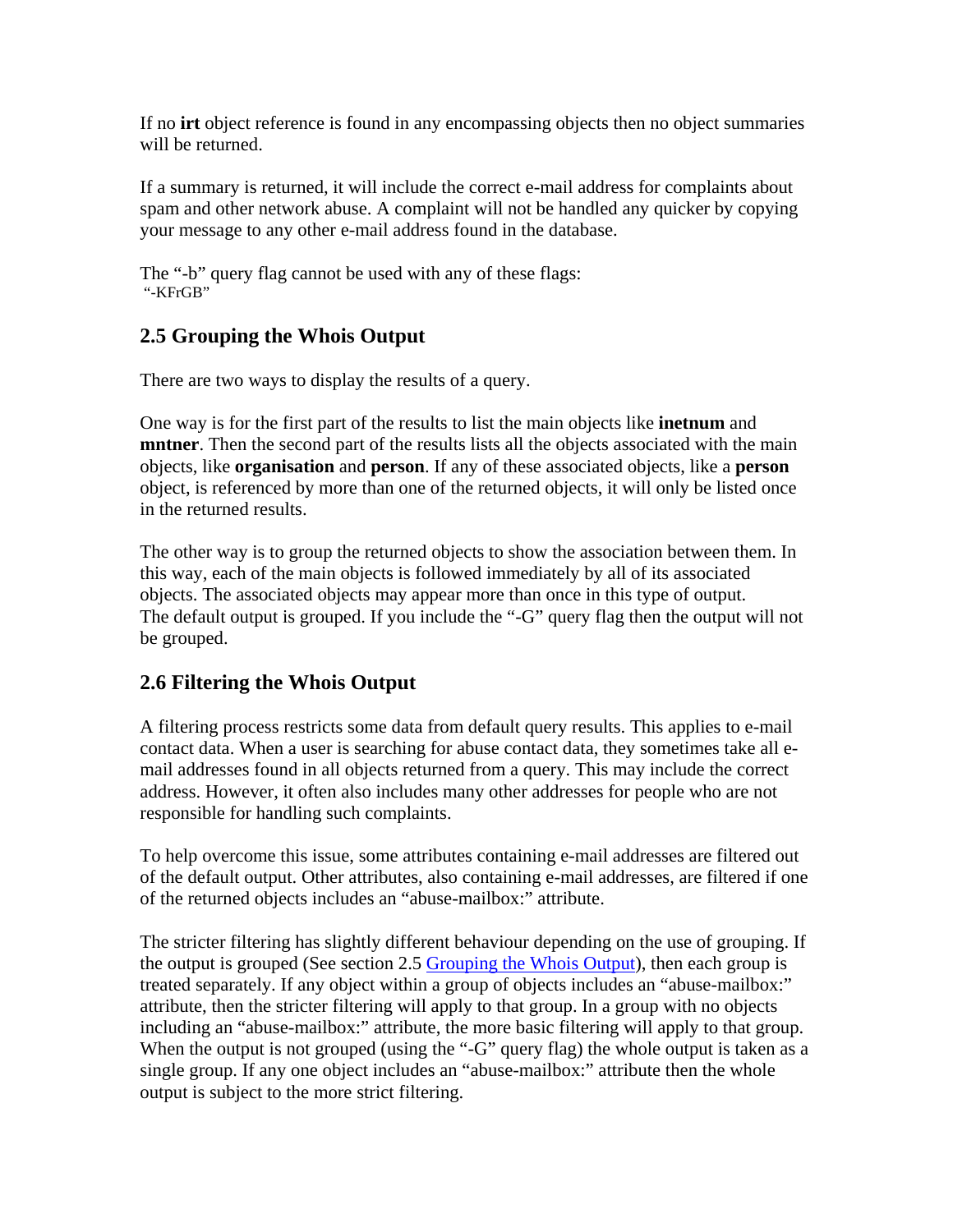If no **irt** object reference is found in any encompassing objects then no object summaries will be returned.

If a summary is returned, it will include the correct e-mail address for complaints about spam and other network abuse. A complaint will not be handled any quicker by copying your message to any other e-mail address found in the database.

The "-b" query flag cannot be used with any of these flags: "-KFrGB"

# **2.5 Grouping the Whois Output**

There are two ways to display the results of a query.

One way is for the first part of the results to list the main objects like **inetnum** and **mntner**. Then the second part of the results lists all the objects associated with the main objects, like **organisation** and **person**. If any of these associated objects, like a **person** object, is referenced by more than one of the returned objects, it will only be listed once in the returned results.

The other way is to group the returned objects to show the association between them. In this way, each of the main objects is followed immediately by all of its associated objects. The associated objects may appear more than once in this type of output. The default output is grouped. If you include the "-G" query flag then the output will not be grouped.

# **2.6 Filtering the Whois Output**

A filtering process restricts some data from default query results. This applies to e-mail contact data. When a user is searching for abuse contact data, they sometimes take all email addresses found in all objects returned from a query. This may include the correct address. However, it often also includes many other addresses for people who are not responsible for handling such complaints.

To help overcome this issue, some attributes containing e-mail addresses are filtered out of the default output. Other attributes, also containing e-mail addresses, are filtered if one of the returned objects includes an "abuse-mailbox:" attribute.

The stricter filtering has slightly different behaviour depending on the use of grouping. If the output is grouped (See section 2.5 Grouping the Whois Output), then each group is treated separately. If any object within a group of objects includes an "abuse-mailbox:" attribute, then the stricter filtering will apply to that group. In a group with no objects including an "abuse-mailbox:" attribute, the more basic filtering will apply to that group. When the output is not grouped (using the "-G" query flag) the whole output is taken as a single group. If any one object includes an "abuse-mailbox:" attribute then the whole output is subject to the more strict filtering.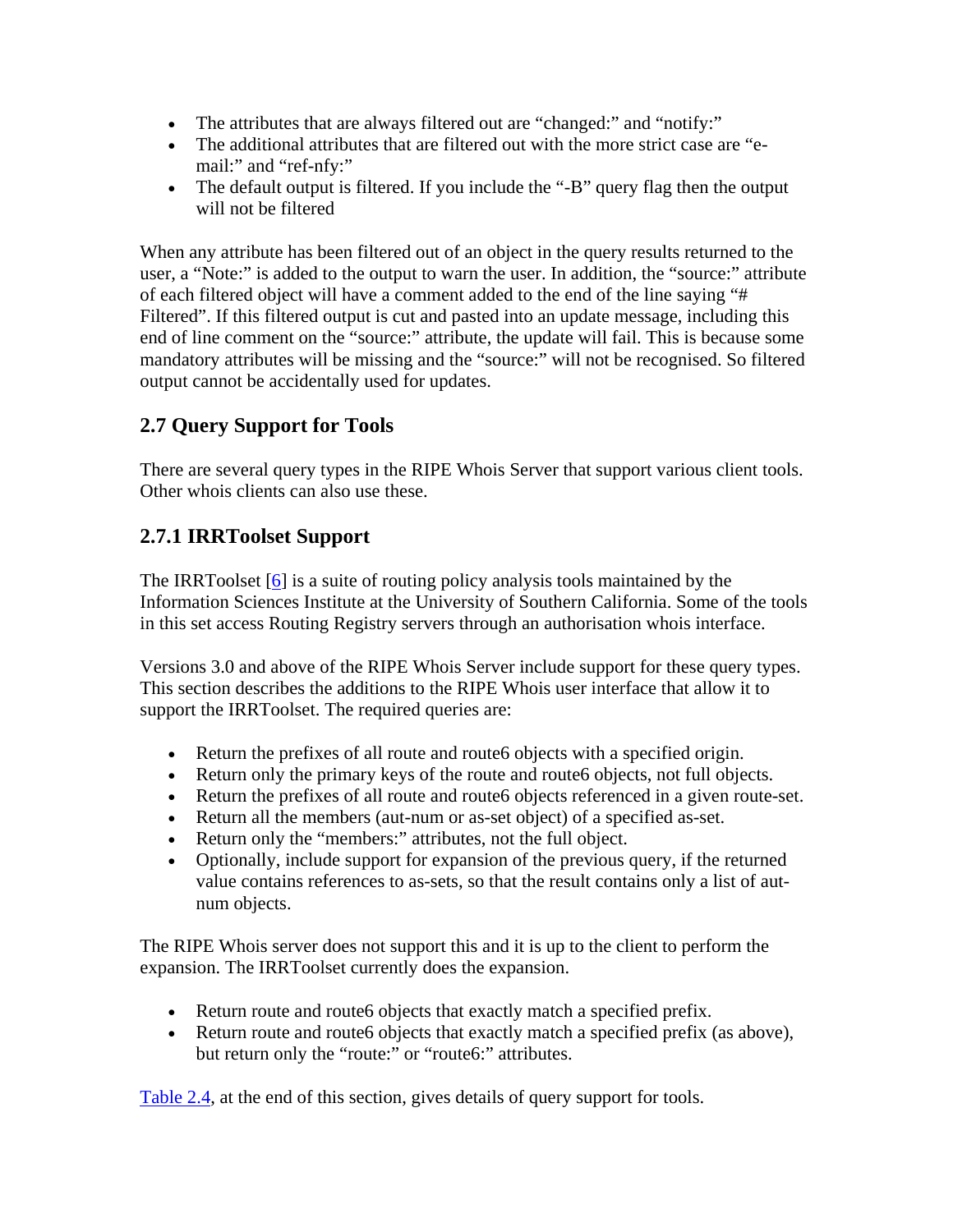- The attributes that are always filtered out are "changed:" and "notify:"
- The additional attributes that are filtered out with the more strict case are "email:" and "ref-nfy:"
- The default output is filtered. If you include the "-B" query flag then the output will not be filtered

When any attribute has been filtered out of an object in the query results returned to the user, a "Note:" is added to the output to warn the user. In addition, the "source:" attribute of each filtered object will have a comment added to the end of the line saying "# Filtered". If this filtered output is cut and pasted into an update message, including this end of line comment on the "source:" attribute, the update will fail. This is because some mandatory attributes will be missing and the "source:" will not be recognised. So filtered output cannot be accidentally used for updates.

# **2.7 Query Support for Tools**

There are several query types in the RIPE Whois Server that support various client tools. Other whois clients can also use these.

# **2.7.1 IRRToolset Support**

The IRRToolset  $[6]$  is a suite of routing policy analysis tools maintained by the Information Sciences Institute at the University of Southern California. Some of the tools in this set access Routing Registry servers through an authorisation whois interface.

Versions 3.0 and above of the RIPE Whois Server include support for these query types. This section describes the additions to the RIPE Whois user interface that allow it to support the IRRToolset. The required queries are:

- Return the prefixes of all route and route 6 objects with a specified origin.
- Return only the primary keys of the route and route 6 objects, not full objects.
- Return the prefixes of all route and route6 objects referenced in a given route-set.
- Return all the members (aut-num or as-set object) of a specified as-set.
- Return only the "members:" attributes, not the full object.
- Optionally, include support for expansion of the previous query, if the returned value contains references to as-sets, so that the result contains only a list of autnum objects.

The RIPE Whois server does not support this and it is up to the client to perform the expansion. The IRRToolset currently does the expansion.

- Return route and route 6 objects that exactly match a specified prefix.
- Return route and route to objects that exactly match a specified prefix (as above), but return only the "route:" or "route6:" attributes.

Table 2.4, at the end of this section, gives details of query support for tools.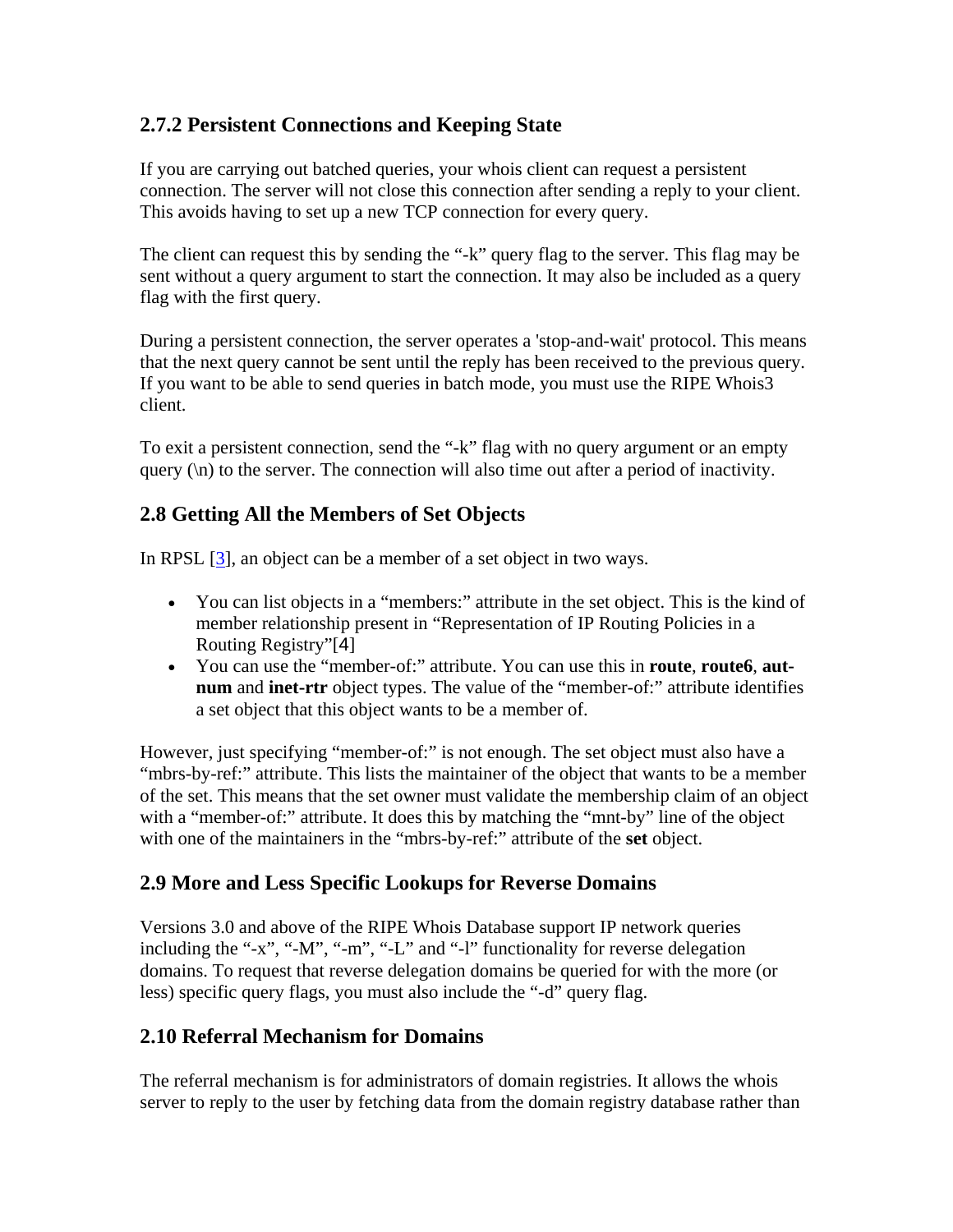## **2.7.2 Persistent Connections and Keeping State**

If you are carrying out batched queries, your whois client can request a persistent connection. The server will not close this connection after sending a reply to your client. This avoids having to set up a new TCP connection for every query.

The client can request this by sending the "-k" query flag to the server. This flag may be sent without a query argument to start the connection. It may also be included as a query flag with the first query.

During a persistent connection, the server operates a 'stop-and-wait' protocol. This means that the next query cannot be sent until the reply has been received to the previous query. If you want to be able to send queries in batch mode, you must use the RIPE Whois3 client.

To exit a persistent connection, send the "-k" flag with no query argument or an empty query  $(\n)$  to the server. The connection will also time out after a period of inactivity.

## **2.8 Getting All the Members of Set Objects**

In RPSL [3], an object can be a member of a set object in two ways.

- You can list objects in a "members:" attribute in the set object. This is the kind of member relationship present in "Representation of IP Routing Policies in a Routing Registry"[4]
- You can use the "member-of:" attribute. You can use this in **route**, **route6**, **autnum** and **inet-rtr** object types. The value of the "member-of:" attribute identifies a set object that this object wants to be a member of.

However, just specifying "member-of:" is not enough. The set object must also have a "mbrs-by-ref:" attribute. This lists the maintainer of the object that wants to be a member of the set. This means that the set owner must validate the membership claim of an object with a "member-of:" attribute. It does this by matching the "mnt-by" line of the object with one of the maintainers in the "mbrs-by-ref:" attribute of the **set** object.

## **2.9 More and Less Specific Lookups for Reverse Domains**

Versions 3.0 and above of the RIPE Whois Database support IP network queries including the "-x", "-M", "-m", "-L" and "-l" functionality for reverse delegation domains. To request that reverse delegation domains be queried for with the more (or less) specific query flags, you must also include the "-d" query flag.

## **2.10 Referral Mechanism for Domains**

The referral mechanism is for administrators of domain registries. It allows the whois server to reply to the user by fetching data from the domain registry database rather than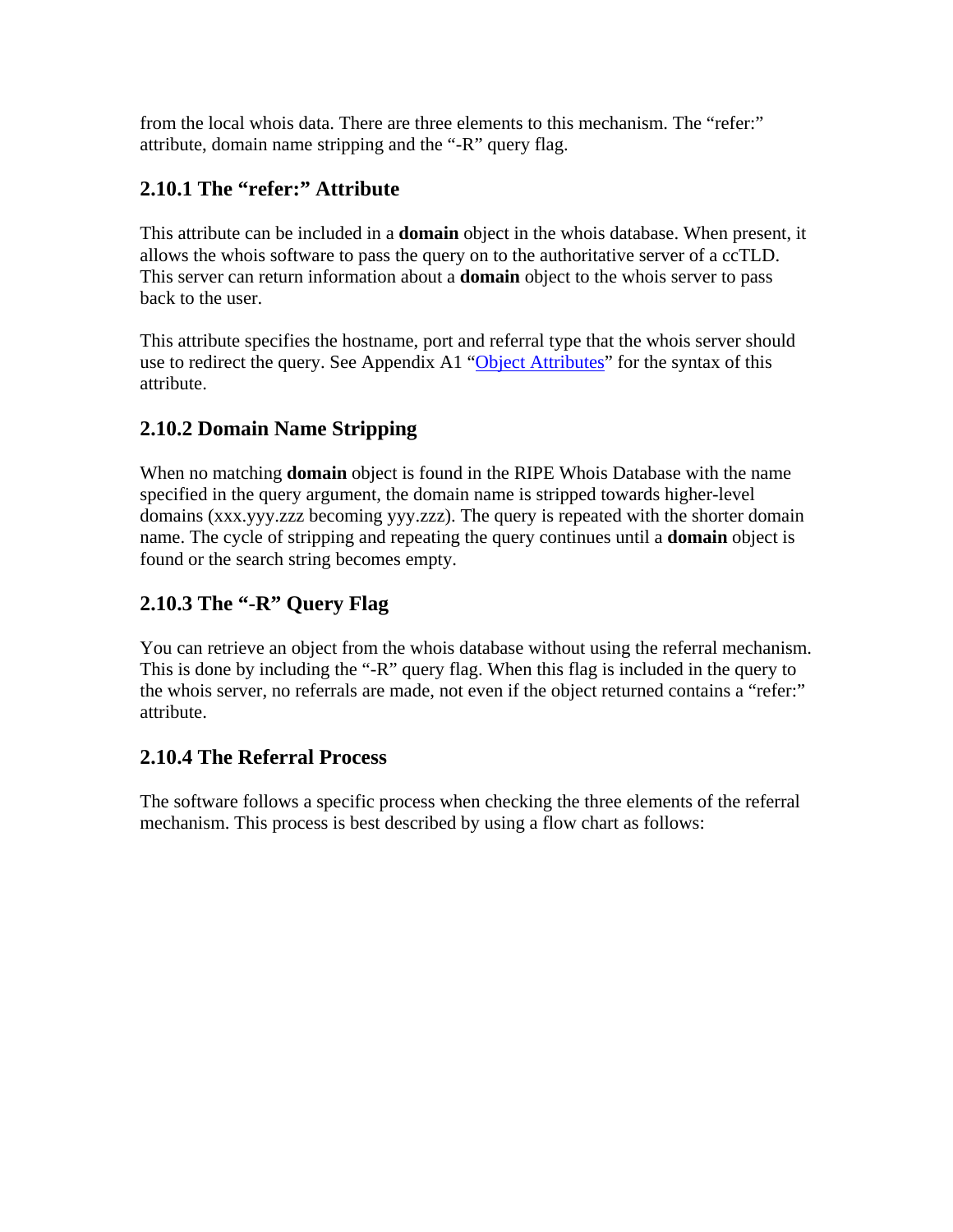from the local whois data. There are three elements to this mechanism. The "refer:" attribute, domain name stripping and the "-R" query flag.

# **2.10.1 The "refer:" Attribute**

This attribute can be included in a **domain** object in the whois database. When present, it allows the whois software to pass the query on to the authoritative server of a ccTLD. This server can return information about a **domain** object to the whois server to pass back to the user.

This attribute specifies the hostname, port and referral type that the whois server should use to redirect the query. See Appendix A1 "Object Attributes" for the syntax of this attribute.

# **2.10.2 Domain Name Stripping**

When no matching **domain** object is found in the RIPE Whois Database with the name specified in the query argument, the domain name is stripped towards higher-level domains (xxx.yyy.zzz becoming yyy.zzz). The query is repeated with the shorter domain name. The cycle of stripping and repeating the query continues until a **domain** object is found or the search string becomes empty.

# **2.10.3 The "-R" Query Flag**

You can retrieve an object from the whois database without using the referral mechanism. This is done by including the "-R" query flag. When this flag is included in the query to the whois server, no referrals are made, not even if the object returned contains a "refer:" attribute.

## **2.10.4 The Referral Process**

The software follows a specific process when checking the three elements of the referral mechanism. This process is best described by using a flow chart as follows: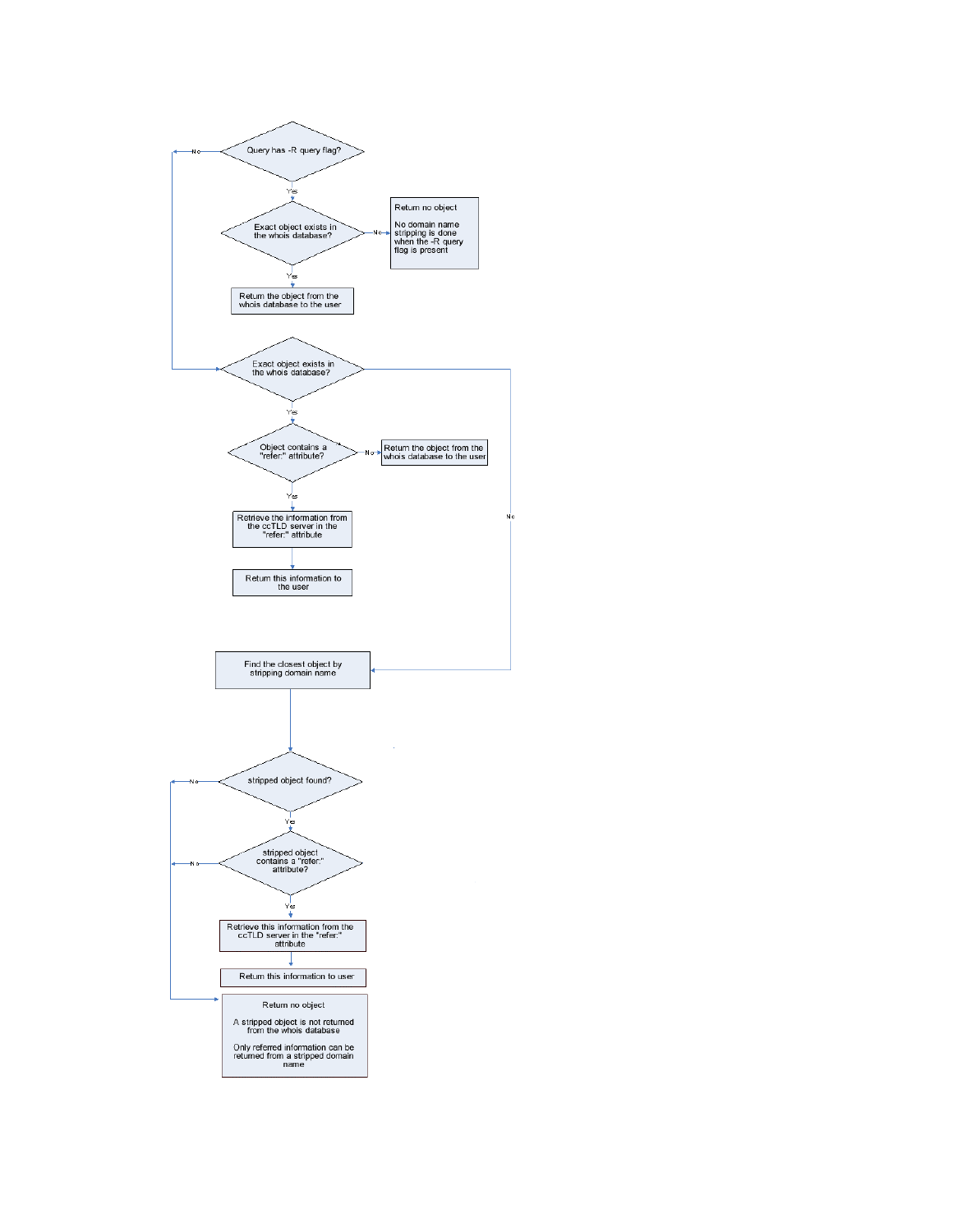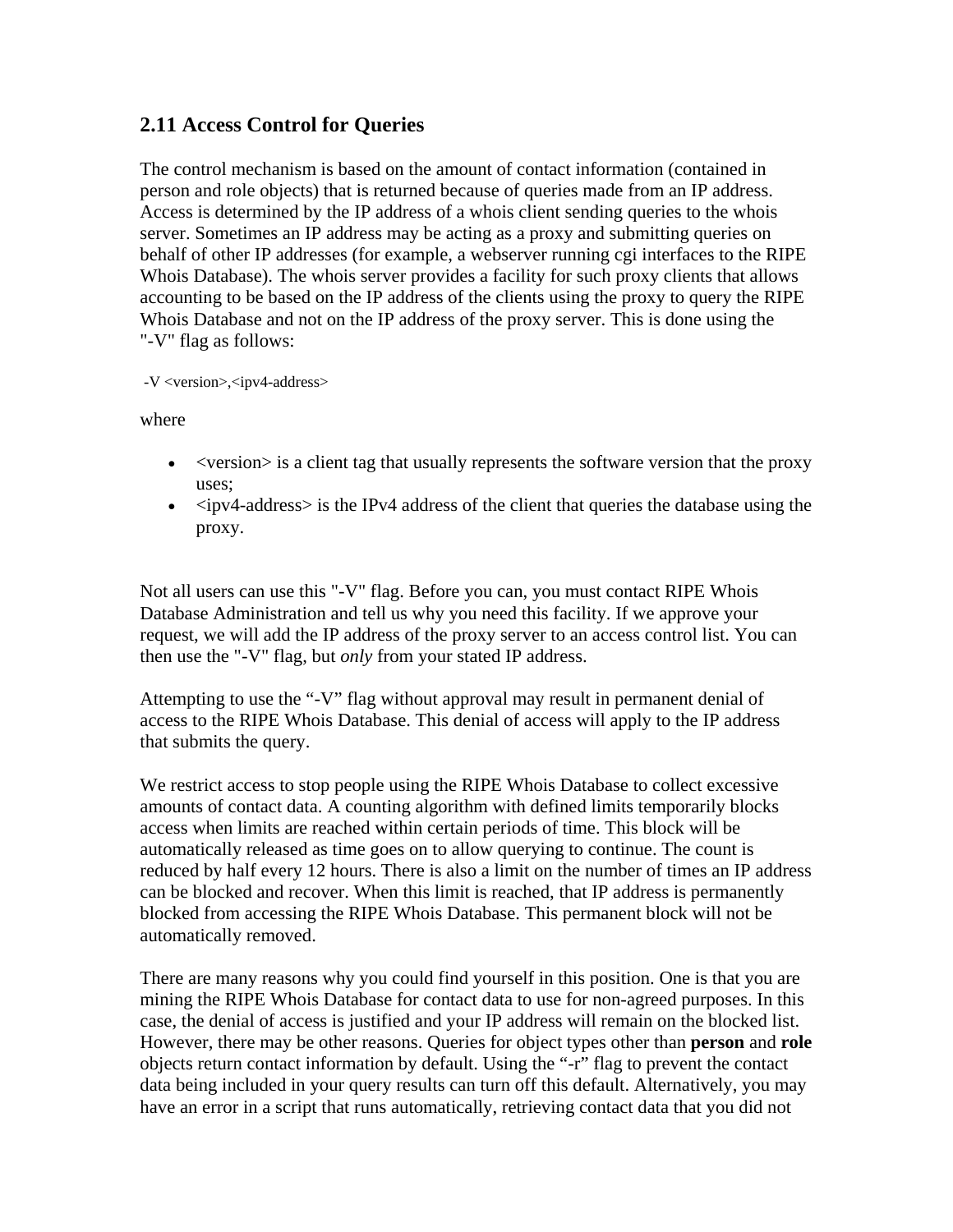## **2.11 Access Control for Queries**

The control mechanism is based on the amount of contact information (contained in person and role objects) that is returned because of queries made from an IP address. Access is determined by the IP address of a whois client sending queries to the whois server. Sometimes an IP address may be acting as a proxy and submitting queries on behalf of other IP addresses (for example, a webserver running cgi interfaces to the RIPE Whois Database). The whois server provides a facility for such proxy clients that allows accounting to be based on the IP address of the clients using the proxy to query the RIPE Whois Database and not on the IP address of the proxy server. This is done using the "-V" flag as follows:

-V <version>,<ipv4-address>

where

- <version is a client tag that usually represents the software version that the proxy uses;
- $\leq$ ipv4-address> is the IPv4 address of the client that queries the database using the proxy.

Not all users can use this "-V" flag. Before you can, you must contact RIPE Whois Database Administration and tell us why you need this facility. If we approve your request, we will add the IP address of the proxy server to an access control list. You can then use the "-V" flag, but *only* from your stated IP address.

Attempting to use the "-V" flag without approval may result in permanent denial of access to the RIPE Whois Database. This denial of access will apply to the IP address that submits the query.

We restrict access to stop people using the RIPE Whois Database to collect excessive amounts of contact data. A counting algorithm with defined limits temporarily blocks access when limits are reached within certain periods of time. This block will be automatically released as time goes on to allow querying to continue. The count is reduced by half every 12 hours. There is also a limit on the number of times an IP address can be blocked and recover. When this limit is reached, that IP address is permanently blocked from accessing the RIPE Whois Database. This permanent block will not be automatically removed.

There are many reasons why you could find yourself in this position. One is that you are mining the RIPE Whois Database for contact data to use for non-agreed purposes. In this case, the denial of access is justified and your IP address will remain on the blocked list. However, there may be other reasons. Queries for object types other than **person** and **role** objects return contact information by default. Using the "-r" flag to prevent the contact data being included in your query results can turn off this default. Alternatively, you may have an error in a script that runs automatically, retrieving contact data that you did not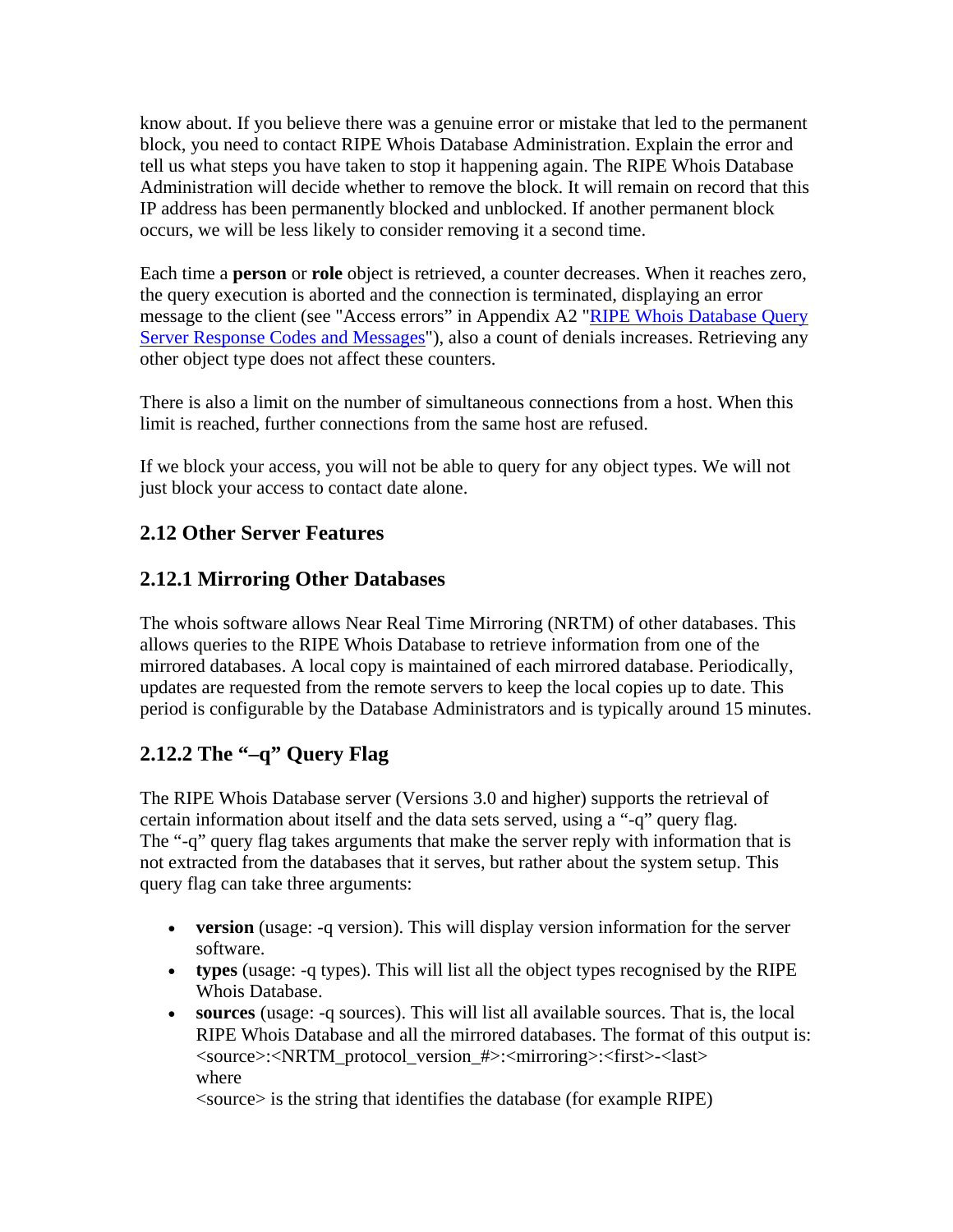know about. If you believe there was a genuine error or mistake that led to the permanent block, you need to contact RIPE Whois Database Administration. Explain the error and tell us what steps you have taken to stop it happening again. The RIPE Whois Database Administration will decide whether to remove the block. It will remain on record that this IP address has been permanently blocked and unblocked. If another permanent block occurs, we will be less likely to consider removing it a second time.

Each time a **person** or **role** object is retrieved, a counter decreases. When it reaches zero, the query execution is aborted and the connection is terminated, displaying an error message to the client (see "Access errors" in Appendix A2 "RIPE Whois Database Query Server Response Codes and Messages"), also a count of denials increases. Retrieving any other object type does not affect these counters.

There is also a limit on the number of simultaneous connections from a host. When this limit is reached, further connections from the same host are refused.

If we block your access, you will not be able to query for any object types. We will not just block your access to contact date alone.

# **2.12 Other Server Features**

# **2.12.1 Mirroring Other Databases**

The whois software allows Near Real Time Mirroring (NRTM) of other databases. This allows queries to the RIPE Whois Database to retrieve information from one of the mirrored databases. A local copy is maintained of each mirrored database. Periodically, updates are requested from the remote servers to keep the local copies up to date. This period is configurable by the Database Administrators and is typically around 15 minutes.

# **2.12.2 The "–q" Query Flag**

The RIPE Whois Database server (Versions 3.0 and higher) supports the retrieval of certain information about itself and the data sets served, using a "-q" query flag. The "-q" query flag takes arguments that make the server reply with information that is not extracted from the databases that it serves, but rather about the system setup. This query flag can take three arguments:

- **version** (usage: -q version). This will display version information for the server software.
- **types** (usage: -q types). This will list all the object types recognised by the RIPE Whois Database.
- **sources** (usage: -q sources). This will list all available sources. That is, the local RIPE Whois Database and all the mirrored databases. The format of this output is: <source>:<NRTM\_protocol\_version\_#>:<mirroring>:<first>-<last> where

<source> is the string that identifies the database (for example RIPE)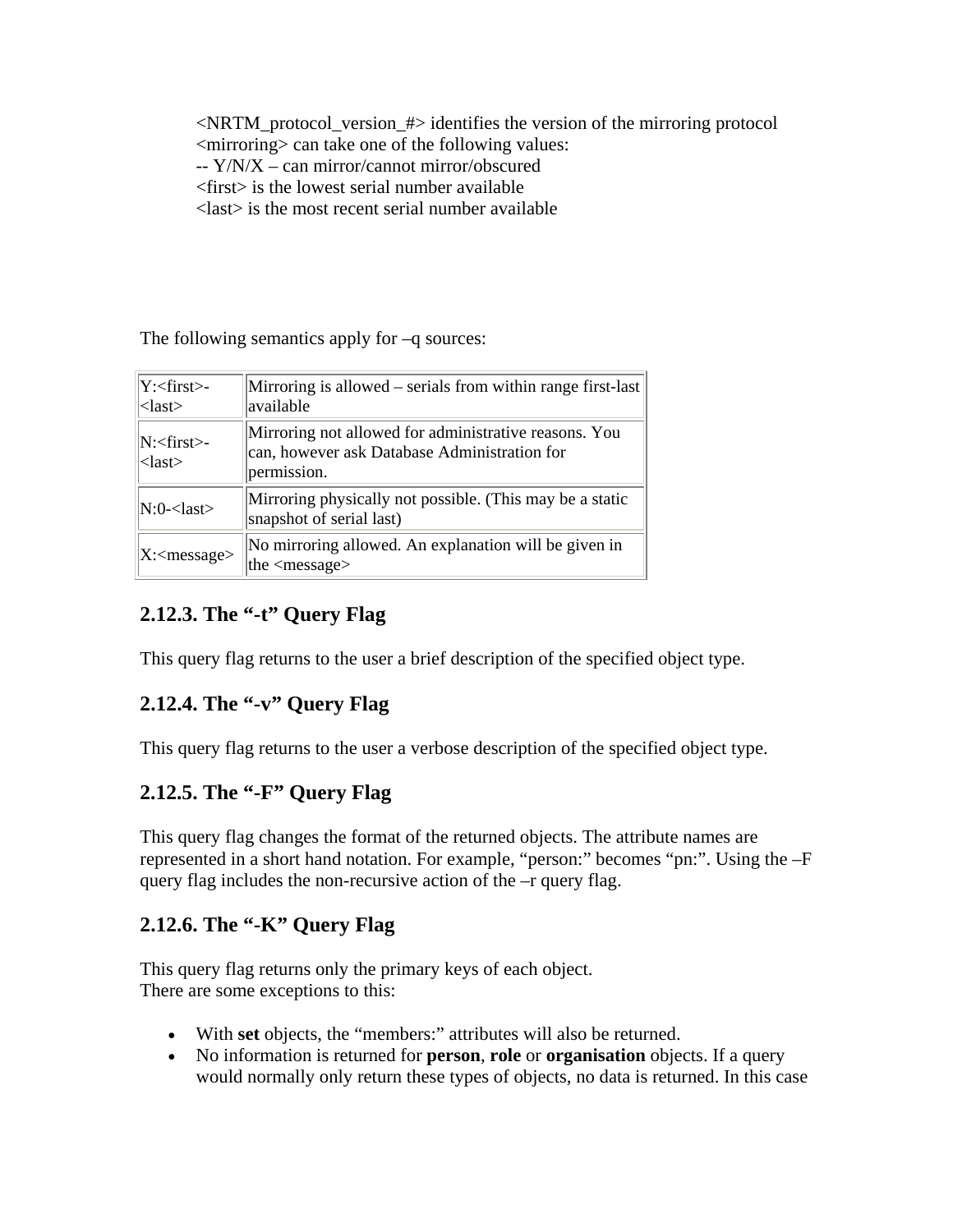<NRTM\_protocol\_version\_#> identifies the version of the mirroring protocol <mirroring> can take one of the following values:

- -- Y/N/X can mirror/cannot mirror/obscured
- <first> is the lowest serial number available

<last> is the most recent serial number available

The following semantics apply for –q sources:

| Y: <first>-<br/><math>\langle</math>last<math>\rangle</math></first> | Mirroring is allowed – serials from within range first-last<br>available                                             |
|----------------------------------------------------------------------|----------------------------------------------------------------------------------------------------------------------|
| N: <first>-<br/><math>\langle</math>last<math>\rangle</math></first> | Mirroring not allowed for administrative reasons. You<br>can, however ask Database Administration for<br>permission. |
| $N:0$ - <last></last>                                                | Mirroring physically not possible. (This may be a static<br>snapshot of serial last)                                 |
| $X:\langle$ message>                                                 | No mirroring allowed. An explanation will be given in<br>the $\langle$ message $\rangle$                             |

# **2.12.3. The "-t" Query Flag**

This query flag returns to the user a brief description of the specified object type.

# **2.12.4. The "-v" Query Flag**

This query flag returns to the user a verbose description of the specified object type.

# **2.12.5. The "-F" Query Flag**

This query flag changes the format of the returned objects. The attribute names are represented in a short hand notation. For example, "person:" becomes "pn:". Using the –F query flag includes the non-recursive action of the –r query flag.

# **2.12.6. The "-K" Query Flag**

This query flag returns only the primary keys of each object. There are some exceptions to this:

- With **set** objects, the "members:" attributes will also be returned.
- No information is returned for **person**, **role** or **organisation** objects. If a query would normally only return these types of objects, no data is returned. In this case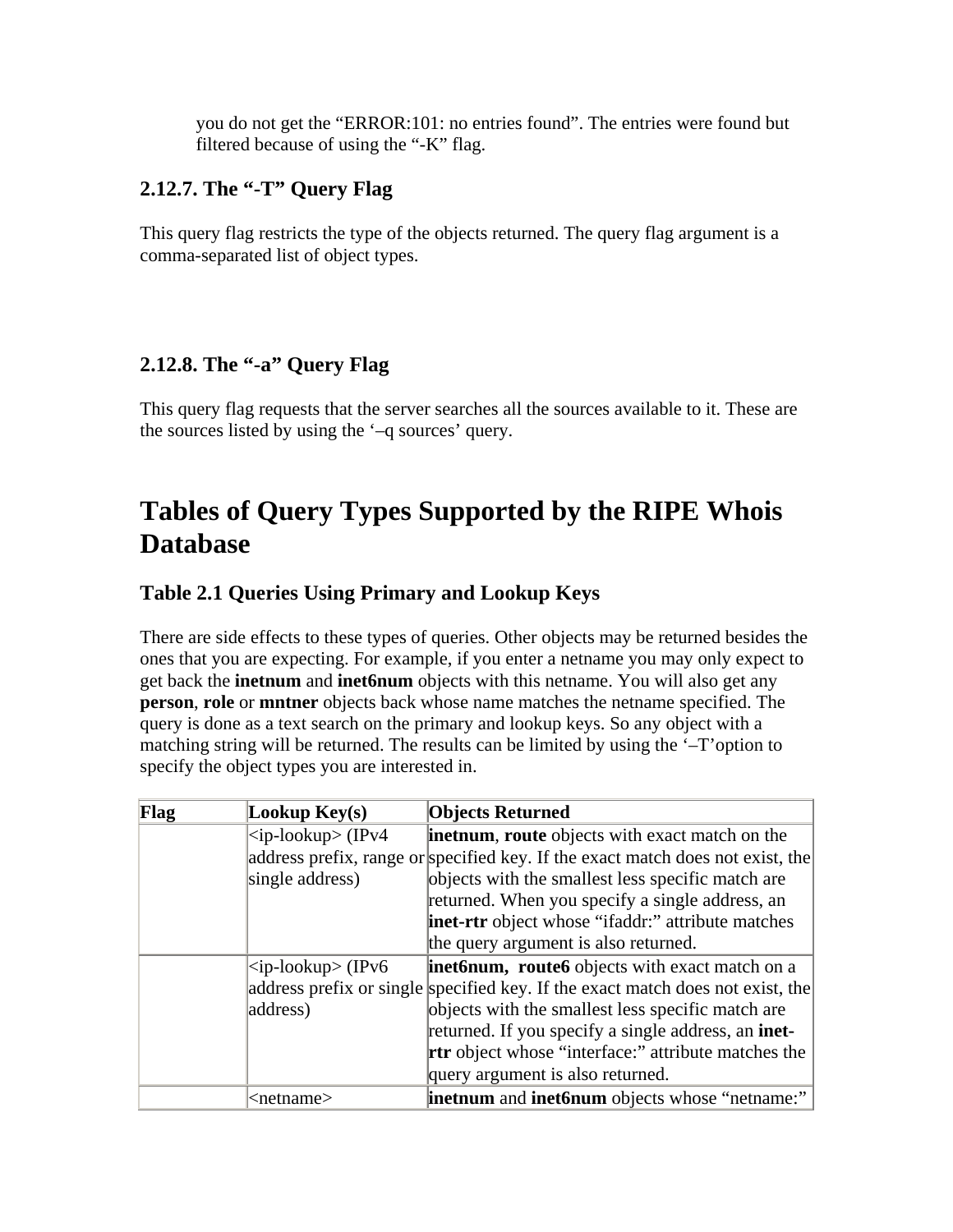you do not get the "ERROR:101: no entries found". The entries were found but filtered because of using the "-K" flag.

## **2.12.7. The "-T" Query Flag**

This query flag restricts the type of the objects returned. The query flag argument is a comma-separated list of object types.

# **2.12.8. The "-a" Query Flag**

This query flag requests that the server searches all the sources available to it. These are the sources listed by using the '–q sources' query.

# **Tables of Query Types Supported by the RIPE Whois Database**

# **Table 2.1 Queries Using Primary and Lookup Keys**

There are side effects to these types of queries. Other objects may be returned besides the ones that you are expecting. For example, if you enter a netname you may only expect to get back the **inetnum** and **inet6num** objects with this netname. You will also get any **person**, **role** or **mntner** objects back whose name matches the netname specified. The query is done as a text search on the primary and lookup keys. So any object with a matching string will be returned. The results can be limited by using the '–T'option to specify the object types you are interested in.

| Flag | Lookup Key(s)       | <b>Objects Returned</b>                                                        |
|------|---------------------|--------------------------------------------------------------------------------|
|      | $ zip-lookup>(IPv4$ | <b>inetnum, route</b> objects with exact match on the                          |
|      |                     | address prefix, range or specified key. If the exact match does not exist, the |
|      | single address)     | objects with the smallest less specific match are                              |
|      |                     | returned. When you specify a single address, an                                |
|      |                     | <b>inet-rtr</b> object whose "ifaddr:" attribute matches                       |
|      |                     | the query argument is also returned.                                           |
|      | $ zip-lookup>(IPv6$ | inet6num, route6 objects with exact match on a                                 |
|      |                     | address prefix or single specified key. If the exact match does not exist, the |
|      | address)            | objects with the smallest less specific match are                              |
|      |                     | returned. If you specify a single address, an inet-                            |
|      |                     | <b>rtr</b> object whose "interface:" attribute matches the                     |
|      |                     | query argument is also returned.                                               |
|      | <netname></netname> | <b>inetnum</b> and <b>inet6num</b> objects whose "netname:"                    |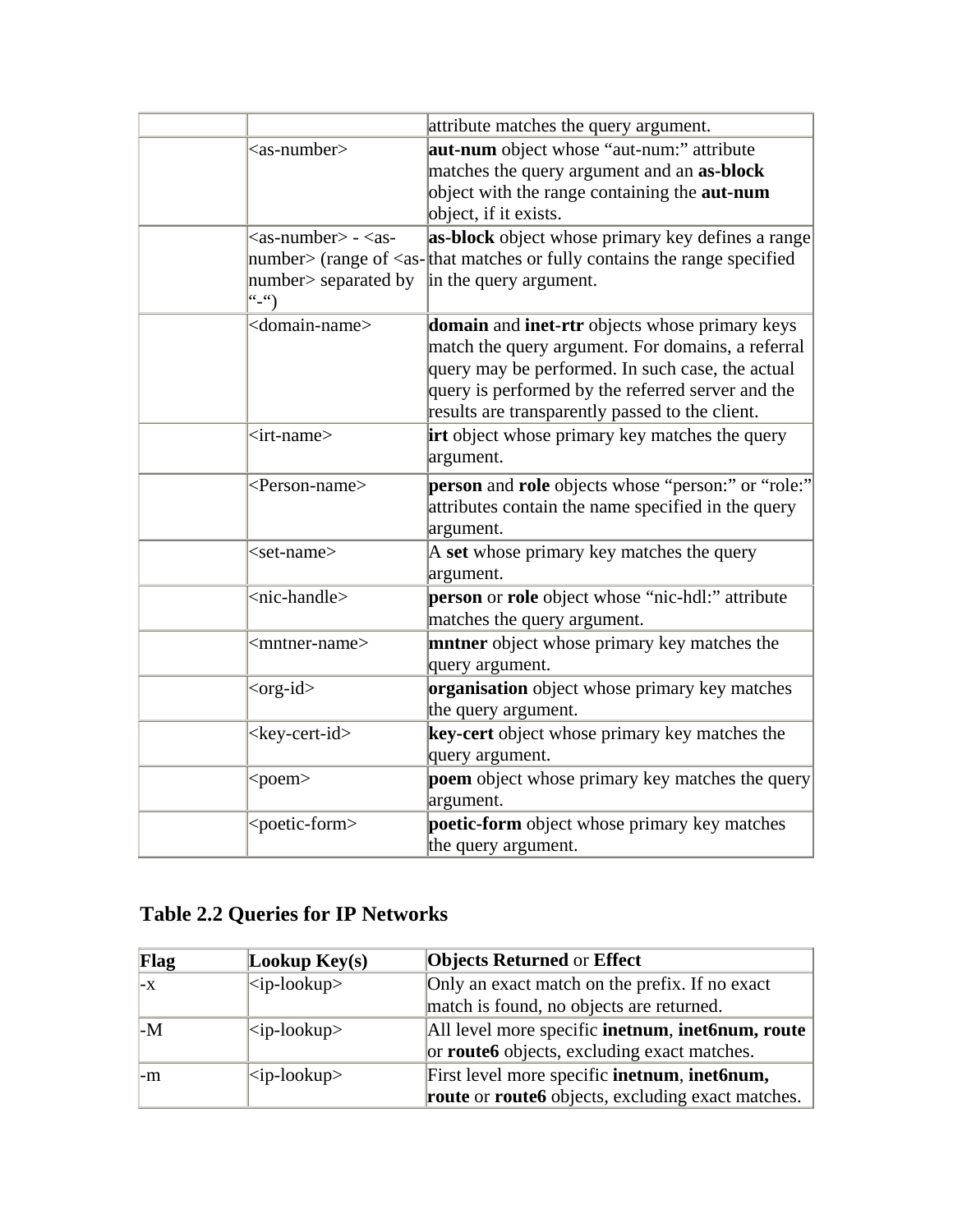|                                                                                       | attribute matches the query argument.                                                                                                                                                                                                                           |
|---------------------------------------------------------------------------------------|-----------------------------------------------------------------------------------------------------------------------------------------------------------------------------------------------------------------------------------------------------------------|
| $as-number$                                                                           | aut-num object whose "aut-num:" attribute                                                                                                                                                                                                                       |
|                                                                                       | matches the query argument and an as-block                                                                                                                                                                                                                      |
|                                                                                       | object with the range containing the <b>aut-num</b>                                                                                                                                                                                                             |
|                                                                                       | object, if it exists.                                                                                                                                                                                                                                           |
| $\langle$ as-number $>$ - $\langle$ as-                                               | as-block object whose primary key defines a range                                                                                                                                                                                                               |
|                                                                                       | number > (range of $\langle$ as- $ $ that matches or fully contains the range specified                                                                                                                                                                         |
| number> separated by<br>$\left( \begin{array}{c} 1 & 1 \\ -1 & 1 \end{array} \right)$ | in the query argument.                                                                                                                                                                                                                                          |
| <domain-name></domain-name>                                                           | domain and inet-rtr objects whose primary keys<br>match the query argument. For domains, a referral<br>query may be performed. In such case, the actual<br>query is performed by the referred server and the<br>results are transparently passed to the client. |
| <irt-name></irt-name>                                                                 | irt object whose primary key matches the query<br>argument.                                                                                                                                                                                                     |
| <person-name></person-name>                                                           | person and role objects whose "person:" or "role:"<br>attributes contain the name specified in the query<br>argument.                                                                                                                                           |
| $<$ set-name $>$                                                                      | A set whose primary key matches the query<br>argument.                                                                                                                                                                                                          |
| <nic-handle></nic-handle>                                                             | person or role object whose "nic-hdl:" attribute<br>matches the query argument.                                                                                                                                                                                 |
| <mntner-name></mntner-name>                                                           | <b>mntner</b> object whose primary key matches the<br>query argument.                                                                                                                                                                                           |
| <org-id></org-id>                                                                     | organisation object whose primary key matches<br>the query argument.                                                                                                                                                                                            |
| <key-cert-id></key-cert-id>                                                           | key-cert object whose primary key matches the<br>query argument.                                                                                                                                                                                                |
| $<$ poem $>$                                                                          | poem object whose primary key matches the query<br>argument.                                                                                                                                                                                                    |
| <poetic-form></poetic-form>                                                           | poetic-form object whose primary key matches<br>the query argument.                                                                                                                                                                                             |

# **Table 2.2 Queries for IP Networks**

| Flag | Lookup $Key(s)$ | <b>Objects Returned or Effect</b>                                       |  |
|------|-----------------|-------------------------------------------------------------------------|--|
| $-x$ | $ $ ip-lookup > | Only an exact match on the prefix. If no exact                          |  |
|      |                 | match is found, no objects are returned.                                |  |
| $-M$ | $ $ ip-lookup>  | All level more specific <b>inetnum</b> , <b>inet6num</b> , <b>route</b> |  |
|      |                 | or <b>route6</b> objects, excluding exact matches.                      |  |
| $-m$ | $ $ ip-lookup>  | First level more specific inetnum, inet6num,                            |  |
|      |                 | <b>route</b> or <b>route6</b> objects, excluding exact matches.         |  |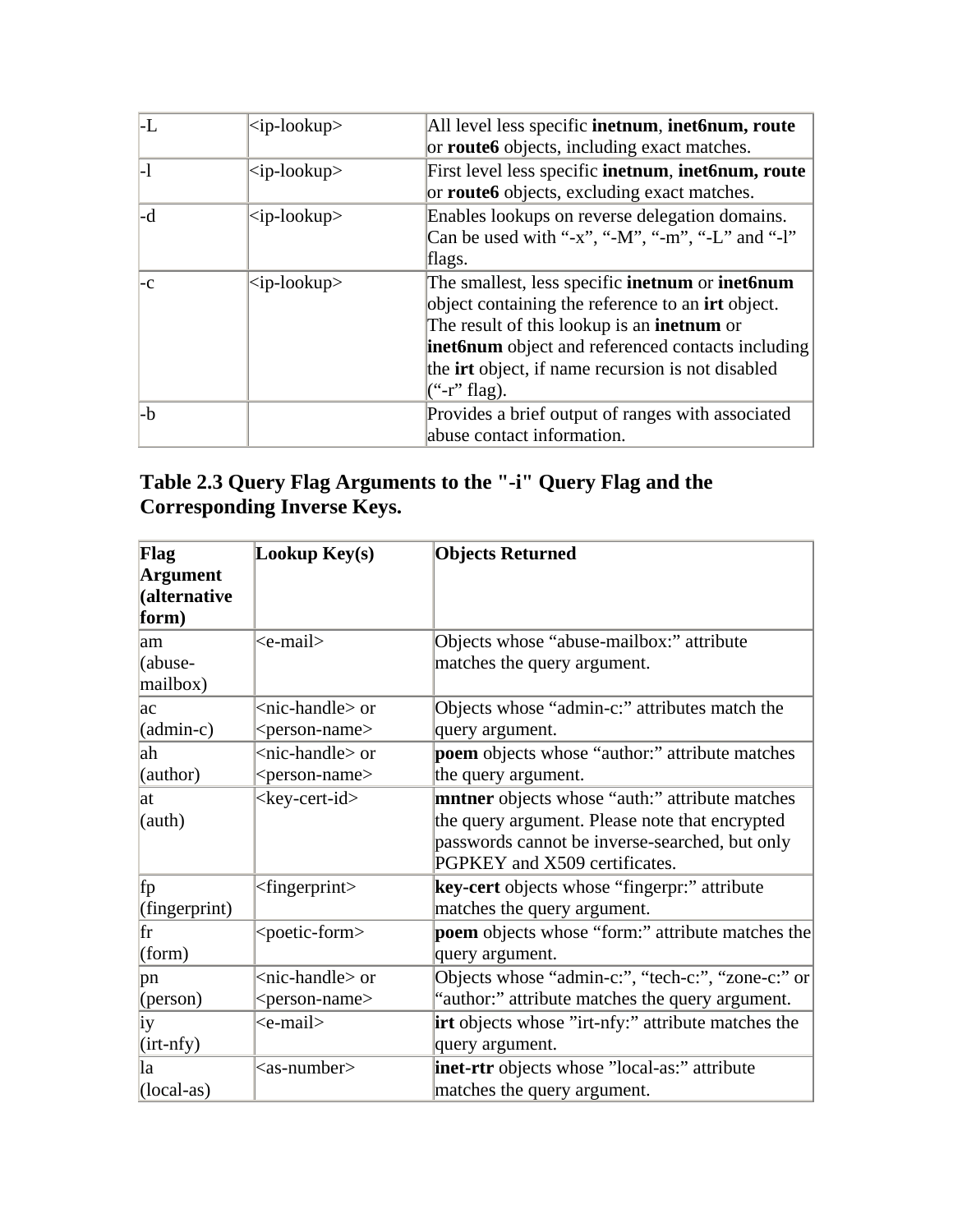| LL           | $<$ ip-lookup $>$       | All level less specific <b>inetnum</b> , <b>inet6num, route</b><br>or <b>route6</b> objects, including exact matches.                                                                                                                                                                                                 |
|--------------|-------------------------|-----------------------------------------------------------------------------------------------------------------------------------------------------------------------------------------------------------------------------------------------------------------------------------------------------------------------|
| $\mathsf{L}$ | $<$ ip-lookup $>$       | First level less specific inetnum, inet6num, route<br>or <b>route6</b> objects, excluding exact matches.                                                                                                                                                                                                              |
| l-d          | <ip-lookup></ip-lookup> | Enables lookups on reverse delegation domains.<br>Can be used with "-x", "-M", "-m", "-L" and "-l"<br>flags.                                                                                                                                                                                                          |
| l-C          | $\langle$ ip-lookup>    | The smallest, less specific <b>inetnum</b> or <b>inet6num</b><br>object containing the reference to an <b>irt</b> object.<br>The result of this lookup is an <b>inetnum</b> or<br><b>inet6num</b> object and referenced contacts including<br>the <b>irt</b> object, if name recursion is not disabled<br>("r" flag). |
| -b           |                         | Provides a brief output of ranges with associated<br>abuse contact information.                                                                                                                                                                                                                                       |

# **Table 2.3 Query Flag Arguments to the "-i" Query Flag and the Corresponding Inverse Keys.**

| Flag                        | Lookup Key(s)                | <b>Objects Returned</b>                                   |
|-----------------------------|------------------------------|-----------------------------------------------------------|
| <b>Argument</b>             |                              |                                                           |
| (alternative                |                              |                                                           |
| form)                       |                              |                                                           |
| lam                         | <e-mail></e-mail>            | Objects whose "abuse-mailbox:" attribute                  |
| (abuse-                     |                              | matches the query argument.                               |
| mailbox)                    |                              |                                                           |
| lac                         | <nic-handle> or</nic-handle> | Objects whose "admin-c:" attributes match the             |
| $(admin-c)$                 | <person-name></person-name>  | query argument.                                           |
| lah                         | <nic-handle> or</nic-handle> | <b>poem</b> objects whose "author:" attribute matches     |
| (author)                    | <person-name></person-name>  | the query argument.                                       |
| lat                         | <key-cert-id></key-cert-id>  | mntner objects whose "auth:" attribute matches            |
| (auth)                      |                              | the query argument. Please note that encrypted            |
|                             |                              | passwords cannot be inverse-searched, but only            |
|                             |                              | PGPKEY and X509 certificates.                             |
| fp                          | $<$ fingerprint $>$          | key-cert objects whose "fingerpr:" attribute              |
| (fingerprint)               |                              | matches the query argument.                               |
| fr                          | <poetic-form></poetic-form>  | poem objects whose "form:" attribute matches the          |
| $\left( \text{form}\right)$ |                              | query argument.                                           |
| pn                          | <nic-handle> or</nic-handle> | Objects whose "admin-c:", "tech-c:", "zone-c:" or         |
| ( $person)$                 | <person-name></person-name>  | "author:" attribute matches the query argument.           |
| İУ                          | <e-mail></e-mail>            | <b>irt</b> objects whose "irt-nfy:" attribute matches the |
| $\left($ irt-nfy $\right)$  |                              | query argument.                                           |
| la                          | $<$ as-number $>$            | <b>inet-rtr</b> objects whose "local-as:" attribute       |
| $(local-as)$                |                              | matches the query argument.                               |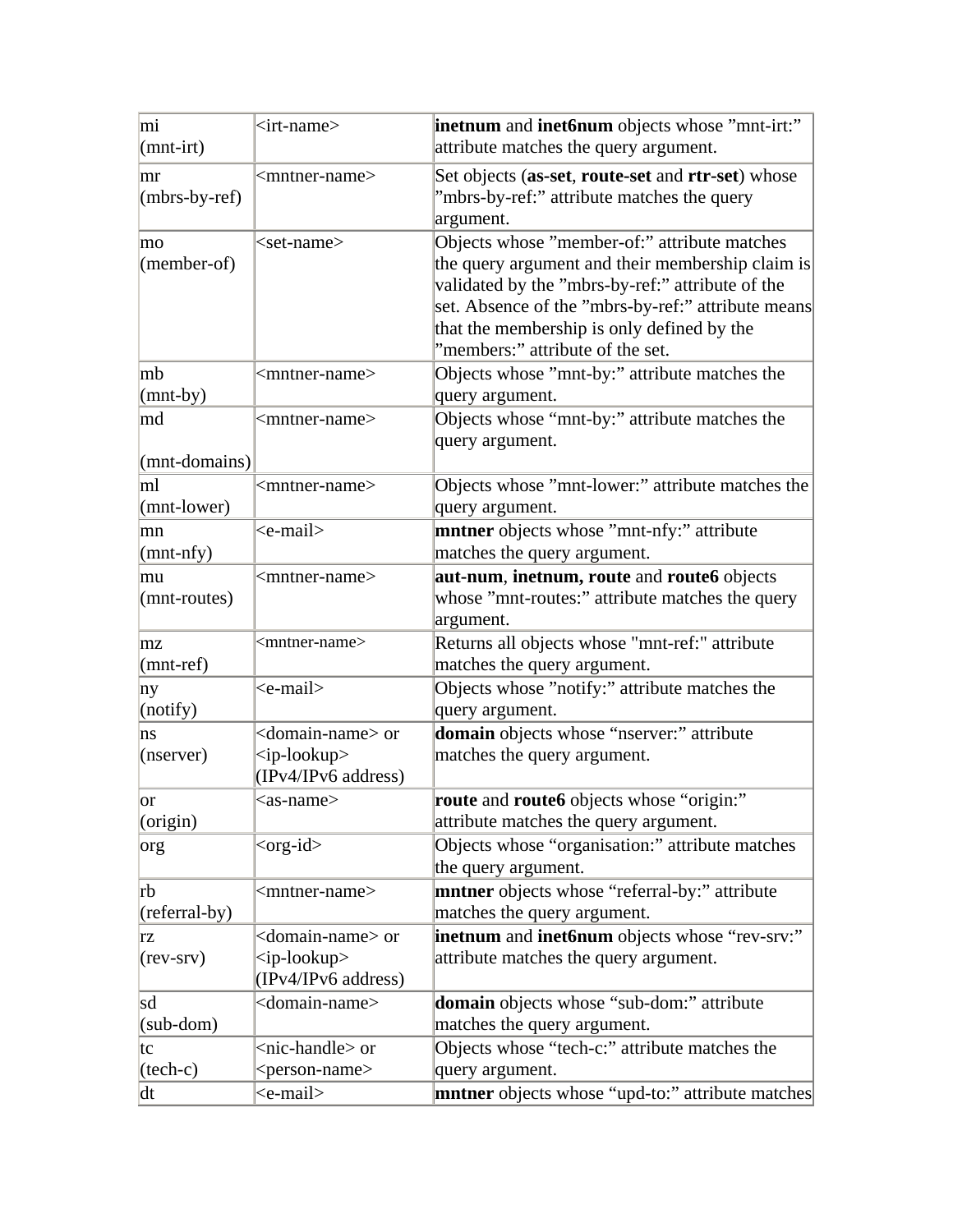| mi                 | <irt-name></irt-name>          | inetnum and inet6num objects whose "mnt-irt:"           |
|--------------------|--------------------------------|---------------------------------------------------------|
| $\text{mnt-irt}$   |                                | attribute matches the query argument.                   |
|                    |                                |                                                         |
| mr                 | <mntner-name></mntner-name>    | Set objects (as-set, route-set and rtr-set) whose       |
| $(mbrs-by-ref)$    |                                | "mbrs-by-ref:" attribute matches the query              |
|                    |                                | argument.                                               |
| mo                 | <set-name></set-name>          | Objects whose "member-of:" attribute matches            |
| $(member-of)$      |                                | the query argument and their membership claim is        |
|                    |                                | validated by the "mbrs-by-ref:" attribute of the        |
|                    |                                | set. Absence of the "mbrs-by-ref:" attribute means      |
|                    |                                | that the membership is only defined by the              |
|                    |                                | "members:" attribute of the set.                        |
| mb                 | <mntner-name></mntner-name>    | Objects whose "mnt-by:" attribute matches the           |
| $\text{mnt-by}$    |                                | query argument.                                         |
| md                 | <mntner-name></mntner-name>    | Objects whose "mnt-by:" attribute matches the           |
|                    |                                | query argument.                                         |
| $(mnt-domain)$     |                                |                                                         |
| ml                 | <mntner-name></mntner-name>    | Objects whose "mnt-lower:" attribute matches the        |
| $(mnt-lower)$      |                                | query argument.                                         |
| mn                 | <e-mail></e-mail>              | mntner objects whose "mnt-nfy:" attribute               |
| $\text{mnt-nfy}$   |                                | matches the query argument.                             |
| mu                 | <mntner-name></mntner-name>    | aut-num, inetnum, route and route6 objects              |
| $(mnt-routes)$     |                                | whose "mnt-routes:" attribute matches the query         |
|                    |                                | argument.                                               |
| mz                 | <mntner-name></mntner-name>    | Returns all objects whose "mnt-ref:" attribute          |
| $\text{mnt-ref}$   |                                | matches the query argument.                             |
| ny                 | <e-mail></e-mail>              | Objects whose "notify:" attribute matches the           |
| (notify)           |                                | query argument.                                         |
| ns                 | <domain-name> or</domain-name> | domain objects whose "nserver:" attribute               |
| (nserver)          | $\langle$ ip-lookup>           | matches the query argument.                             |
|                    | (IPv4/IPv6 address)            |                                                         |
| or                 | <as-name></as-name>            | route and route6 objects whose "origin:"                |
| (origin)           |                                | attribute matches the query argument.                   |
| org                | $<$ org-id $>$                 | Objects whose "organisation:" attribute matches         |
|                    |                                | the query argument.                                     |
| rb                 | <mntner-name></mntner-name>    | mntner objects whose "referral-by:" attribute           |
| $(referred-by)$    |                                | matches the query argument.                             |
| rz                 | <domain-name> or</domain-name> | inetnum and inet6num objects whose "rev-srv:"           |
| $(rev-srv)$        | $<$ ip-lookup>                 | attribute matches the query argument.                   |
|                    | (IPv4/IPv6 address)            |                                                         |
| sd                 | <domain-name></domain-name>    | domain objects whose "sub-dom:" attribute               |
| $(sub\text{-}dom)$ |                                | matches the query argument.                             |
| tc                 | <nic-handle> or</nic-handle>   | Objects whose "tech-c:" attribute matches the           |
| $(\text{tech-c})$  | <person-name></person-name>    | query argument.                                         |
| dt                 | <e-mail></e-mail>              | <b>mntner</b> objects whose "upd-to:" attribute matches |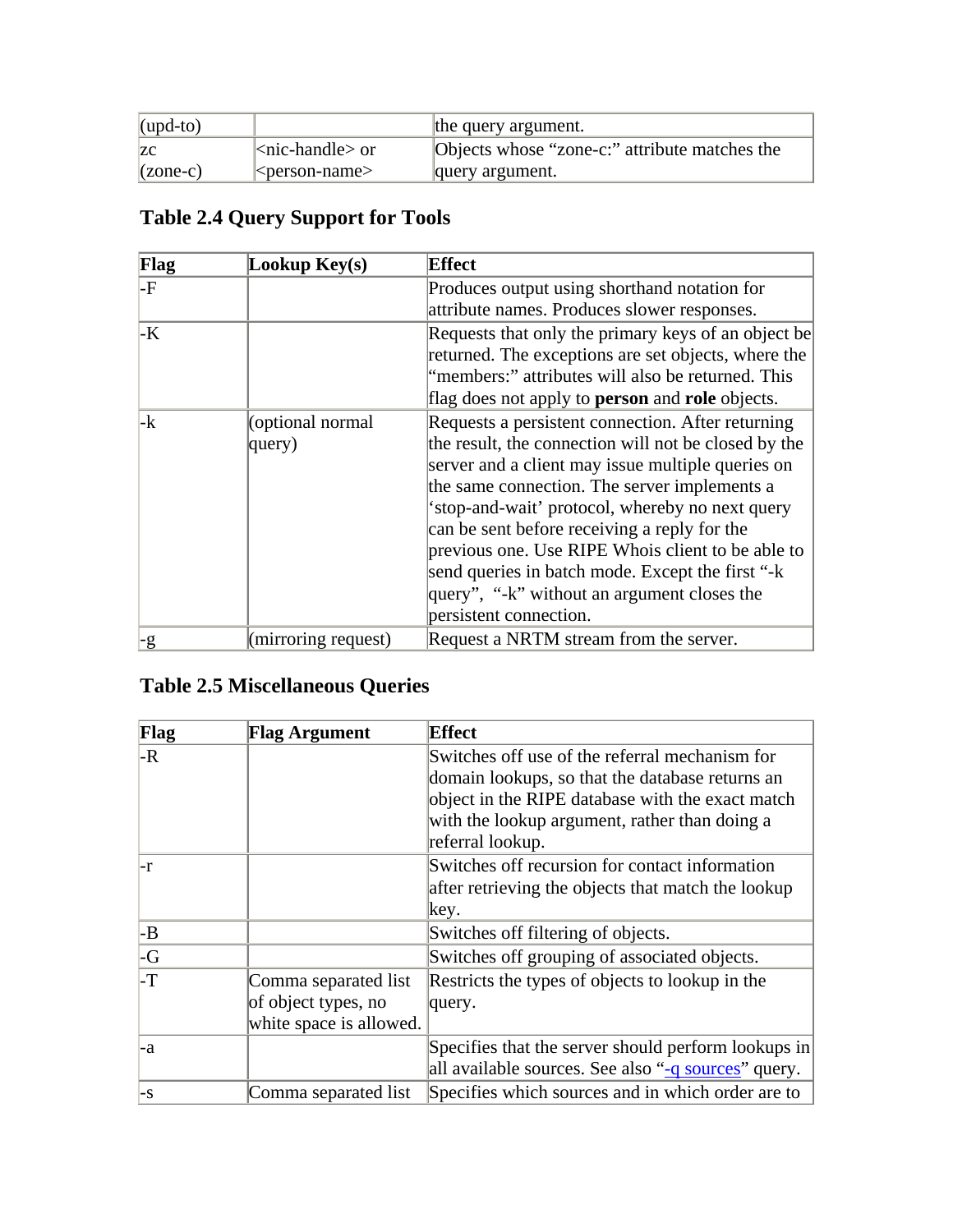| $\mu$ (upd-to)   |                        | the query argument.                           |
|------------------|------------------------|-----------------------------------------------|
| <b>ZC</b>        | $ <$ nic-handle $>$ or | Objects whose "zone-c:" attribute matches the |
| $\vert$ (zone-c) | $\leq$ person-name>    | query argument.                               |

# **Table 2.4 Query Support for Tools**

| Flag | Lookup $Key(s)$                     | <b>Effect</b>                                                 |
|------|-------------------------------------|---------------------------------------------------------------|
| -F   |                                     | Produces output using shorthand notation for                  |
|      |                                     | attribute names. Produces slower responses.                   |
| -K   |                                     | Requests that only the primary keys of an object be           |
|      |                                     | returned. The exceptions are set objects, where the           |
|      |                                     | "members:" attributes will also be returned. This             |
|      |                                     | flag does not apply to <b>person</b> and <b>role</b> objects. |
| -k   | (optional normal                    | Requests a persistent connection. After returning             |
|      | query)                              | the result, the connection will not be closed by the          |
|      |                                     | server and a client may issue multiple queries on             |
|      |                                     | the same connection. The server implements a                  |
|      |                                     | 'stop-and-wait' protocol, whereby no next query               |
|      |                                     | can be sent before receiving a reply for the                  |
|      |                                     | previous one. Use RIPE Whois client to be able to             |
|      |                                     | send queries in batch mode. Except the first "-k"             |
|      |                                     | query", "-k" without an argument closes the                   |
|      |                                     | persistent connection.                                        |
| $-g$ | $\text{(\text{mirroring request})}$ | Request a NRTM stream from the server.                        |

# **Table 2.5 Miscellaneous Queries**

| Flag                    | <b>Flag Argument</b>    | <b>Effect</b>                                       |
|-------------------------|-------------------------|-----------------------------------------------------|
| -R                      |                         | Switches off use of the referral mechanism for      |
|                         |                         | domain lookups, so that the database returns an     |
|                         |                         | object in the RIPE database with the exact match    |
|                         |                         | with the lookup argument, rather than doing a       |
|                         |                         | referral lookup.                                    |
| l-r                     |                         | Switches off recursion for contact information      |
|                         |                         | after retrieving the objects that match the lookup  |
|                         |                         | key.                                                |
| $\mathsf{B}$            |                         | Switches off filtering of objects.                  |
| $\overline{\mathsf{G}}$ |                         | Switches off grouping of associated objects.        |
| -T                      | Comma separated list    | Restricts the types of objects to lookup in the     |
|                         | of object types, no     | query.                                              |
|                         | white space is allowed. |                                                     |
| -a                      |                         | Specifies that the server should perform lookups in |
|                         |                         | all available sources. See also "-q sources" query. |
| $\mathsf{E}$            | Comma separated list    | Specifies which sources and in which order are to   |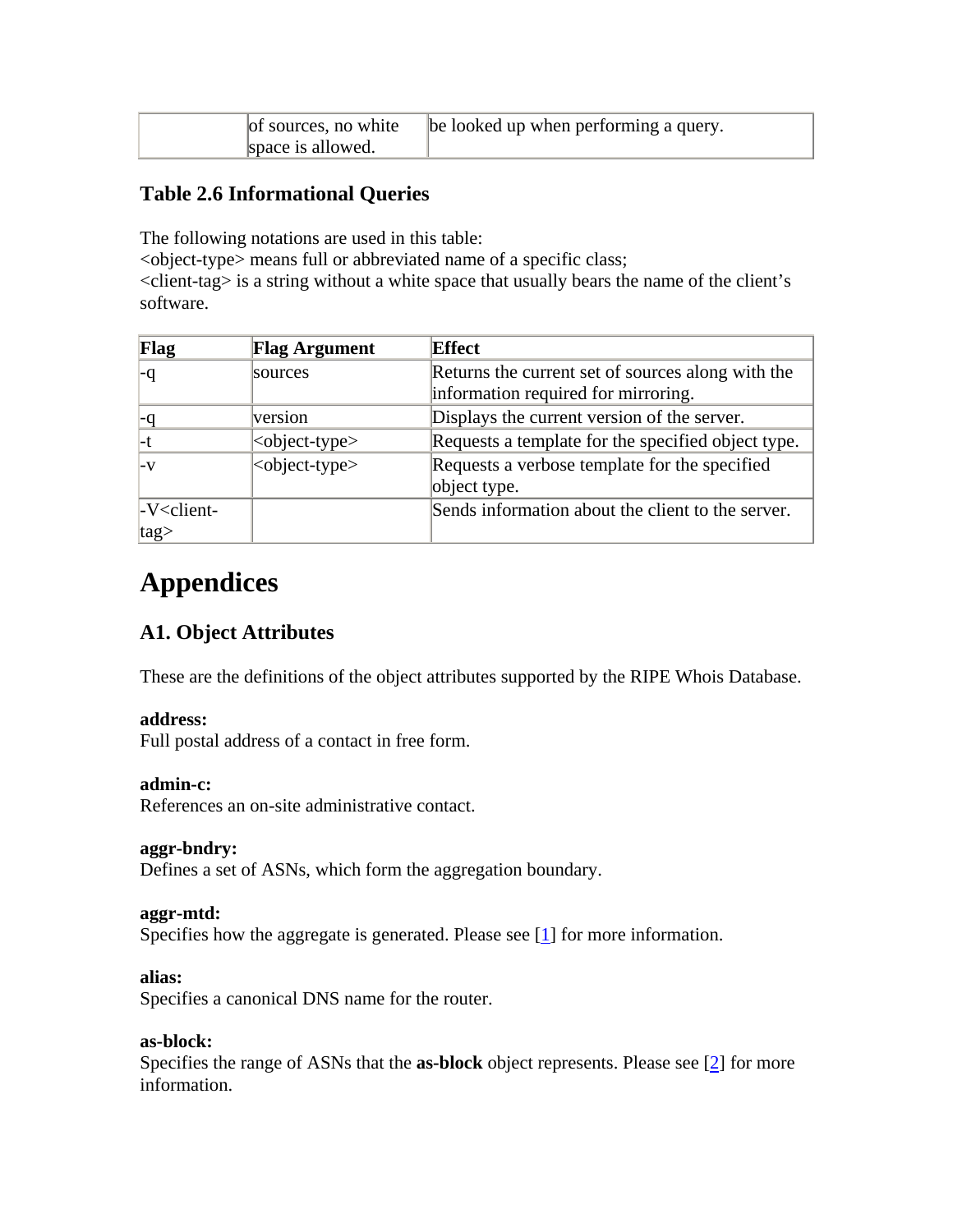| of sources, no white | be looked up when performing a query. |
|----------------------|---------------------------------------|
| space is allowed.    |                                       |

## **Table 2.6 Informational Queries**

The following notations are used in this table:

<object-type> means full or abbreviated name of a specific class;

<client-tag> is a string without a white space that usually bears the name of the client's software.

| Flag           | <b>Flag Argument</b>        | <b>Effect</b>                                      |
|----------------|-----------------------------|----------------------------------------------------|
|                | sources                     | Returns the current set of sources along with the  |
|                |                             | information required for mirroring.                |
|                | version                     | Displays the current version of the server.        |
| l-t            | <object-type></object-type> | Requests a template for the specified object type. |
| $-V$           | $ $ cobject-type>           | Requests a verbose template for the specified      |
|                |                             | object type.                                       |
| $-V$ < client- |                             | Sends information about the client to the server.  |
| $ tag\rangle$  |                             |                                                    |

# **Appendices**

# **A1. Object Attributes**

These are the definitions of the object attributes supported by the RIPE Whois Database.

#### **address:**

Full postal address of a contact in free form.

#### **admin-c:**

References an on-site administrative contact.

#### **aggr-bndry:**

Defines a set of ASNs, which form the aggregation boundary.

#### **aggr-mtd:**

Specifies how the aggregate is generated. Please see [1] for more information.

## **alias:**

Specifies a canonical DNS name for the router.

#### **as-block:**

Specifies the range of ASNs that the **as-block** object represents. Please see [2] for more information.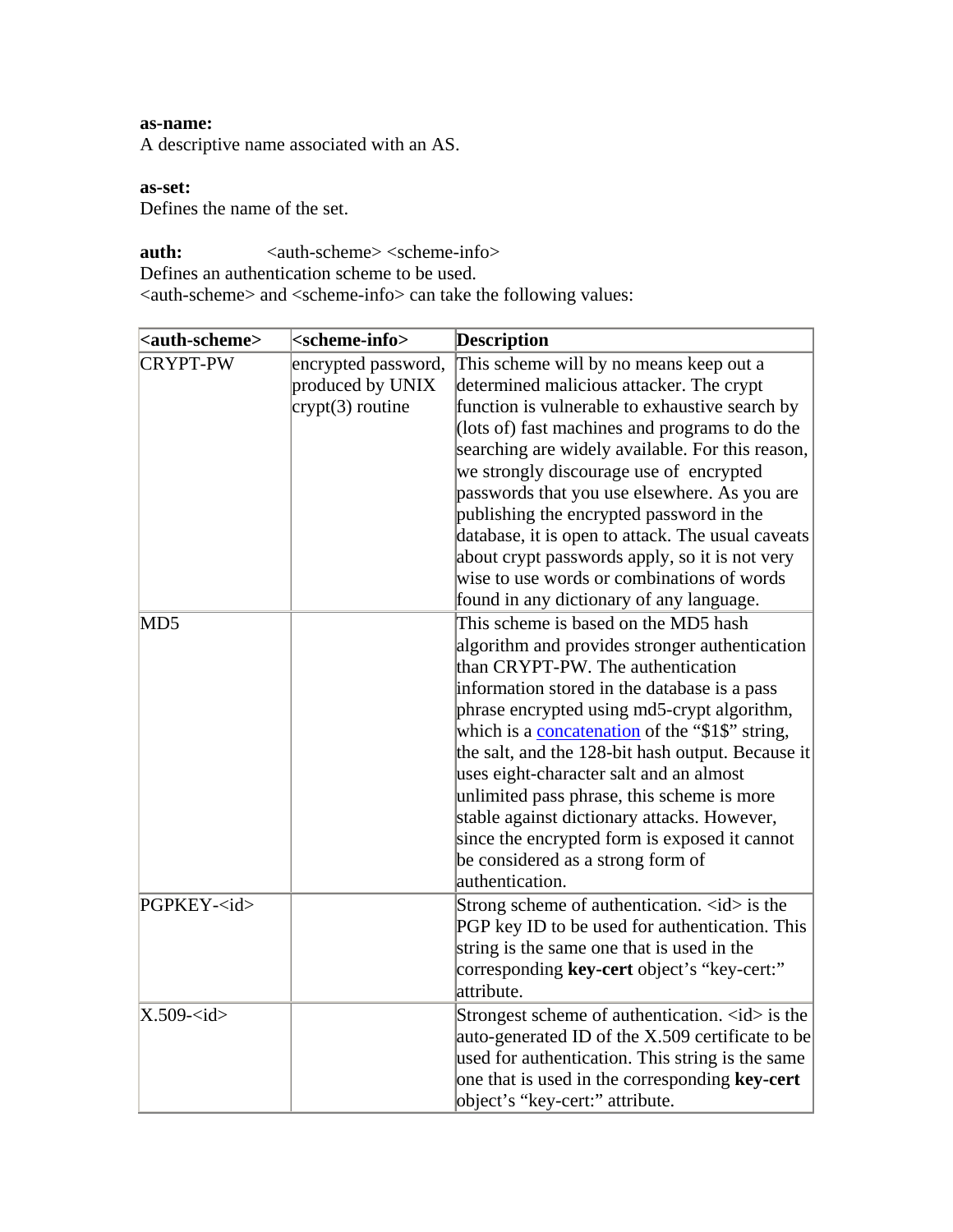#### **as-name:**

A descriptive name associated with an AS.

### **as-set:**

Defines the name of the set.

**auth:**  $\langle \text{auth-scheme} \rangle \langle \text{scheme-info} \rangle$ 

Defines an authentication scheme to be used.

<auth-scheme> and <scheme-info> can take the following values:

| <auth-scheme></auth-scheme> | <scheme-info></scheme-info>                                   | <b>Description</b>                                                                                                                                                                                                                                                                                                                                                                                                                                                                                                                                                                                                                     |
|-----------------------------|---------------------------------------------------------------|----------------------------------------------------------------------------------------------------------------------------------------------------------------------------------------------------------------------------------------------------------------------------------------------------------------------------------------------------------------------------------------------------------------------------------------------------------------------------------------------------------------------------------------------------------------------------------------------------------------------------------------|
| <b>CRYPT-PW</b>             | encrypted password,<br>produced by UNIX<br>$crypt(3)$ routine | This scheme will by no means keep out a<br>determined malicious attacker. The crypt<br>function is vulnerable to exhaustive search by<br>(lots of) fast machines and programs to do the<br>searching are widely available. For this reason,<br>we strongly discourage use of encrypted<br>passwords that you use elsewhere. As you are<br>publishing the encrypted password in the<br>database, it is open to attack. The usual caveats<br>about crypt passwords apply, so it is not very<br>wise to use words or combinations of words                                                                                                |
| MD5                         |                                                               | found in any dictionary of any language.<br>This scheme is based on the MD5 hash<br>algorithm and provides stronger authentication<br>than CRYPT-PW. The authentication<br>information stored in the database is a pass<br>phrase encrypted using md5-crypt algorithm,<br>which is a <b>concatenation</b> of the "\$1\$" string,<br>the salt, and the 128-bit hash output. Because it<br>uses eight-character salt and an almost<br>unlimited pass phrase, this scheme is more<br>stable against dictionary attacks. However,<br>since the encrypted form is exposed it cannot<br>be considered as a strong form of<br>authentication. |
| PGPKEY- <id></id>           |                                                               | Strong scheme of authentication. $\langle id \rangle$ is the<br>PGP key ID to be used for authentication. This<br>string is the same one that is used in the<br>corresponding key-cert object's "key-cert:"<br>attribute.                                                                                                                                                                                                                                                                                                                                                                                                              |
| X.509 < id                  |                                                               | Strongest scheme of authentication. <id> is the<br/>auto-generated ID of the X.509 certificate to be<br/>used for authentication. This string is the same<br/>one that is used in the corresponding key-cert<br/>object's "key-cert:" attribute.</id>                                                                                                                                                                                                                                                                                                                                                                                  |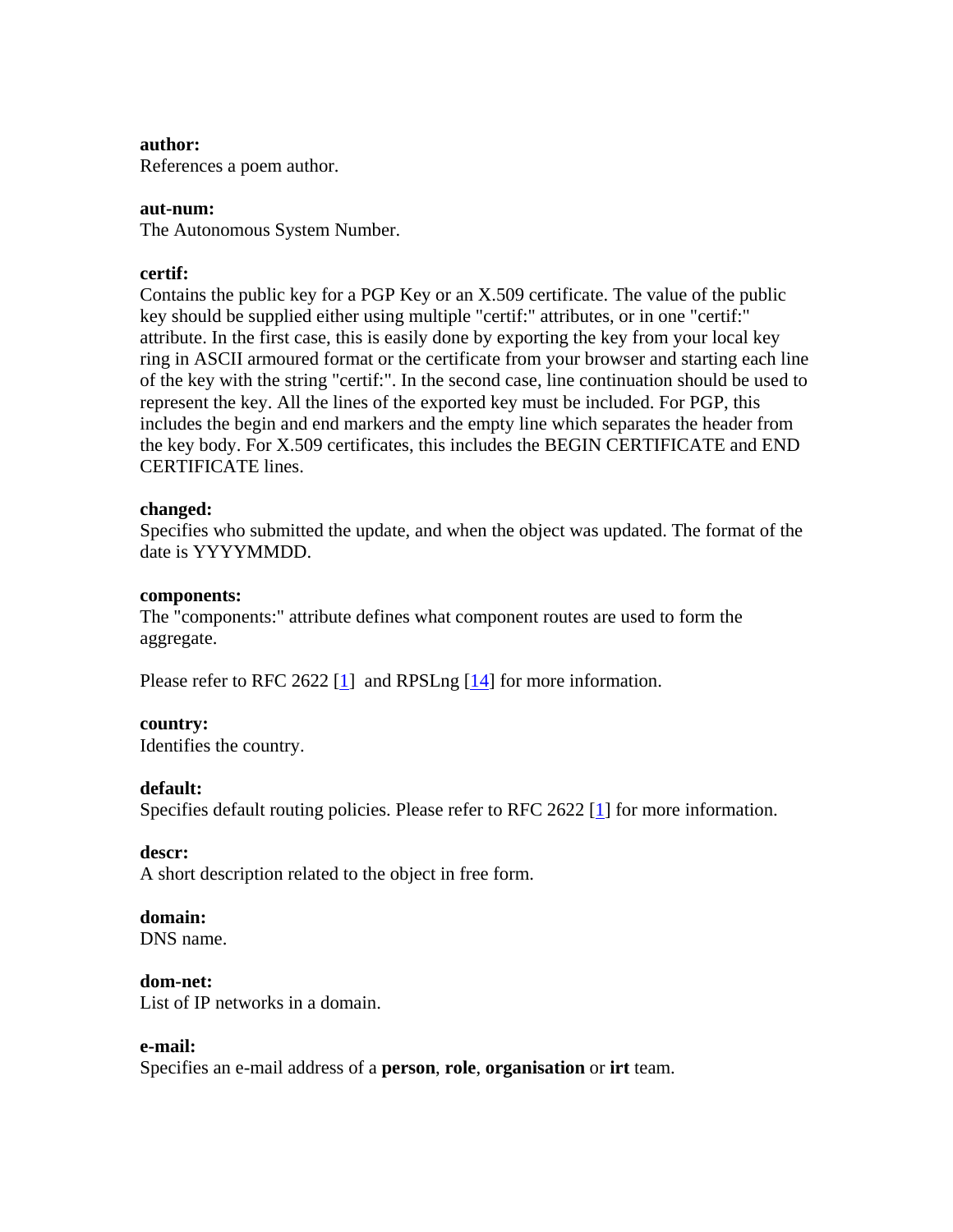#### **author:**

References a poem author.

#### **aut-num:**

The Autonomous System Number.

#### **certif:**

Contains the public key for a PGP Key or an X.509 certificate. The value of the public key should be supplied either using multiple "certif:" attributes, or in one "certif:" attribute. In the first case, this is easily done by exporting the key from your local key ring in ASCII armoured format or the certificate from your browser and starting each line of the key with the string "certif:". In the second case, line continuation should be used to represent the key. All the lines of the exported key must be included. For PGP, this includes the begin and end markers and the empty line which separates the header from the key body. For X.509 certificates, this includes the BEGIN CERTIFICATE and END CERTIFICATE lines.

#### **changed:**

Specifies who submitted the update, and when the object was updated. The format of the date is YYYYMMDD.

#### **components:**

The "components:" attribute defines what component routes are used to form the aggregate.

Please refer to RFC 2622  $\boxed{1}$  and RPSLng  $\boxed{14}$  for more information.

#### **country:**

Identifies the country.

#### **default:**

Specifies default routing policies. Please refer to RFC 2622 [1] for more information.

#### **descr:**

A short description related to the object in free form.

#### **domain:**

DNS name.

#### **dom-net:**

List of IP networks in a domain.

#### **e-mail:**

Specifies an e-mail address of a **person**, **role**, **organisation** or **irt** team.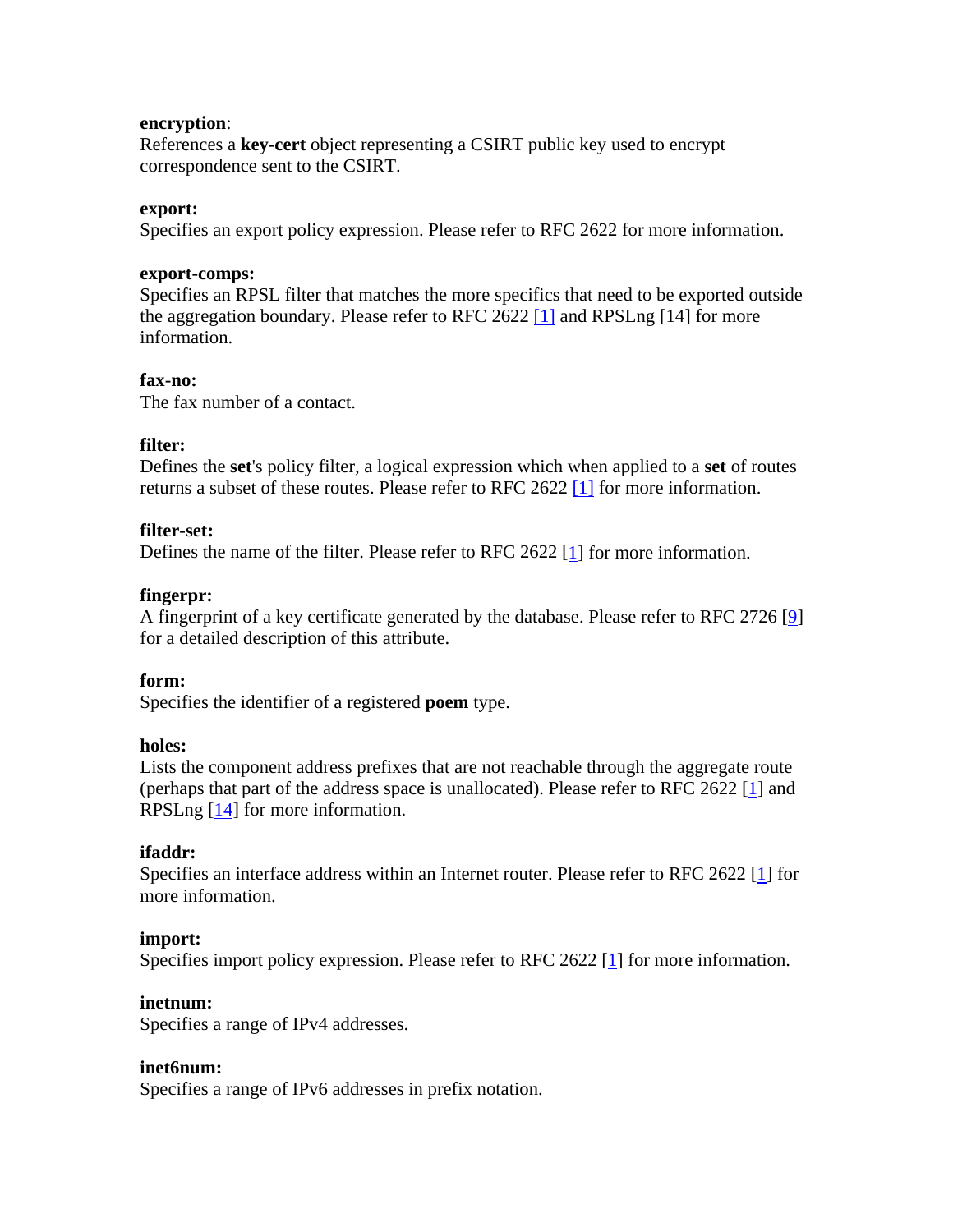#### **encryption**:

References a **key-cert** object representing a CSIRT public key used to encrypt correspondence sent to the CSIRT.

#### **export:**

Specifies an export policy expression. Please refer to RFC 2622 for more information.

#### **export-comps:**

Specifies an RPSL filter that matches the more specifics that need to be exported outside the aggregation boundary. Please refer to RFC 2622 [1] and RPSLng [14] for more information.

#### **fax-no:**

The fax number of a contact.

#### **filter:**

Defines the **set**'s policy filter, a logical expression which when applied to a **set** of routes returns a subset of these routes. Please refer to RFC 2622 [1] for more information.

#### **filter-set:**

Defines the name of the filter. Please refer to RFC 2622 [1] for more information.

#### **fingerpr:**

A fingerprint of a key certificate generated by the database. Please refer to RFC 2726 [9] for a detailed description of this attribute.

#### **form:**

Specifies the identifier of a registered **poem** type.

#### **holes:**

Lists the component address prefixes that are not reachable through the aggregate route (perhaps that part of the address space is unallocated). Please refer to RFC 2622 [1] and RPSLng [14] for more information.

#### **ifaddr:**

Specifies an interface address within an Internet router. Please refer to RFC 2622 [1] for more information.

#### **import:**

Specifies import policy expression. Please refer to RFC 2622 [1] for more information.

#### **inetnum:**

Specifies a range of IPv4 addresses.

#### **inet6num:**

Specifies a range of IPv6 addresses in prefix notation.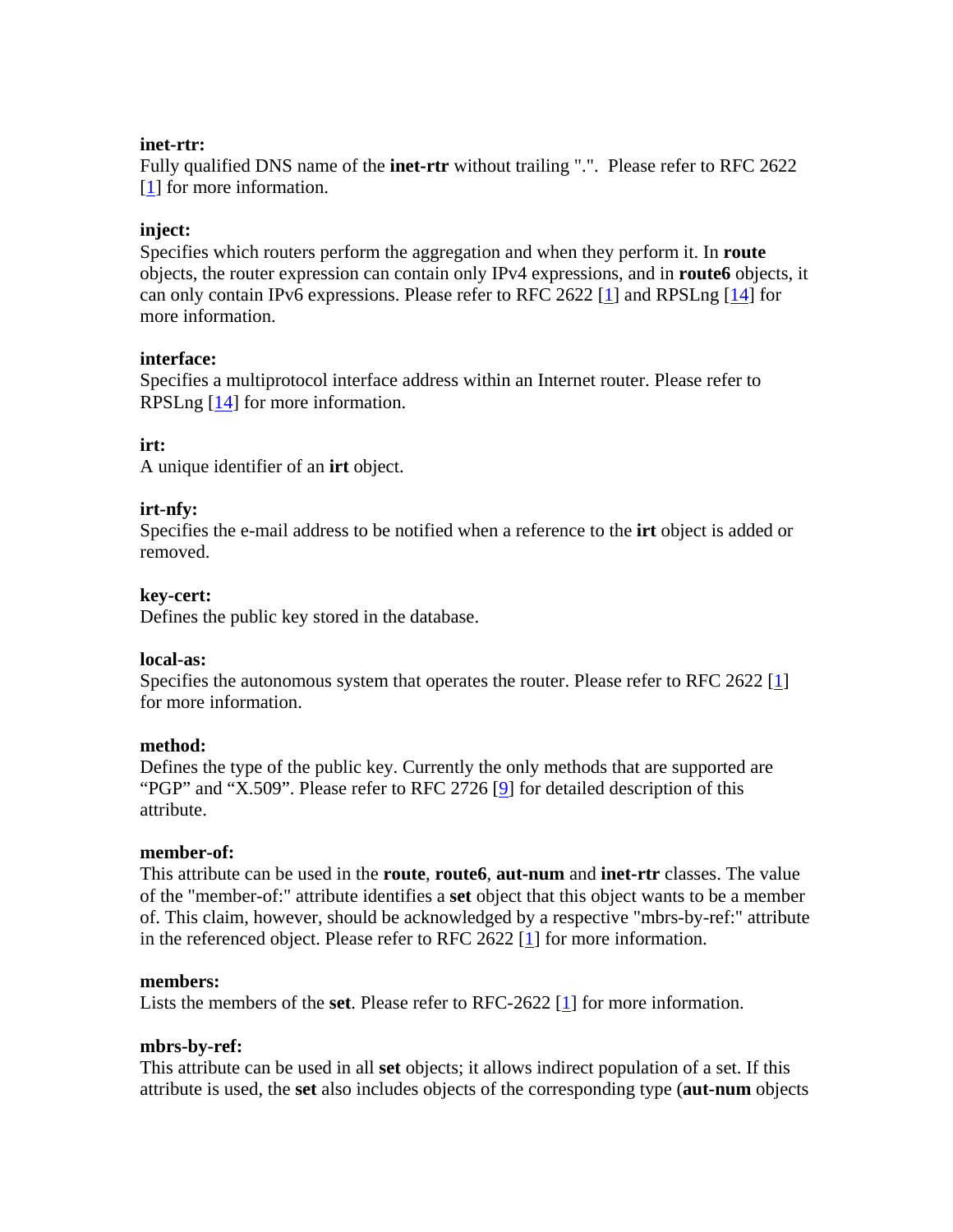### **inet-rtr:**

Fully qualified DNS name of the **inet-rtr** without trailing ".". Please refer to RFC 2622 [1] for more information.

## **inject:**

Specifies which routers perform the aggregation and when they perform it. In **route** objects, the router expression can contain only IPv4 expressions, and in **route6** objects, it can only contain IPv6 expressions. Please refer to RFC 2622 [1] and RPSLng [14] for more information.

### **interface:**

Specifies a multiprotocol interface address within an Internet router. Please refer to RPSLng  $[14]$  for more information.

### **irt:**

A unique identifier of an **irt** object.

### **irt-nfy:**

Specifies the e-mail address to be notified when a reference to the **irt** object is added or removed.

#### **key-cert:**

Defines the public key stored in the database.

#### **local-as:**

Specifies the autonomous system that operates the router. Please refer to RFC 2622 [1] for more information.

#### **method:**

Defines the type of the public key. Currently the only methods that are supported are "PGP" and "X.509". Please refer to RFC 2726 [9] for detailed description of this attribute.

#### **member-of:**

This attribute can be used in the **route**, **route6**, **aut-num** and **inet-rtr** classes. The value of the "member-of:" attribute identifies a **set** object that this object wants to be a member of. This claim, however, should be acknowledged by a respective "mbrs-by-ref:" attribute in the referenced object. Please refer to RFC 2622 [1] for more information.

#### **members:**

Lists the members of the **set**. Please refer to RFC-2622 [1] for more information.

#### **mbrs-by-ref:**

This attribute can be used in all **set** objects; it allows indirect population of a set. If this attribute is used, the **set** also includes objects of the corresponding type (**aut-num** objects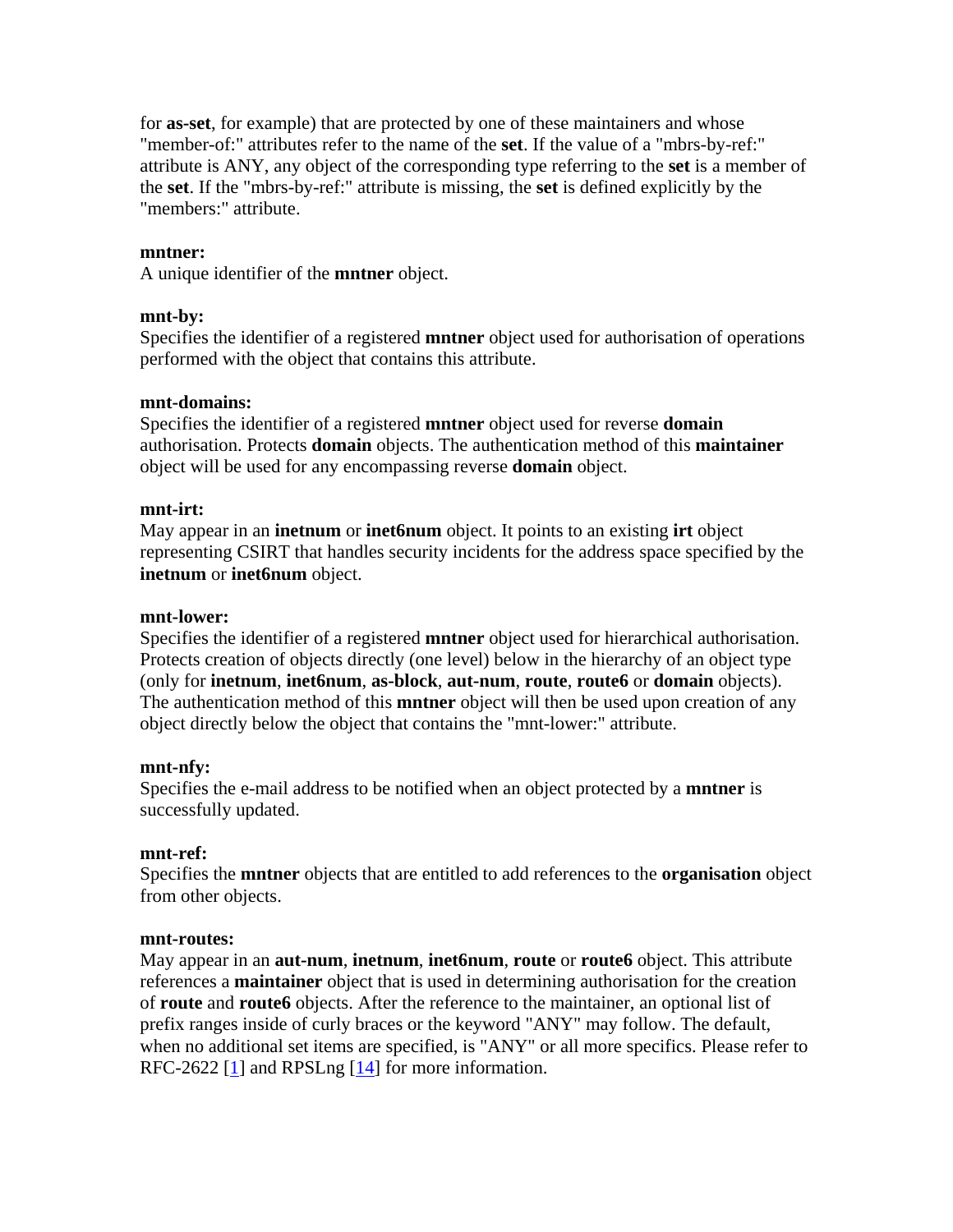for **as-set**, for example) that are protected by one of these maintainers and whose "member-of:" attributes refer to the name of the **set**. If the value of a "mbrs-by-ref:" attribute is ANY, any object of the corresponding type referring to the **set** is a member of the **set**. If the "mbrs-by-ref:" attribute is missing, the **set** is defined explicitly by the "members:" attribute.

#### **mntner:**

A unique identifier of the **mntner** object.

#### **mnt-by:**

Specifies the identifier of a registered **mntner** object used for authorisation of operations performed with the object that contains this attribute.

#### **mnt-domains:**

Specifies the identifier of a registered **mntner** object used for reverse **domain** authorisation. Protects **domain** objects. The authentication method of this **maintainer** object will be used for any encompassing reverse **domain** object.

#### **mnt-irt:**

May appear in an **inetnum** or **inet6num** object. It points to an existing **irt** object representing CSIRT that handles security incidents for the address space specified by the **inetnum** or **inet6num** object.

#### **mnt-lower:**

Specifies the identifier of a registered **mntner** object used for hierarchical authorisation. Protects creation of objects directly (one level) below in the hierarchy of an object type (only for **inetnum**, **inet6num**, **as-block**, **aut-num**, **route**, **route6** or **domain** objects). The authentication method of this **mntner** object will then be used upon creation of any object directly below the object that contains the "mnt-lower:" attribute.

#### **mnt-nfy:**

Specifies the e-mail address to be notified when an object protected by a **mntner** is successfully updated.

#### **mnt-ref:**

Specifies the **mntner** objects that are entitled to add references to the **organisation** object from other objects.

#### **mnt-routes:**

May appear in an **aut-num**, **inetnum**, **inet6num**, **route** or **route6** object. This attribute references a **maintainer** object that is used in determining authorisation for the creation of **route** and **route6** objects. After the reference to the maintainer, an optional list of prefix ranges inside of curly braces or the keyword "ANY" may follow. The default, when no additional set items are specified, is "ANY" or all more specifics. Please refer to RFC-2622 [1] and RPSLng [14] for more information.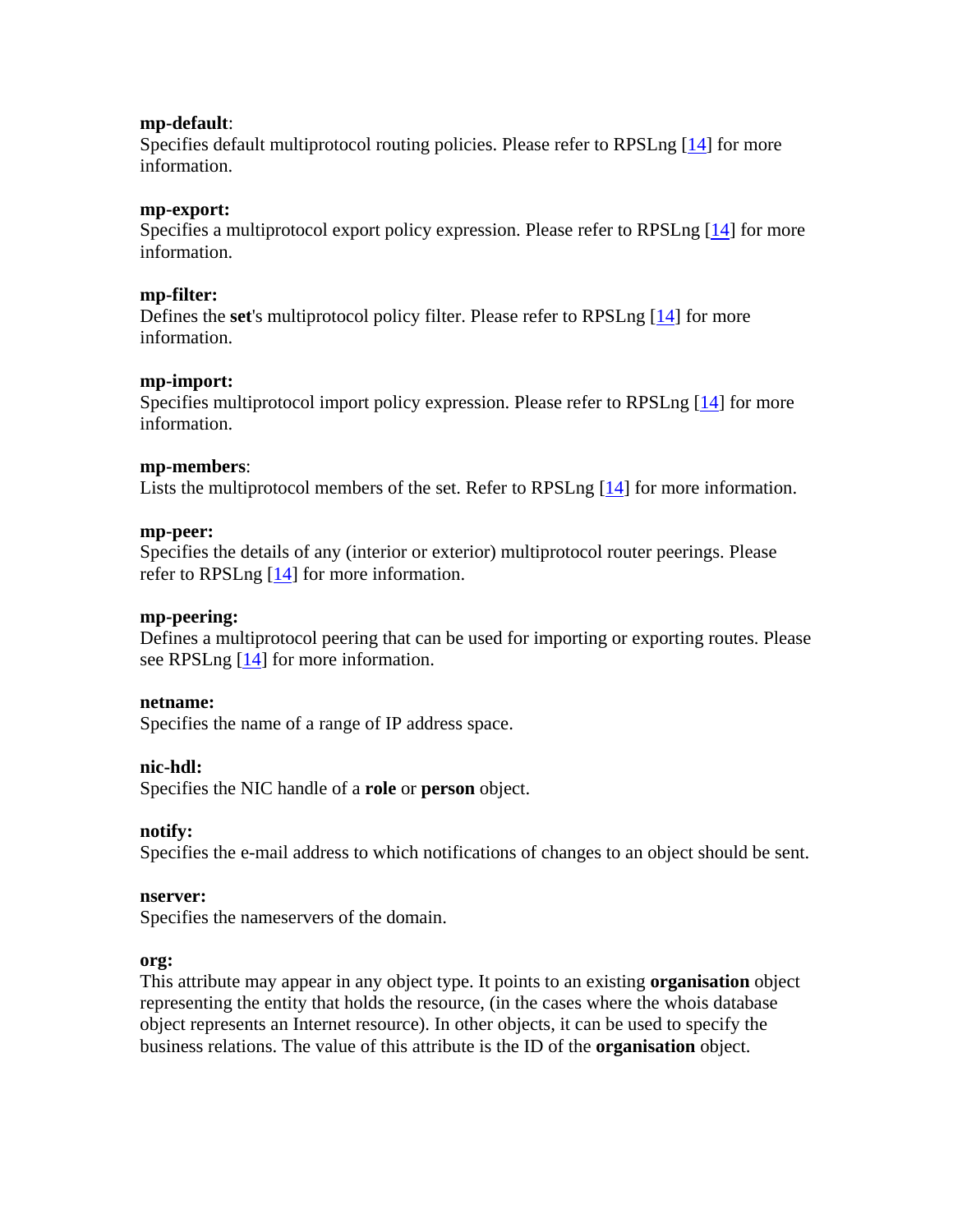#### **mp-default**:

Specifies default multiprotocol routing policies. Please refer to RPSLng [14] for more information.

#### **mp-export:**

Specifies a multiprotocol export policy expression. Please refer to RPSLng [14] for more information.

#### **mp-filter:**

Defines the **set**'s multiprotocol policy filter. Please refer to RPSLng [14] for more information.

#### **mp-import:**

Specifies multiprotocol import policy expression. Please refer to RPSLng [14] for more information.

#### **mp-members**:

Lists the multiprotocol members of the set. Refer to RPSLng [14] for more information.

#### **mp-peer:**

Specifies the details of any (interior or exterior) multiprotocol router peerings. Please refer to RPSLng [14] for more information.

#### **mp-peering:**

Defines a multiprotocol peering that can be used for importing or exporting routes. Please see RPSLng [14] for more information.

#### **netname:**

Specifies the name of a range of IP address space.

#### **nic-hdl:**

Specifies the NIC handle of a **role** or **person** object.

#### **notify:**

Specifies the e-mail address to which notifications of changes to an object should be sent.

#### **nserver:**

Specifies the nameservers of the domain.

#### **org:**

This attribute may appear in any object type. It points to an existing **organisation** object representing the entity that holds the resource, (in the cases where the whois database object represents an Internet resource). In other objects, it can be used to specify the business relations. The value of this attribute is the ID of the **organisation** object.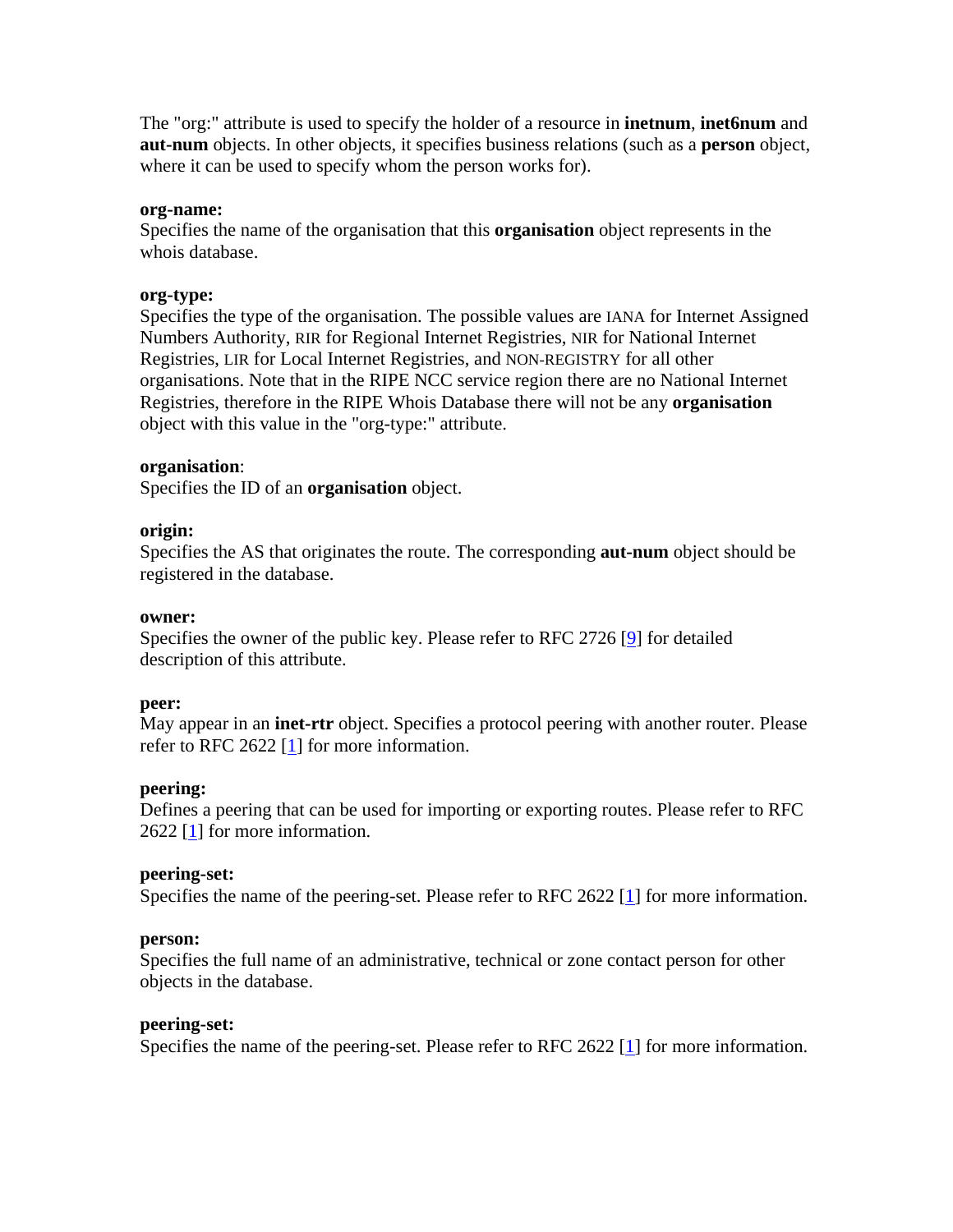The "org:" attribute is used to specify the holder of a resource in **inetnum**, **inet6num** and **aut-num** objects. In other objects, it specifies business relations (such as a **person** object, where it can be used to specify whom the person works for).

#### **org-name:**

Specifies the name of the organisation that this **organisation** object represents in the whois database.

#### **org-type:**

Specifies the type of the organisation. The possible values are IANA for Internet Assigned Numbers Authority, RIR for Regional Internet Registries, NIR for National Internet Registries, LIR for Local Internet Registries, and NON-REGISTRY for all other organisations. Note that in the RIPE NCC service region there are no National Internet Registries, therefore in the RIPE Whois Database there will not be any **organisation** object with this value in the "org-type:" attribute.

#### **organisation**:

Specifies the ID of an **organisation** object.

#### **origin:**

Specifies the AS that originates the route. The corresponding **aut-num** object should be registered in the database.

#### **owner:**

Specifies the owner of the public key. Please refer to RFC 2726 [9] for detailed description of this attribute.

#### **peer:**

May appear in an **inet-rtr** object. Specifies a protocol peering with another router. Please refer to RFC 2622 [1] for more information.

#### **peering:**

Defines a peering that can be used for importing or exporting routes. Please refer to RFC 2622 [1] for more information.

#### **peering-set:**

Specifies the name of the peering-set. Please refer to RFC 2622 [1] for more information.

#### **person:**

Specifies the full name of an administrative, technical or zone contact person for other objects in the database.

#### **peering-set:**

Specifies the name of the peering-set. Please refer to RFC 2622 [1] for more information.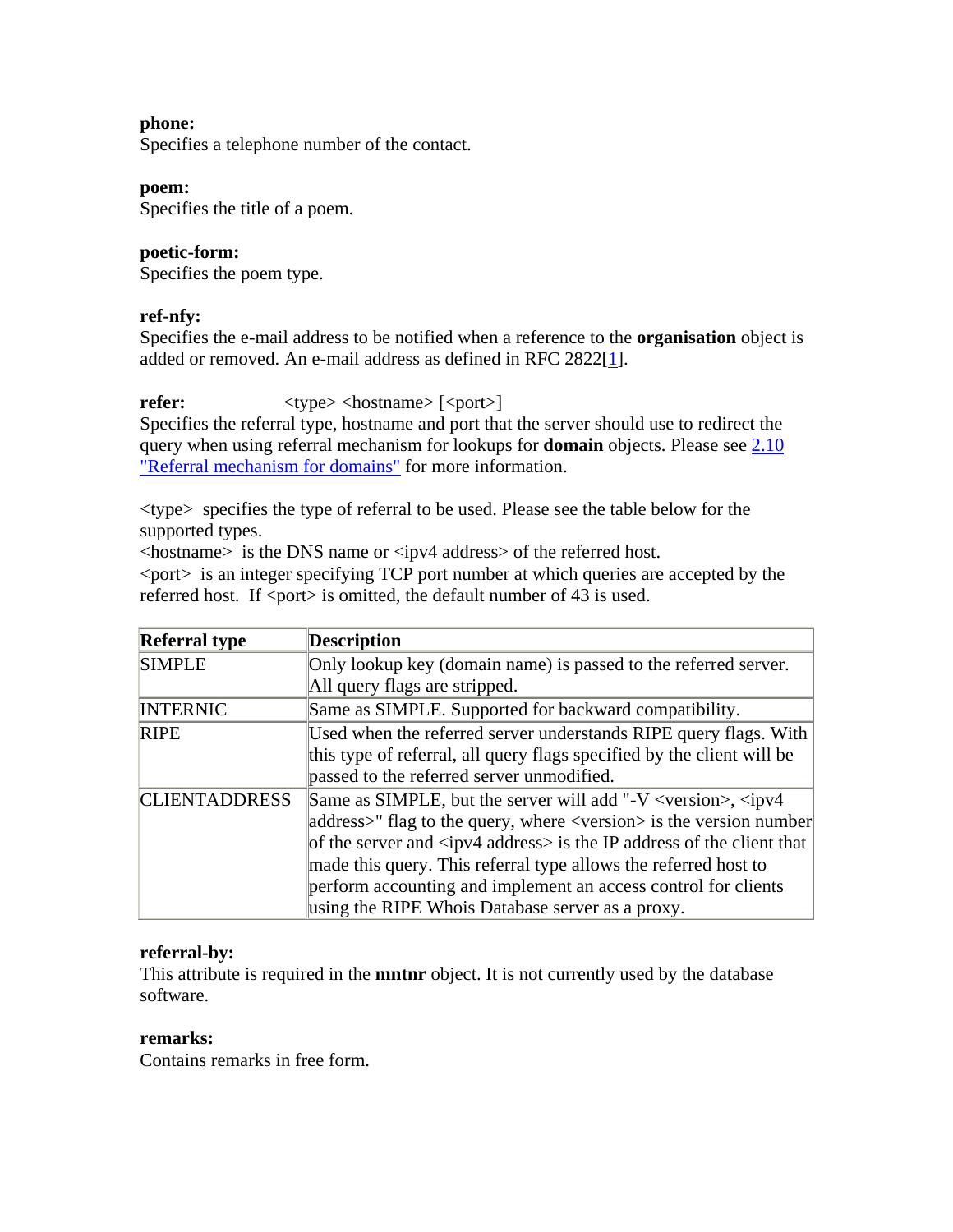## **phone:**

Specifies a telephone number of the contact.

#### **poem:**

Specifies the title of a poem.

## **poetic-form:**

Specifies the poem type.

## **ref-nfy:**

Specifies the e-mail address to be notified when a reference to the **organisation** object is added or removed. An e-mail address as defined in RFC 2822[1].

## **refer:**  $\langle \text{type}\rangle \langle \text{hostname}\rangle$  [ $\langle \text{port}\rangle$ ]

Specifies the referral type, hostname and port that the server should use to redirect the query when using referral mechanism for lookups for **domain** objects. Please see 2.10 "Referral mechanism for domains" for more information.

<type> specifies the type of referral to be used. Please see the table below for the supported types.

<hostname> is the DNS name or <ipv4 address> of the referred host.

<port> is an integer specifying TCP port number at which queries are accepted by the referred host. If  $\langle$  port $\rangle$  is omitted, the default number of 43 is used.

| <b>Referral type</b> | <b>Description</b>                                                                           |
|----------------------|----------------------------------------------------------------------------------------------|
| <b>SIMPLE</b>        | Only lookup key (domain name) is passed to the referred server.                              |
|                      | All query flags are stripped.                                                                |
| <b>INTERNIC</b>      | Same as SIMPLE. Supported for backward compatibility.                                        |
| <b>RIPE</b>          | Used when the referred server understands RIPE query flags. With                             |
|                      | this type of referral, all query flags specified by the client will be                       |
|                      | passed to the referred server unmodified.                                                    |
| <b>CLIENTADDRESS</b> | Same as SIMPLE, but the server will add "-V <version>, <ipv4< td=""></ipv4<></version>       |
|                      | $ address\rangle$ " flag to the query, where $\langle version \rangle$ is the version number |
|                      | of the server and $\langle$ ipv4 address> is the IP address of the client that               |
|                      | made this query. This referral type allows the referred host to                              |
|                      | perform accounting and implement an access control for clients                               |
|                      | using the RIPE Whois Database server as a proxy.                                             |

## **referral-by:**

This attribute is required in the **mntnr** object. It is not currently used by the database software.

#### **remarks:**

Contains remarks in free form.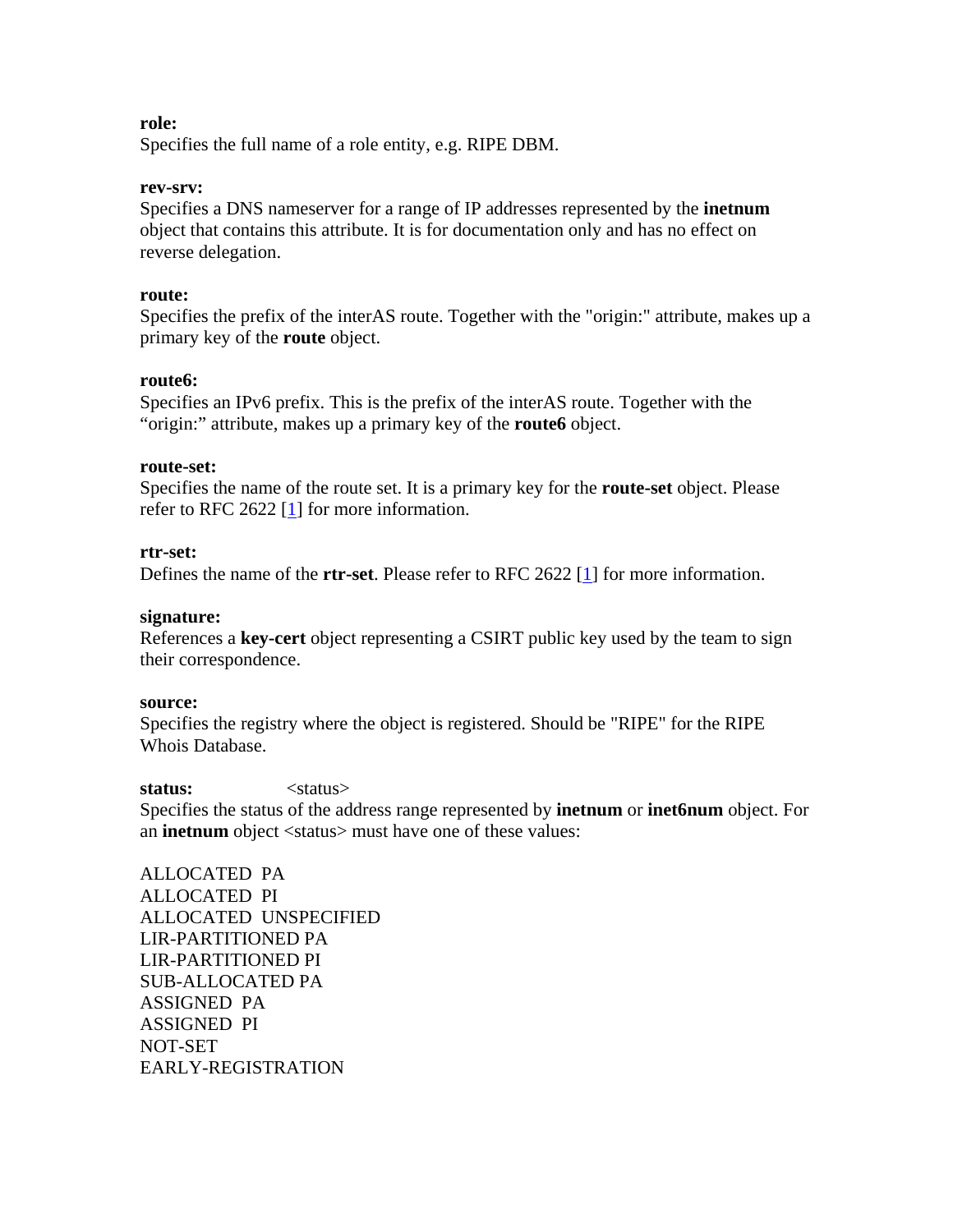#### **role:**

Specifies the full name of a role entity, e.g. RIPE DBM.

#### **rev-srv:**

Specifies a DNS nameserver for a range of IP addresses represented by the **inetnum** object that contains this attribute. It is for documentation only and has no effect on reverse delegation.

#### **route:**

Specifies the prefix of the interAS route. Together with the "origin:" attribute, makes up a primary key of the **route** object.

#### **route6:**

Specifies an IPv6 prefix. This is the prefix of the interAS route. Together with the "origin:" attribute, makes up a primary key of the **route6** object.

#### **route-set:**

Specifies the name of the route set. It is a primary key for the **route-set** object. Please refer to RFC 2622  $[1]$  for more information.

#### **rtr-set:**

Defines the name of the **rtr-set**. Please refer to RFC 2622 [1] for more information.

#### **signature:**

References a **key-cert** object representing a CSIRT public key used by the team to sign their correspondence.

#### **source:**

Specifies the registry where the object is registered. Should be "RIPE" for the RIPE Whois Database.

#### status:  $\langle$ status>

Specifies the status of the address range represented by **inetnum** or **inet6num** object. For an **inetnum** object <status> must have one of these values:

ALLOCATED PA ALLOCATED PI ALLOCATED UNSPECIFIED LIR-PARTITIONED PA LIR-PARTITIONED PI SUB-ALLOCATED PA ASSIGNED PA ASSIGNED PI NOT-SET EARLY-REGISTRATION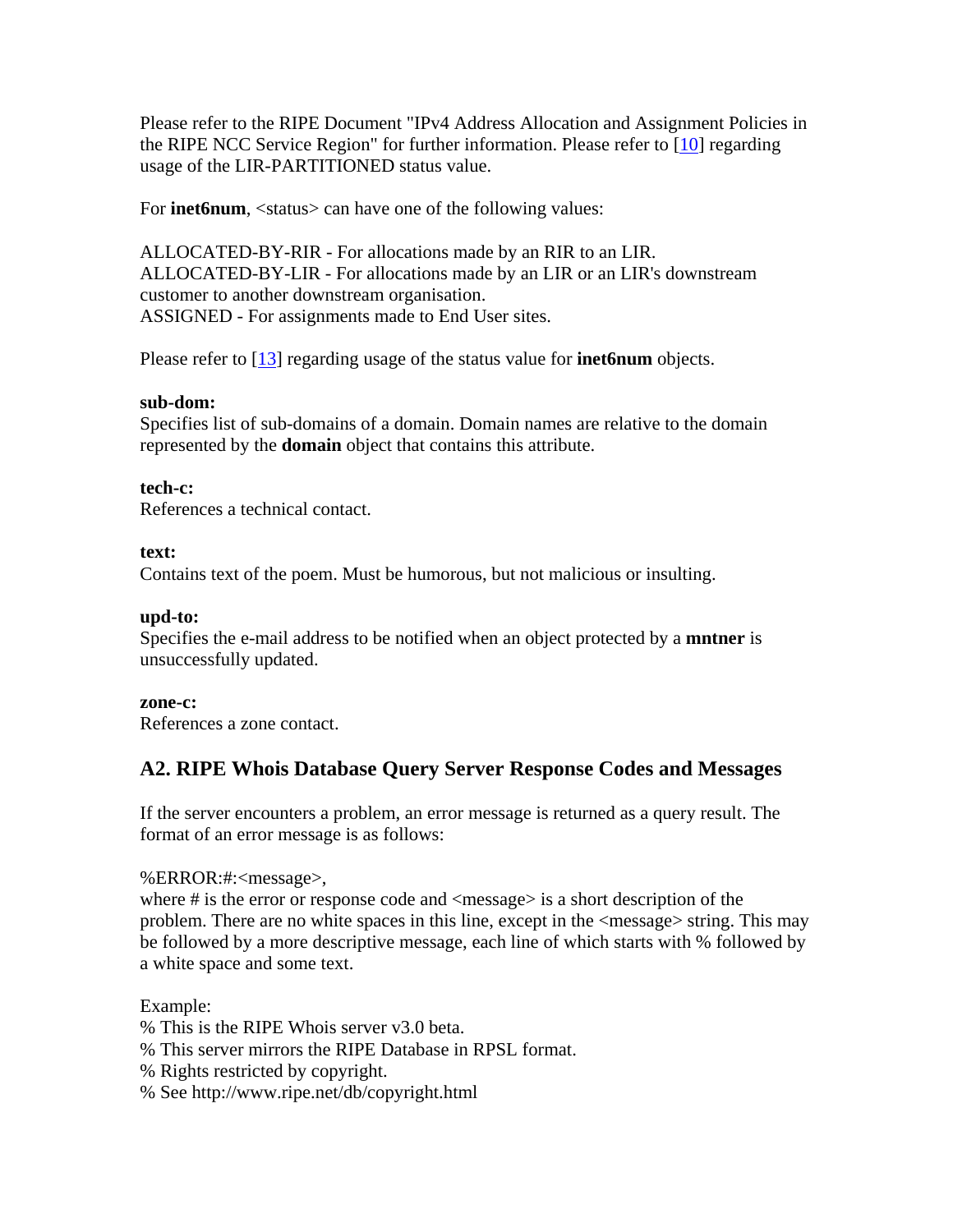Please refer to the RIPE Document "IPv4 Address Allocation and Assignment Policies in the RIPE NCC Service Region" for further information. Please refer to [10] regarding usage of the LIR-PARTITIONED status value.

For **inet6num**, <status> can have one of the following values:

ALLOCATED-BY-RIR - For allocations made by an RIR to an LIR. ALLOCATED-BY-LIR - For allocations made by an LIR or an LIR's downstream customer to another downstream organisation. ASSIGNED - For assignments made to End User sites.

Please refer to [13] regarding usage of the status value for **inet6num** objects.

## **sub-dom:**

Specifies list of sub-domains of a domain. Domain names are relative to the domain represented by the **domain** object that contains this attribute.

## **tech-c:**

References a technical contact.

#### **text:**

Contains text of the poem. Must be humorous, but not malicious or insulting.

### **upd-to:**

Specifies the e-mail address to be notified when an object protected by a **mntner** is unsuccessfully updated.

#### **zone-c:**

References a zone contact.

## **A2. RIPE Whois Database Query Server Response Codes and Messages**

If the server encounters a problem, an error message is returned as a query result. The format of an error message is as follows:

#### %ERROR:#:<message>,

where # is the error or response code and <message> is a short description of the problem. There are no white spaces in this line, except in the <message> string. This may be followed by a more descriptive message, each line of which starts with % followed by a white space and some text.

#### Example:

% This is the RIPE Whois server v3.0 beta.

- % This server mirrors the RIPE Database in RPSL format.
- % Rights restricted by copyright.
- % See http://www.ripe.net/db/copyright.html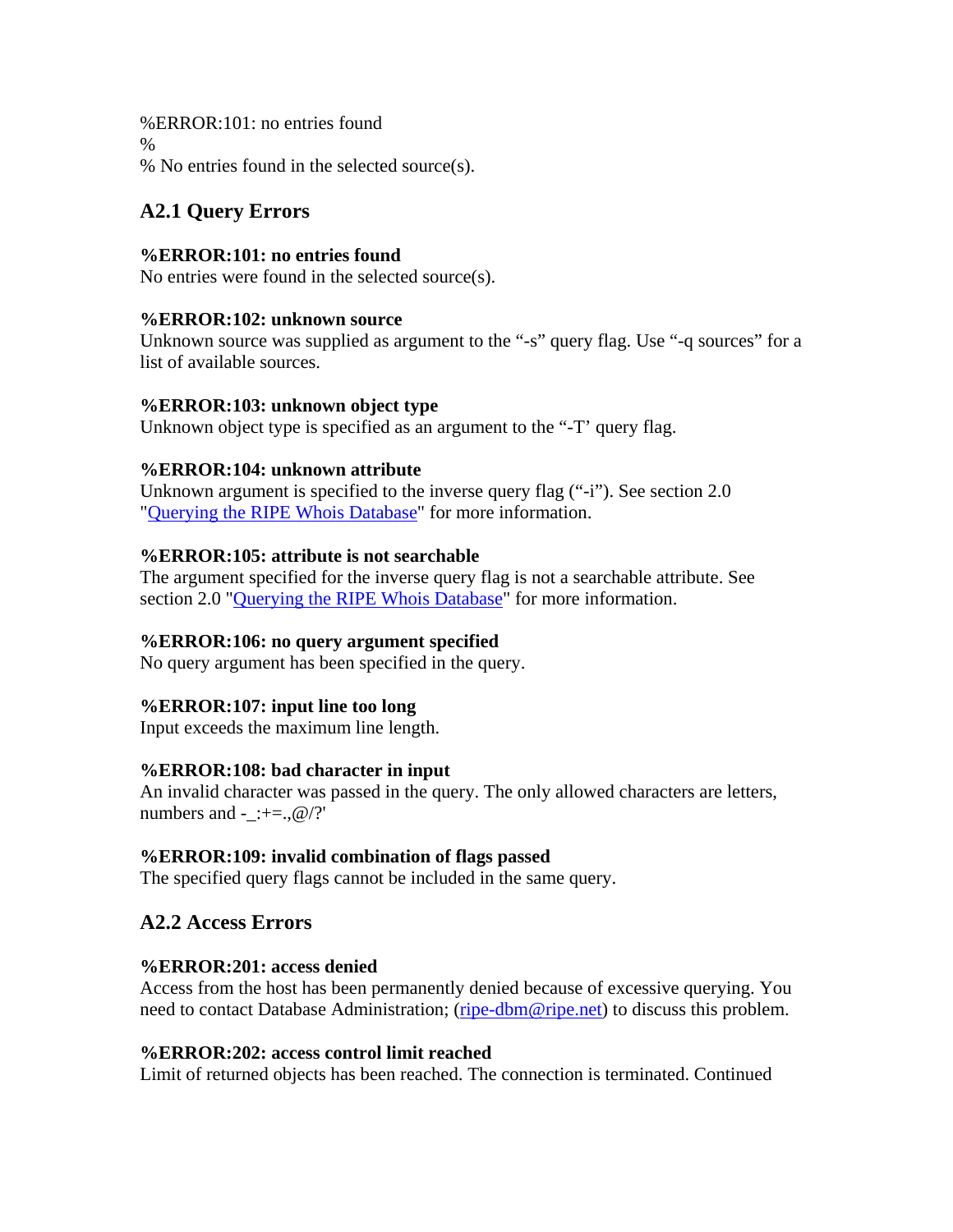%ERROR:101: no entries found % % No entries found in the selected source(s).

# **A2.1 Query Errors**

## **%ERROR:101: no entries found**

No entries were found in the selected source(s).

## **%ERROR:102: unknown source**

Unknown source was supplied as argument to the "-s" query flag. Use "-q sources" for a list of available sources.

### **%ERROR:103: unknown object type**

Unknown object type is specified as an argument to the "-T' query flag.

## **%ERROR:104: unknown attribute**

Unknown argument is specified to the inverse query flag ("-i"). See section 2.0 "Querying the RIPE Whois Database" for more information.

## **%ERROR:105: attribute is not searchable**

The argument specified for the inverse query flag is not a searchable attribute. See section 2.0 "Querying the RIPE Whois Database" for more information.

## **%ERROR:106: no query argument specified**

No query argument has been specified in the query.

## **%ERROR:107: input line too long**

Input exceeds the maximum line length.

## **%ERROR:108: bad character in input**

An invalid character was passed in the query. The only allowed characters are letters, numbers and - :+=.,  $@$  /?'

## **%ERROR:109: invalid combination of flags passed**

The specified query flags cannot be included in the same query.

## **A2.2 Access Errors**

## **%ERROR:201: access denied**

Access from the host has been permanently denied because of excessive querying. You need to contact Database Administration; ([ripe-dbm@ripe.net\)](mailto:ripe-dbm@ripe.net) to discuss this problem.

#### **%ERROR:202: access control limit reached**

Limit of returned objects has been reached. The connection is terminated. Continued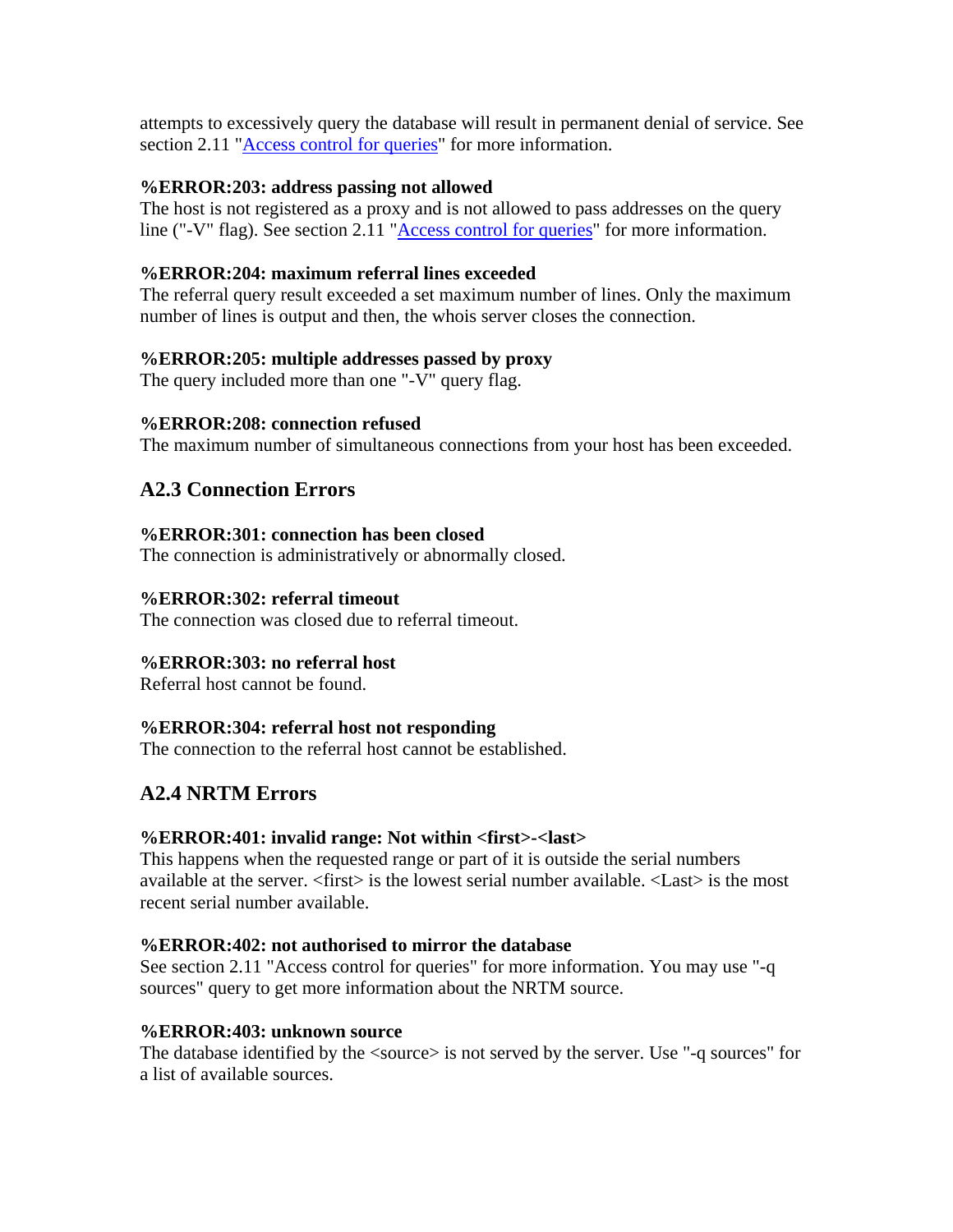attempts to excessively query the database will result in permanent denial of service. See section 2.11 "Access control for queries" for more information.

### **%ERROR:203: address passing not allowed**

The host is not registered as a proxy and is not allowed to pass addresses on the query line ("-V" flag). See section 2.11 "Access control for queries" for more information.

## **%ERROR:204: maximum referral lines exceeded**

The referral query result exceeded a set maximum number of lines. Only the maximum number of lines is output and then, the whois server closes the connection.

### **%ERROR:205: multiple addresses passed by proxy**

The query included more than one "-V" query flag.

### **%ERROR:208: connection refused**

The maximum number of simultaneous connections from your host has been exceeded.

## **A2.3 Connection Errors**

### **%ERROR:301: connection has been closed**

The connection is administratively or abnormally closed.

### **%ERROR:302: referral timeout**

The connection was closed due to referral timeout.

## **%ERROR:303: no referral host**

Referral host cannot be found.

## **%ERROR:304: referral host not responding**

The connection to the referral host cannot be established.

# **A2.4 NRTM Errors**

#### **%ERROR:401: invalid range: Not within <first>-<last>**

This happens when the requested range or part of it is outside the serial numbers available at the server. <first> is the lowest serial number available. <Last> is the most recent serial number available.

#### **%ERROR:402: not authorised to mirror the database**

See section 2.11 "Access control for queries" for more information. You may use "-q sources" query to get more information about the NRTM source.

#### **%ERROR:403: unknown source**

The database identified by the <source> is not served by the server. Use "-q sources" for a list of available sources.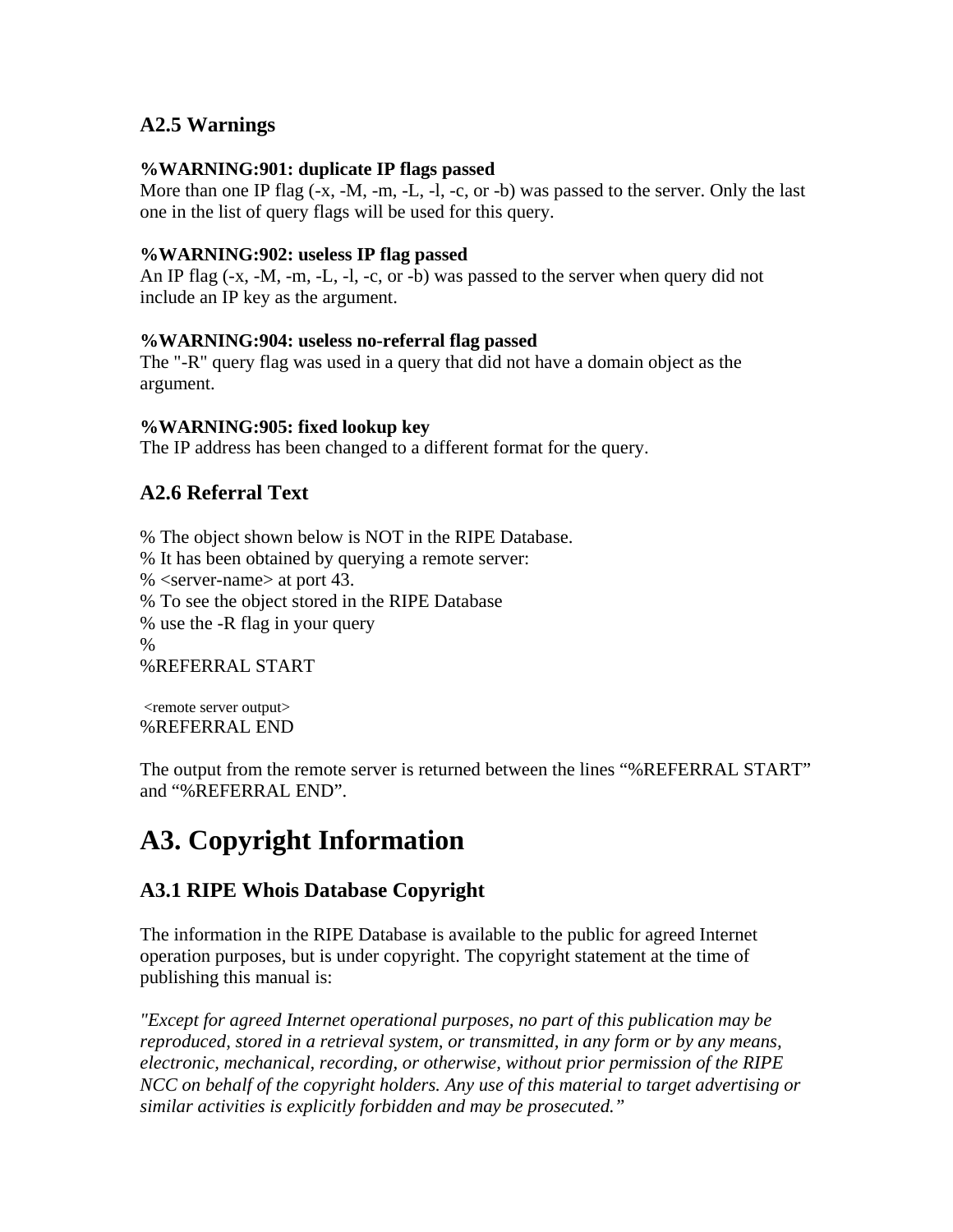## **A2.5 Warnings**

#### **%WARNING:901: duplicate IP flags passed**

More than one IP flag  $(-x, -M, -m, -L, -1, -c,$  or -b) was passed to the server. Only the last one in the list of query flags will be used for this query.

### **%WARNING:902: useless IP flag passed**

An IP flag (-x, -M, -m, -L, -l, -c, or -b) was passed to the server when query did not include an IP key as the argument.

### **%WARNING:904: useless no-referral flag passed**

The "-R" query flag was used in a query that did not have a domain object as the argument.

#### **%WARNING:905: fixed lookup key**

The IP address has been changed to a different format for the query.

## **A2.6 Referral Text**

% The object shown below is NOT in the RIPE Database. % It has been obtained by querying a remote server: % <server-name> at port 43. % To see the object stored in the RIPE Database % use the -R flag in your query % %REFERRAL START

 <remote server output> %REFERRAL END

The output from the remote server is returned between the lines "%REFERRAL START" and "%REFERRAL END".

# **A3. Copyright Information**

## **A3.1 RIPE Whois Database Copyright**

The information in the RIPE Database is available to the public for agreed Internet operation purposes, but is under copyright. The copyright statement at the time of publishing this manual is:

*"Except for agreed Internet operational purposes, no part of this publication may be reproduced, stored in a retrieval system, or transmitted, in any form or by any means, electronic, mechanical, recording, or otherwise, without prior permission of the RIPE NCC on behalf of the copyright holders. Any use of this material to target advertising or similar activities is explicitly forbidden and may be prosecuted."*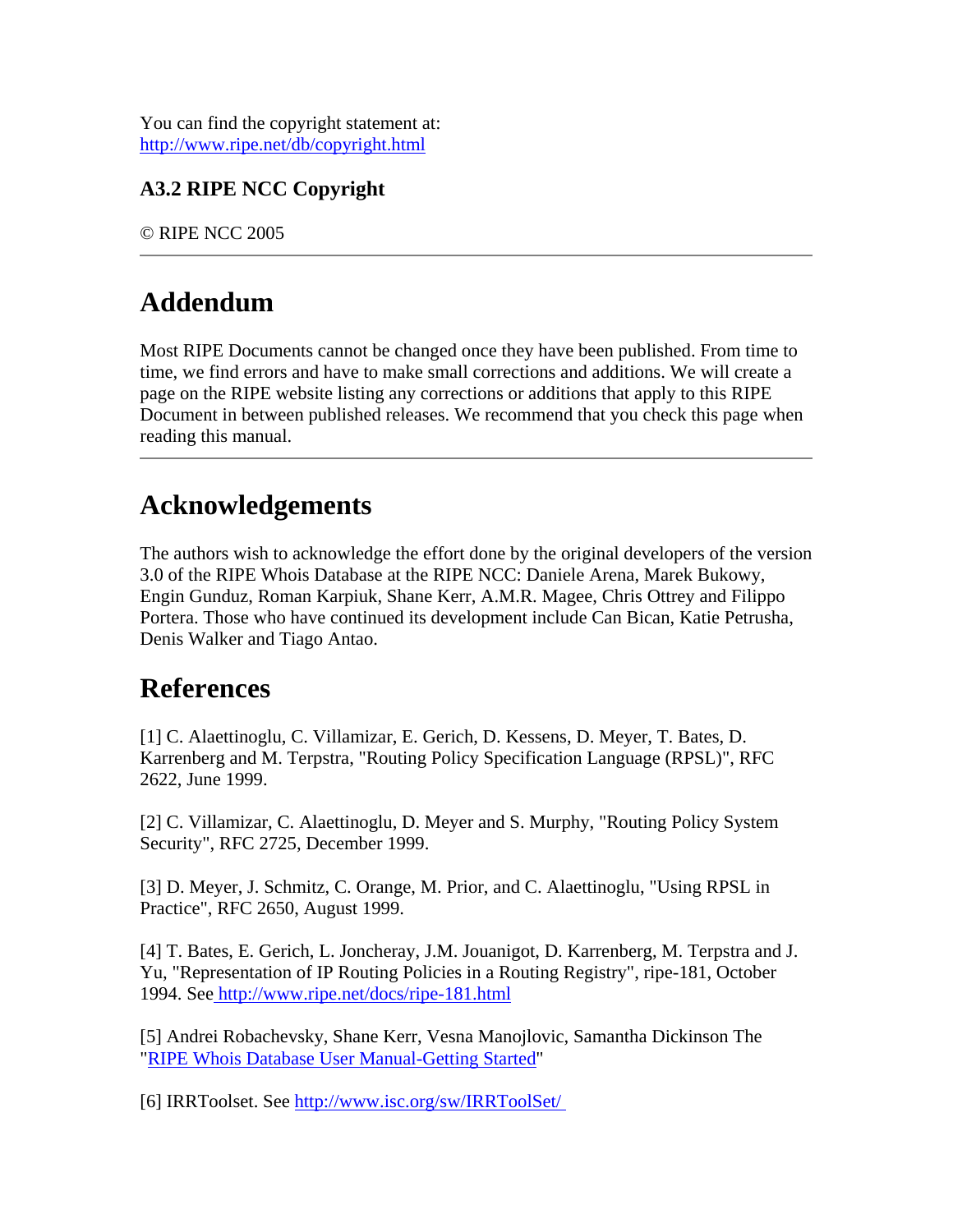You can find the copyright statement at: <http://www.ripe.net/db/copyright.html>

# **A3.2 RIPE NCC Copyright**

© RIPE NCC 2005

# **Addendum**

Most RIPE Documents cannot be changed once they have been published. From time to time, we find errors and have to make small corrections and additions. We will create a page on the RIPE website listing any corrections or additions that apply to this RIPE Document in between published releases. We recommend that you check this page when reading this manual.

# **Acknowledgements**

The authors wish to acknowledge the effort done by the original developers of the version 3.0 of the RIPE Whois Database at the RIPE NCC: Daniele Arena, Marek Bukowy, Engin Gunduz, Roman Karpiuk, Shane Kerr, A.M.R. Magee, Chris Ottrey and Filippo Portera. Those who have continued its development include Can Bican, Katie Petrusha, Denis Walker and Tiago Antao.

# **References**

[1] C. Alaettinoglu, C. Villamizar, E. Gerich, D. Kessens, D. Meyer, T. Bates, D. Karrenberg and M. Terpstra, "Routing Policy Specification Language (RPSL)", RFC 2622, June 1999.

[2] C. Villamizar, C. Alaettinoglu, D. Meyer and S. Murphy, "Routing Policy System Security", RFC 2725, December 1999.

[3] D. Meyer, J. Schmitz, C. Orange, M. Prior, and C. Alaettinoglu, "Using RPSL in Practice", RFC 2650, August 1999.

[4] T. Bates, E. Gerich, L. Joncheray, J.M. Jouanigot, D. Karrenberg, M. Terpstra and J. Yu, "Representation of IP Routing Policies in a Routing Registry", ripe-181, October 1994. Se[e http://www.ripe.net/docs/ripe-181.html](http://www.ripe.net/docs/ripe-181.html) 

[5] Andrei Robachevsky, Shane Kerr, Vesna Manojlovic, Samantha Dickinson The "[RIPE Whois Database User Manual-Getting Started"](http://osprey.ripe.net/ripe/docs/db-start.html)

[6] IRRToolset. See<http://www.isc.org/sw/IRRToolSet/>